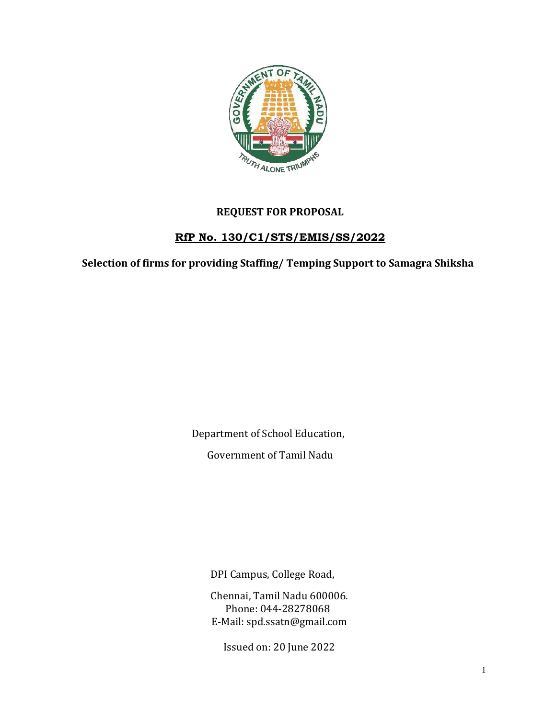

# **REQUEST FOR PROPOSAL**

# **RfP No. 130/C1/STS/EMIS/SS/2022**

**Selection of firms for providing Staffing/ Temping Support to Samagra Shiksha**

Department of School Education,

Government of Tamil Nadu

DPI Campus, College Road,

Chennai, Tamil Nadu 600006. Phone: 044-28278068 E-Mail: [spd.ssatn@gmail.com](mailto:spd.ssatn@gmail.com)

Issued on: 20 June 2022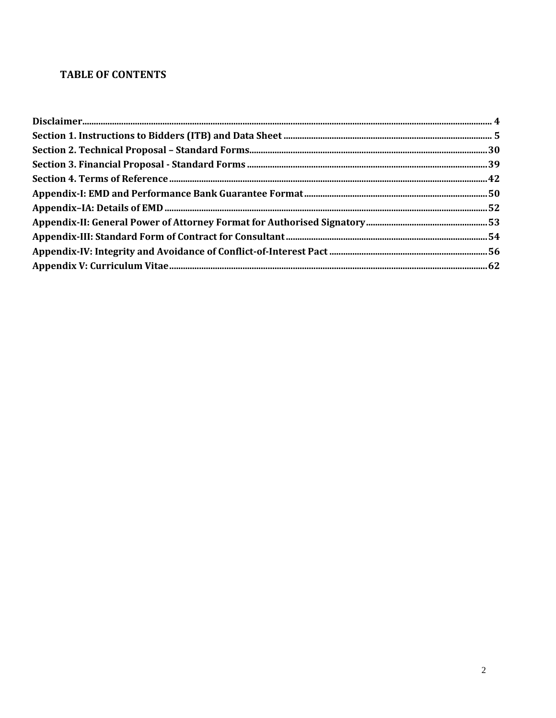# **TABLE OF CONTENTS**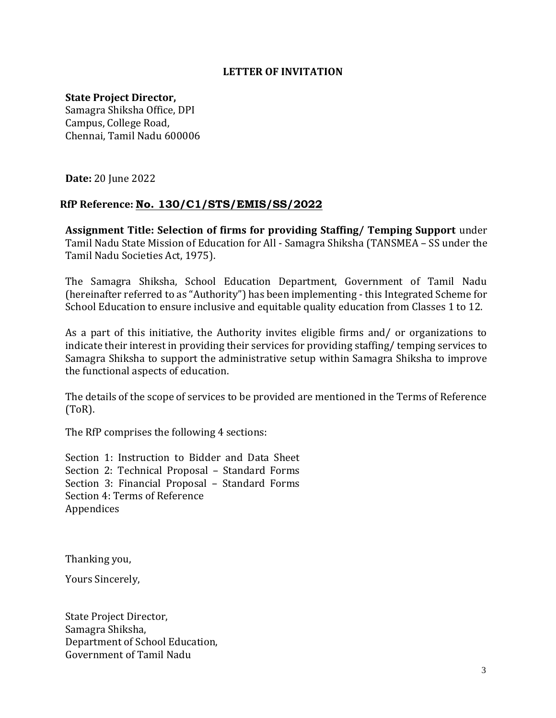#### **LETTER OF INVITATION**

### **State Project Director,**

Samagra Shiksha Office, DPI Campus, College Road, Chennai, Tamil Nadu 600006

**Date:** 20 June 2022

### **RfP Reference: No. 130/C1/STS/EMIS/SS/2022**

**Assignment Title: Selection of firms for providing Staffing/ Temping Support** under Tamil Nadu State Mission of Education for All - Samagra Shiksha (TANSMEA – SS under the Tamil Nadu Societies Act, 1975).

The Samagra Shiksha, School Education Department, Government of Tamil Nadu (hereinafter referred to as "Authority") has been implementing - this Integrated Scheme for School Education to ensure inclusive and equitable quality education from Classes 1 to 12.

As a part of this initiative, the Authority invites eligible firms and/ or organizations to indicate their interest in providing their services for providing staffing/ temping services to Samagra Shiksha to support the administrative setup within Samagra Shiksha to improve the functional aspects of education.

The details of the scope of services to be provided are mentioned in the Terms of Reference (ToR).

The RfP comprises the following 4 sections:

Section 1: Instruction to Bidder and Data Sheet Section 2: Technical Proposal – Standard Forms Section 3: Financial Proposal – Standard Forms Section 4: Terms of Reference Appendices

Thanking you,

Yours Sincerely,

State Project Director, Samagra Shiksha, Department of School Education, Government of Tamil Nadu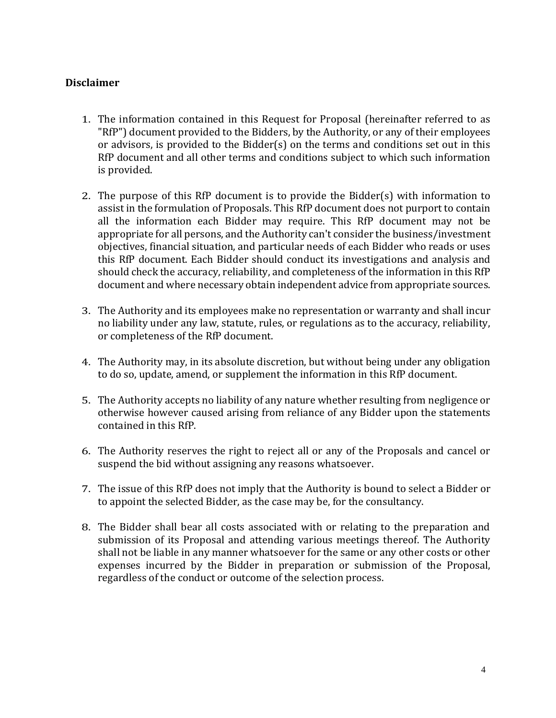### <span id="page-3-0"></span>**Disclaimer**

- 1. The information contained in this Request for Proposal (hereinafter referred to as "RfP") document provided to the Bidders, by the Authority, or any of their employees or advisors, is provided to the Bidder(s) on the terms and conditions set out in this RfP document and all other terms and conditions subject to which such information is provided.
- 2. The purpose of this RfP document is to provide the Bidder(s) with information to assist in the formulation of Proposals. This RfP document does not purport to contain all the information each Bidder may require. This RfP document may not be appropriate for all persons, and the Authority can't consider the business/investment objectives, financial situation, and particular needs of each Bidder who reads or uses this RfP document. Each Bidder should conduct its investigations and analysis and should check the accuracy, reliability, and completeness of the information in this RfP document and where necessary obtain independent advice from appropriate sources.
- 3. The Authority and its employees make no representation or warranty and shall incur no liability under any law, statute, rules, or regulations as to the accuracy, reliability, or completeness of the RfP document.
- 4. The Authority may, in its absolute discretion, but without being under any obligation to do so, update, amend, or supplement the information in this RfP document.
- 5. The Authority accepts no liability of any nature whether resulting from negligence or otherwise however caused arising from reliance of any Bidder upon the statements contained in this RfP.
- 6. The Authority reserves the right to reject all or any of the Proposals and cancel or suspend the bid without assigning any reasons whatsoever.
- 7. The issue of this RfP does not imply that the Authority is bound to select a Bidder or to appoint the selected Bidder, as the case may be, for the consultancy.
- 8. The Bidder shall bear all costs associated with or relating to the preparation and submission of its Proposal and attending various meetings thereof. The Authority shall not be liable in any manner whatsoever for the same or any other costs or other expenses incurred by the Bidder in preparation or submission of the Proposal, regardless of the conduct or outcome of the selection process.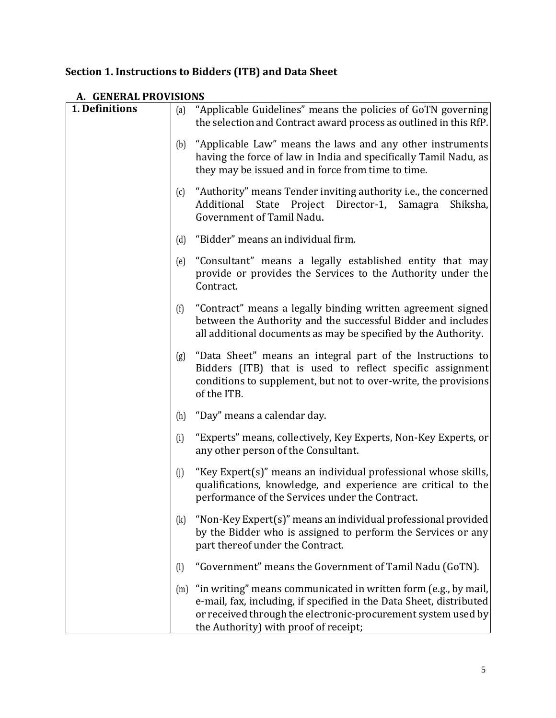# <span id="page-4-0"></span>**Section 1. Instructions to Bidders (ITB) and Data Sheet**

| 1. Definitions | (a)                       | "Applicable Guidelines" means the policies of GoTN governing                                                                                                                                                                                     |
|----------------|---------------------------|--------------------------------------------------------------------------------------------------------------------------------------------------------------------------------------------------------------------------------------------------|
|                |                           | the selection and Contract award process as outlined in this RfP.                                                                                                                                                                                |
|                | (b)                       | "Applicable Law" means the laws and any other instruments<br>having the force of law in India and specifically Tamil Nadu, as<br>they may be issued and in force from time to time.                                                              |
|                | (c)                       | "Authority" means Tender inviting authority i.e., the concerned<br>Additional State Project Director-1, Samagra<br>Shiksha,<br>Government of Tamil Nadu.                                                                                         |
|                | (d)                       | "Bidder" means an individual firm.                                                                                                                                                                                                               |
|                | (e)                       | "Consultant" means a legally established entity that may<br>provide or provides the Services to the Authority under the<br>Contract.                                                                                                             |
|                | (f)                       | "Contract" means a legally binding written agreement signed<br>between the Authority and the successful Bidder and includes<br>all additional documents as may be specified by the Authority.                                                    |
|                | (g)                       | "Data Sheet" means an integral part of the Instructions to<br>Bidders (ITB) that is used to reflect specific assignment<br>conditions to supplement, but not to over-write, the provisions<br>of the ITB.                                        |
|                | (h)                       | "Day" means a calendar day.                                                                                                                                                                                                                      |
|                | (i)                       | "Experts" means, collectively, Key Experts, Non-Key Experts, or<br>any other person of the Consultant.                                                                                                                                           |
|                | (j)                       | "Key Expert(s)" means an individual professional whose skills,<br>qualifications, knowledge, and experience are critical to the<br>performance of the Services under the Contract.                                                               |
|                | (k)                       | "Non-Key Expert(s)" means an individual professional provided<br>by the Bidder who is assigned to perform the Services or any<br>part thereof under the Contract.                                                                                |
|                | $\left(\mathrm{l}\right)$ | "Government" means the Government of Tamil Nadu (GoTN).                                                                                                                                                                                          |
|                | (m)                       | "in writing" means communicated in written form (e.g., by mail,<br>e-mail, fax, including, if specified in the Data Sheet, distributed<br>or received through the electronic-procurement system used by<br>the Authority) with proof of receipt; |

# **A. GENERAL PROVISIONS**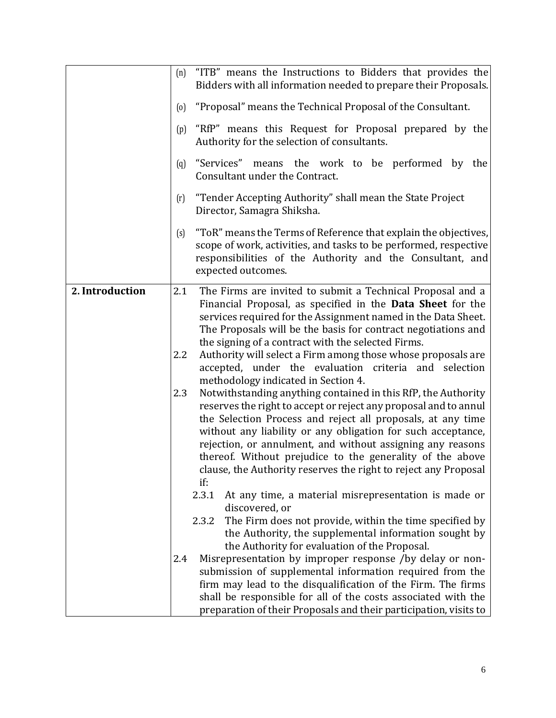|                 | (n)               | "ITB" means the Instructions to Bidders that provides the<br>Bidders with all information needed to prepare their Proposals.                                                                                                                                                                                                                                                                                                                                                                                                                                                                                                                                                                                                                         |
|-----------------|-------------------|------------------------------------------------------------------------------------------------------------------------------------------------------------------------------------------------------------------------------------------------------------------------------------------------------------------------------------------------------------------------------------------------------------------------------------------------------------------------------------------------------------------------------------------------------------------------------------------------------------------------------------------------------------------------------------------------------------------------------------------------------|
|                 | $\left( 0\right)$ | "Proposal" means the Technical Proposal of the Consultant.                                                                                                                                                                                                                                                                                                                                                                                                                                                                                                                                                                                                                                                                                           |
|                 |                   |                                                                                                                                                                                                                                                                                                                                                                                                                                                                                                                                                                                                                                                                                                                                                      |
|                 | (p)               | "RfP" means this Request for Proposal prepared by the<br>Authority for the selection of consultants.                                                                                                                                                                                                                                                                                                                                                                                                                                                                                                                                                                                                                                                 |
|                 | (q)               | "Services"<br>means the work to be performed by the<br>Consultant under the Contract.                                                                                                                                                                                                                                                                                                                                                                                                                                                                                                                                                                                                                                                                |
|                 | (r)               | "Tender Accepting Authority" shall mean the State Project<br>Director, Samagra Shiksha.                                                                                                                                                                                                                                                                                                                                                                                                                                                                                                                                                                                                                                                              |
|                 | (s)               | "ToR" means the Terms of Reference that explain the objectives,<br>scope of work, activities, and tasks to be performed, respective<br>responsibilities of the Authority and the Consultant, and<br>expected outcomes.                                                                                                                                                                                                                                                                                                                                                                                                                                                                                                                               |
| 2. Introduction | 2.1               | The Firms are invited to submit a Technical Proposal and a                                                                                                                                                                                                                                                                                                                                                                                                                                                                                                                                                                                                                                                                                           |
|                 | 2.2<br>2.3        | Financial Proposal, as specified in the Data Sheet for the<br>services required for the Assignment named in the Data Sheet.<br>The Proposals will be the basis for contract negotiations and<br>the signing of a contract with the selected Firms.<br>Authority will select a Firm among those whose proposals are<br>accepted, under the evaluation criteria and selection<br>methodology indicated in Section 4.<br>Notwithstanding anything contained in this RfP, the Authority<br>reserves the right to accept or reject any proposal and to annul<br>the Selection Process and reject all proposals, at any time<br>without any liability or any obligation for such acceptance,<br>rejection, or annulment, and without assigning any reasons |
|                 |                   | thereof. Without prejudice to the generality of the above<br>clause, the Authority reserves the right to reject any Proposal                                                                                                                                                                                                                                                                                                                                                                                                                                                                                                                                                                                                                         |
|                 |                   | if:                                                                                                                                                                                                                                                                                                                                                                                                                                                                                                                                                                                                                                                                                                                                                  |
|                 |                   | 2.3.1<br>At any time, a material misrepresentation is made or                                                                                                                                                                                                                                                                                                                                                                                                                                                                                                                                                                                                                                                                                        |
|                 |                   | discovered, or<br>The Firm does not provide, within the time specified by<br>2.3.2                                                                                                                                                                                                                                                                                                                                                                                                                                                                                                                                                                                                                                                                   |
|                 |                   | the Authority, the supplemental information sought by                                                                                                                                                                                                                                                                                                                                                                                                                                                                                                                                                                                                                                                                                                |
|                 |                   | the Authority for evaluation of the Proposal.                                                                                                                                                                                                                                                                                                                                                                                                                                                                                                                                                                                                                                                                                                        |
|                 | 2.4               | Misrepresentation by improper response /by delay or non-                                                                                                                                                                                                                                                                                                                                                                                                                                                                                                                                                                                                                                                                                             |
|                 |                   | submission of supplemental information required from the<br>firm may lead to the disqualification of the Firm. The firms                                                                                                                                                                                                                                                                                                                                                                                                                                                                                                                                                                                                                             |
|                 |                   | shall be responsible for all of the costs associated with the                                                                                                                                                                                                                                                                                                                                                                                                                                                                                                                                                                                                                                                                                        |
|                 |                   | preparation of their Proposals and their participation, visits to                                                                                                                                                                                                                                                                                                                                                                                                                                                                                                                                                                                                                                                                                    |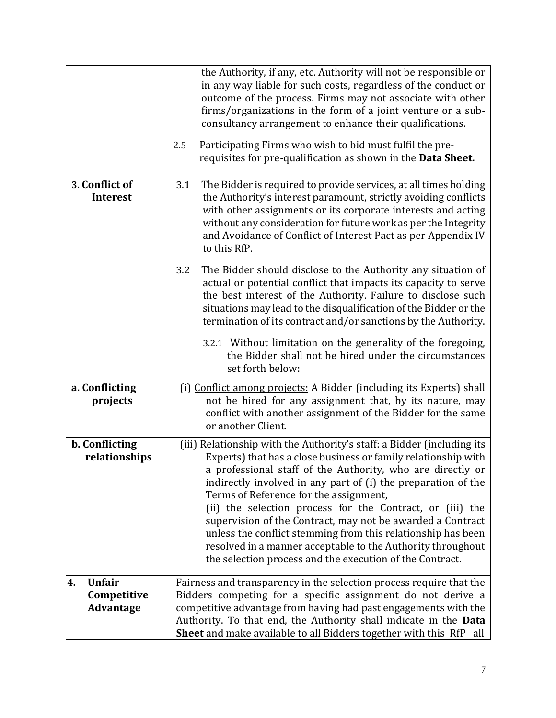|                                                        | the Authority, if any, etc. Authority will not be responsible or<br>in any way liable for such costs, regardless of the conduct or<br>outcome of the process. Firms may not associate with other<br>firms/organizations in the form of a joint venture or a sub-<br>consultancy arrangement to enhance their qualifications.<br>Participating Firms who wish to bid must fulfil the pre-<br>2.5<br>requisites for pre-qualification as shown in the Data Sheet.                                                                                                                                                                         |
|--------------------------------------------------------|-----------------------------------------------------------------------------------------------------------------------------------------------------------------------------------------------------------------------------------------------------------------------------------------------------------------------------------------------------------------------------------------------------------------------------------------------------------------------------------------------------------------------------------------------------------------------------------------------------------------------------------------|
|                                                        |                                                                                                                                                                                                                                                                                                                                                                                                                                                                                                                                                                                                                                         |
| 3. Conflict of<br><b>Interest</b>                      | The Bidder is required to provide services, at all times holding<br>3.1<br>the Authority's interest paramount, strictly avoiding conflicts<br>with other assignments or its corporate interests and acting<br>without any consideration for future work as per the Integrity<br>and Avoidance of Conflict of Interest Pact as per Appendix IV<br>to this RfP.                                                                                                                                                                                                                                                                           |
|                                                        | The Bidder should disclose to the Authority any situation of<br>3.2<br>actual or potential conflict that impacts its capacity to serve<br>the best interest of the Authority. Failure to disclose such<br>situations may lead to the disqualification of the Bidder or the<br>termination of its contract and/or sanctions by the Authority.                                                                                                                                                                                                                                                                                            |
|                                                        | 3.2.1 Without limitation on the generality of the foregoing,<br>the Bidder shall not be hired under the circumstances<br>set forth below:                                                                                                                                                                                                                                                                                                                                                                                                                                                                                               |
| a. Conflicting<br>projects                             | (i) Conflict among projects: A Bidder (including its Experts) shall<br>not be hired for any assignment that, by its nature, may<br>conflict with another assignment of the Bidder for the same<br>or another Client.                                                                                                                                                                                                                                                                                                                                                                                                                    |
| b. Conflicting<br>relationships                        | (iii) Relationship with the Authority's staff: a Bidder (including its<br>Experts) that has a close business or family relationship with<br>a professional staff of the Authority, who are directly or<br>indirectly involved in any part of (i) the preparation of the<br>Terms of Reference for the assignment,<br>(ii) the selection process for the Contract, or (iii) the<br>supervision of the Contract, may not be awarded a Contract<br>unless the conflict stemming from this relationship has been<br>resolved in a manner acceptable to the Authority throughout<br>the selection process and the execution of the Contract. |
| <b>Unfair</b><br>4.<br>Competitive<br><b>Advantage</b> | Fairness and transparency in the selection process require that the<br>Bidders competing for a specific assignment do not derive a<br>competitive advantage from having had past engagements with the<br>Authority. To that end, the Authority shall indicate in the Data<br>Sheet and make available to all Bidders together with this RfP all                                                                                                                                                                                                                                                                                         |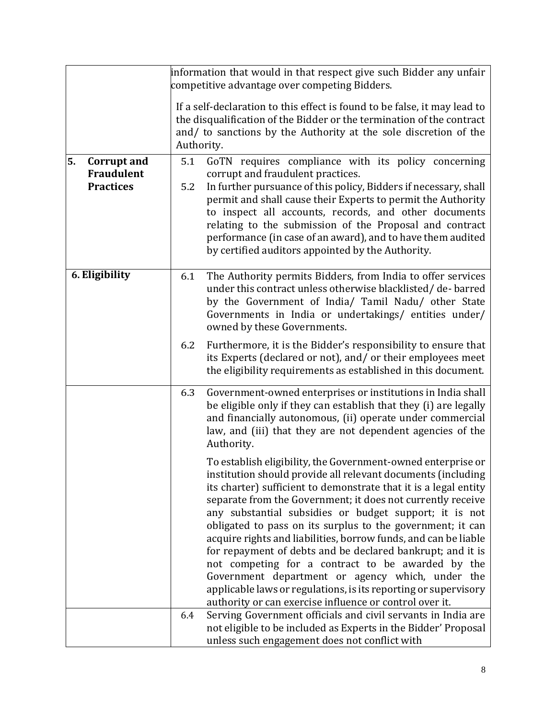|                                                                   | information that would in that respect give such Bidder any unfair<br>competitive advantage over competing Bidders. |                                                                                                                                                                                                                                                                                                                                                                                                                                                                                                                                                                                                                                                                                                                                                                 |
|-------------------------------------------------------------------|---------------------------------------------------------------------------------------------------------------------|-----------------------------------------------------------------------------------------------------------------------------------------------------------------------------------------------------------------------------------------------------------------------------------------------------------------------------------------------------------------------------------------------------------------------------------------------------------------------------------------------------------------------------------------------------------------------------------------------------------------------------------------------------------------------------------------------------------------------------------------------------------------|
|                                                                   | Authority.                                                                                                          | If a self-declaration to this effect is found to be false, it may lead to<br>the disqualification of the Bidder or the termination of the contract<br>and/ to sanctions by the Authority at the sole discretion of the                                                                                                                                                                                                                                                                                                                                                                                                                                                                                                                                          |
| 5.<br><b>Corrupt and</b><br><b>Fraudulent</b><br><b>Practices</b> | 5.1<br>5.2                                                                                                          | GoTN requires compliance with its policy concerning<br>corrupt and fraudulent practices.<br>In further pursuance of this policy, Bidders if necessary, shall<br>permit and shall cause their Experts to permit the Authority<br>to inspect all accounts, records, and other documents<br>relating to the submission of the Proposal and contract<br>performance (in case of an award), and to have them audited<br>by certified auditors appointed by the Authority.                                                                                                                                                                                                                                                                                            |
| 6. Eligibility                                                    | 6.1                                                                                                                 | The Authority permits Bidders, from India to offer services<br>under this contract unless otherwise blacklisted/de-barred<br>by the Government of India/ Tamil Nadu/ other State<br>Governments in India or undertakings/ entities under/<br>owned by these Governments.                                                                                                                                                                                                                                                                                                                                                                                                                                                                                        |
|                                                                   | 6.2                                                                                                                 | Furthermore, it is the Bidder's responsibility to ensure that<br>its Experts (declared or not), and/ or their employees meet<br>the eligibility requirements as established in this document.                                                                                                                                                                                                                                                                                                                                                                                                                                                                                                                                                                   |
|                                                                   | 6.3                                                                                                                 | Government-owned enterprises or institutions in India shall<br>be eligible only if they can establish that they (i) are legally<br>and financially autonomous, (ii) operate under commercial<br>law, and (iii) that they are not dependent agencies of the<br>Authority.                                                                                                                                                                                                                                                                                                                                                                                                                                                                                        |
|                                                                   |                                                                                                                     | To establish eligibility, the Government-owned enterprise or<br>institution should provide all relevant documents (including<br>its charter) sufficient to demonstrate that it is a legal entity<br>separate from the Government; it does not currently receive<br>any substantial subsidies or budget support; it is not<br>obligated to pass on its surplus to the government; it can<br>acquire rights and liabilities, borrow funds, and can be liable<br>for repayment of debts and be declared bankrupt; and it is<br>not competing for a contract to be awarded by the<br>Government department or agency which, under the<br>applicable laws or regulations, is its reporting or supervisory<br>authority or can exercise influence or control over it. |
|                                                                   | 6.4                                                                                                                 | Serving Government officials and civil servants in India are<br>not eligible to be included as Experts in the Bidder' Proposal<br>unless such engagement does not conflict with                                                                                                                                                                                                                                                                                                                                                                                                                                                                                                                                                                                 |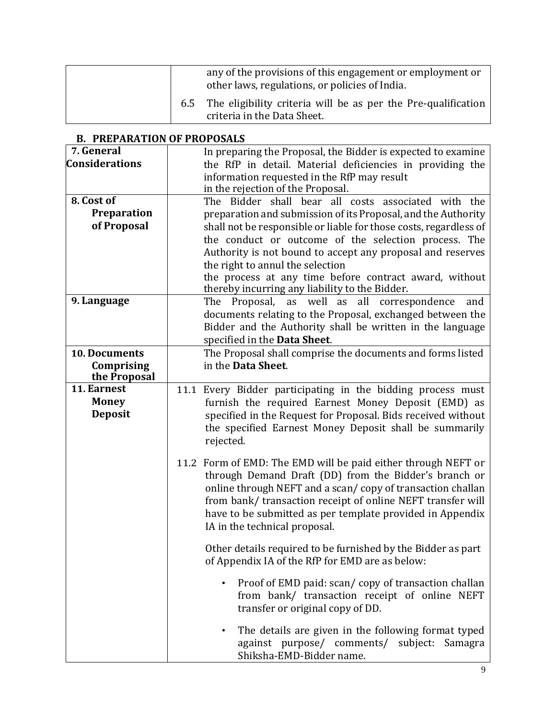|     | any of the provisions of this engagement or employment or<br>other laws, regulations, or policies of India. |
|-----|-------------------------------------------------------------------------------------------------------------|
| 6.5 | The eligibility criteria will be as per the Pre-qualification<br>criteria in the Data Sheet.                |

| $\overline{7}$ . General | In preparing the Proposal, the Bidder is expected to examine      |
|--------------------------|-------------------------------------------------------------------|
| <b>Considerations</b>    | the RfP in detail. Material deficiencies in providing the         |
|                          | information requested in the RfP may result                       |
|                          | in the rejection of the Proposal.                                 |
| 8. Cost of               | The Bidder shall bear all costs associated with the               |
| Preparation              | preparation and submission of its Proposal, and the Authority     |
| of Proposal              | shall not be responsible or liable for those costs, regardless of |
|                          | the conduct or outcome of the selection process. The              |
|                          | Authority is not bound to accept any proposal and reserves        |
|                          | the right to annul the selection                                  |
|                          | the process at any time before contract award, without            |
|                          | thereby incurring any liability to the Bidder.                    |
| 9. Language              | The Proposal, as well as all correspondence<br>and                |
|                          | documents relating to the Proposal, exchanged between the         |
|                          | Bidder and the Authority shall be written in the language         |
|                          | specified in the Data Sheet.                                      |
| 10. Documents            | The Proposal shall comprise the documents and forms listed        |
| Comprising               | in the Data Sheet.                                                |
| the Proposal             |                                                                   |
| 11. Earnest              | 11.1 Every Bidder participating in the bidding process must       |
| <b>Money</b>             | furnish the required Earnest Money Deposit (EMD) as               |
| <b>Deposit</b>           | specified in the Request for Proposal. Bids received without      |
|                          | the specified Earnest Money Deposit shall be summarily            |
|                          | rejected.                                                         |
|                          | 11.2 Form of EMD: The EMD will be paid either through NEFT or     |
|                          | through Demand Draft (DD) from the Bidder's branch or             |
|                          | online through NEFT and a scan/copy of transaction challan        |
|                          | from bank/ transaction receipt of online NEFT transfer will       |
|                          | have to be submitted as per template provided in Appendix         |
|                          | IA in the technical proposal.                                     |
|                          |                                                                   |
|                          | Other details required to be furnished by the Bidder as part      |
|                          | of Appendix IA of the RfP for EMD are as below:                   |
|                          |                                                                   |
|                          | Proof of EMD paid: scan/copy of transaction challan               |
|                          | from bank/ transaction receipt of online NEFT                     |
|                          | transfer or original copy of DD.                                  |
|                          |                                                                   |
|                          | The details are given in the following format typed<br>$\bullet$  |
|                          | against purpose/ comments/ subject: Samagra                       |
|                          | Shiksha-EMD-Bidder name.                                          |

# **B. PREPARATION OF PROPOSALS**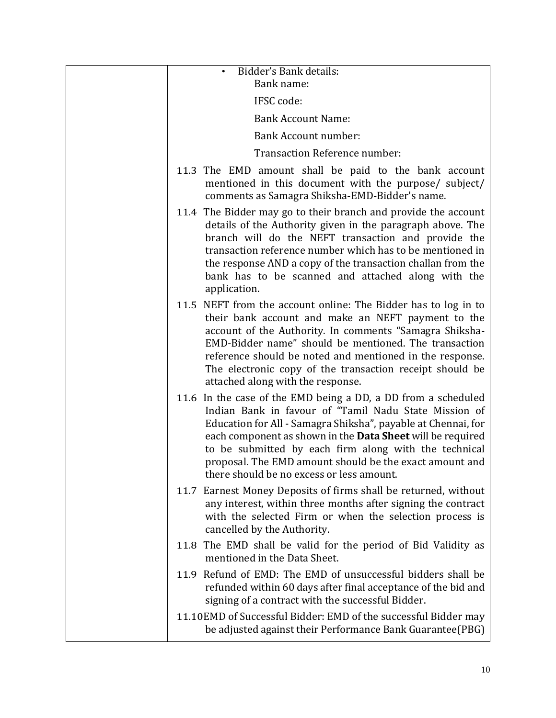| Bidder's Bank details:                                                                                                                                                                                                                                                                                                                                                                                                        |
|-------------------------------------------------------------------------------------------------------------------------------------------------------------------------------------------------------------------------------------------------------------------------------------------------------------------------------------------------------------------------------------------------------------------------------|
| Bank name:                                                                                                                                                                                                                                                                                                                                                                                                                    |
| IFSC code:                                                                                                                                                                                                                                                                                                                                                                                                                    |
| <b>Bank Account Name:</b>                                                                                                                                                                                                                                                                                                                                                                                                     |
| <b>Bank Account number:</b>                                                                                                                                                                                                                                                                                                                                                                                                   |
| Transaction Reference number:                                                                                                                                                                                                                                                                                                                                                                                                 |
| 11.3 The EMD amount shall be paid to the bank account<br>mentioned in this document with the purpose/ subject/<br>comments as Samagra Shiksha-EMD-Bidder's name.                                                                                                                                                                                                                                                              |
| 11.4 The Bidder may go to their branch and provide the account<br>details of the Authority given in the paragraph above. The<br>branch will do the NEFT transaction and provide the<br>transaction reference number which has to be mentioned in<br>the response AND a copy of the transaction challan from the<br>bank has to be scanned and attached along with the<br>application.                                         |
| 11.5 NEFT from the account online: The Bidder has to log in to<br>their bank account and make an NEFT payment to the<br>account of the Authority. In comments "Samagra Shiksha-<br>EMD-Bidder name" should be mentioned. The transaction<br>reference should be noted and mentioned in the response.<br>The electronic copy of the transaction receipt should be<br>attached along with the response.                         |
| 11.6 In the case of the EMD being a DD, a DD from a scheduled<br>Indian Bank in favour of "Tamil Nadu State Mission of<br>Education for All - Samagra Shiksha", payable at Chennai, for<br>each component as shown in the <b>Data Sheet</b> will be required<br>to be submitted by each firm along with the technical<br>proposal. The EMD amount should be the exact amount and<br>there should be no excess or less amount. |
| 11.7 Earnest Money Deposits of firms shall be returned, without<br>any interest, within three months after signing the contract<br>with the selected Firm or when the selection process is<br>cancelled by the Authority.                                                                                                                                                                                                     |
| 11.8 The EMD shall be valid for the period of Bid Validity as<br>mentioned in the Data Sheet.                                                                                                                                                                                                                                                                                                                                 |
| 11.9 Refund of EMD: The EMD of unsuccessful bidders shall be<br>refunded within 60 days after final acceptance of the bid and<br>signing of a contract with the successful Bidder.                                                                                                                                                                                                                                            |
| 11.10EMD of Successful Bidder: EMD of the successful Bidder may<br>be adjusted against their Performance Bank Guarantee(PBG)                                                                                                                                                                                                                                                                                                  |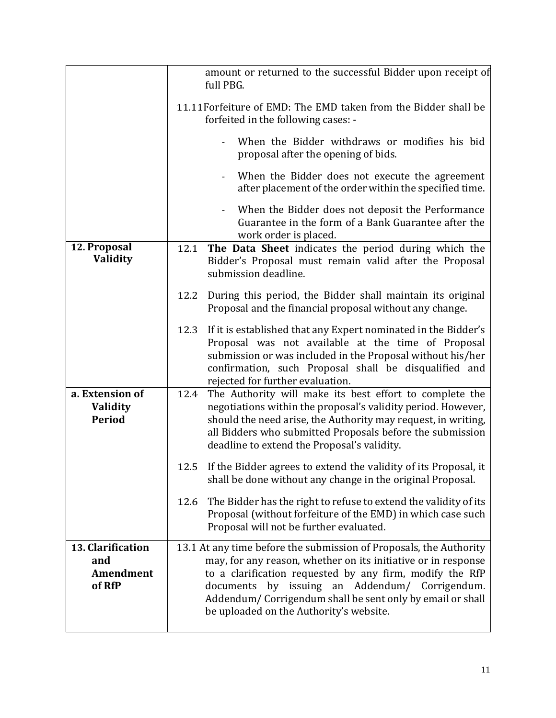|                                                        | amount or returned to the successful Bidder upon receipt of<br>full PBG.                                                                                                                                                                                                                                                                                      |
|--------------------------------------------------------|---------------------------------------------------------------------------------------------------------------------------------------------------------------------------------------------------------------------------------------------------------------------------------------------------------------------------------------------------------------|
|                                                        | 11.11 Forfeiture of EMD: The EMD taken from the Bidder shall be<br>forfeited in the following cases: -                                                                                                                                                                                                                                                        |
|                                                        | When the Bidder withdraws or modifies his bid<br>proposal after the opening of bids.                                                                                                                                                                                                                                                                          |
|                                                        | When the Bidder does not execute the agreement<br>after placement of the order within the specified time.                                                                                                                                                                                                                                                     |
|                                                        | When the Bidder does not deposit the Performance<br>Guarantee in the form of a Bank Guarantee after the<br>work order is placed.                                                                                                                                                                                                                              |
| 12. Proposal<br>Validity                               | The Data Sheet indicates the period during which the<br>12.1<br>Bidder's Proposal must remain valid after the Proposal<br>submission deadline.                                                                                                                                                                                                                |
|                                                        | During this period, the Bidder shall maintain its original<br>12.2<br>Proposal and the financial proposal without any change.                                                                                                                                                                                                                                 |
|                                                        | If it is established that any Expert nominated in the Bidder's<br>12.3<br>Proposal was not available at the time of Proposal<br>submission or was included in the Proposal without his/her<br>confirmation, such Proposal shall be disqualified and<br>rejected for further evaluation.                                                                       |
| a. Extension of<br>Validity<br><b>Period</b>           | The Authority will make its best effort to complete the<br>12.4<br>negotiations within the proposal's validity period. However,<br>should the need arise, the Authority may request, in writing,<br>all Bidders who submitted Proposals before the submission<br>deadline to extend the Proposal's validity.                                                  |
|                                                        | 12.5 If the Bidder agrees to extend the validity of its Proposal, it<br>shall be done without any change in the original Proposal.                                                                                                                                                                                                                            |
|                                                        | The Bidder has the right to refuse to extend the validity of its<br>12.6<br>Proposal (without forfeiture of the EMD) in which case such<br>Proposal will not be further evaluated.                                                                                                                                                                            |
| 13. Clarification<br>and<br><b>Amendment</b><br>of RfP | 13.1 At any time before the submission of Proposals, the Authority<br>may, for any reason, whether on its initiative or in response<br>to a clarification requested by any firm, modify the RfP<br>by issuing an Addendum/ Corrigendum.<br>documents<br>Addendum/ Corrigendum shall be sent only by email or shall<br>be uploaded on the Authority's website. |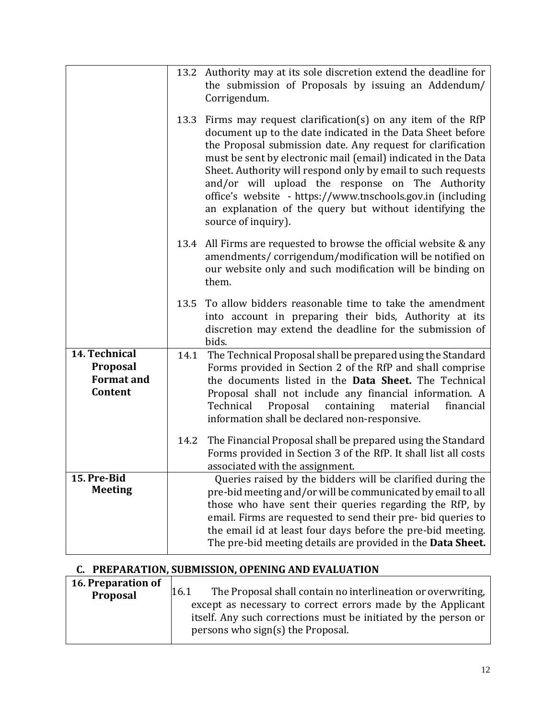|                                                           |      | 13.2 Authority may at its sole discretion extend the deadline for<br>the submission of Proposals by issuing an Addendum/<br>Corrigendum.                                                                                                                                                                                                                                                                                                                                                                                         |
|-----------------------------------------------------------|------|----------------------------------------------------------------------------------------------------------------------------------------------------------------------------------------------------------------------------------------------------------------------------------------------------------------------------------------------------------------------------------------------------------------------------------------------------------------------------------------------------------------------------------|
|                                                           |      | 13.3 Firms may request clarification(s) on any item of the RfP<br>document up to the date indicated in the Data Sheet before<br>the Proposal submission date. Any request for clarification<br>must be sent by electronic mail (email) indicated in the Data<br>Sheet. Authority will respond only by email to such requests<br>and/or will upload the response on The Authority<br>office's website - https://www.tnschools.gov.in (including<br>an explanation of the query but without identifying the<br>source of inquiry). |
|                                                           | 13.4 | All Firms are requested to browse the official website & any<br>amendments/corrigendum/modification will be notified on<br>our website only and such modification will be binding on<br>them.                                                                                                                                                                                                                                                                                                                                    |
|                                                           | 13.5 | To allow bidders reasonable time to take the amendment<br>into account in preparing their bids, Authority at its<br>discretion may extend the deadline for the submission of<br>bids.                                                                                                                                                                                                                                                                                                                                            |
| 14. Technical<br>Proposal<br><b>Format and</b><br>Content | 14.1 | The Technical Proposal shall be prepared using the Standard<br>Forms provided in Section 2 of the RfP and shall comprise<br>the documents listed in the Data Sheet. The Technical<br>Proposal shall not include any financial information. A<br>Technical<br>Proposal<br>containing<br>material<br>financial<br>information shall be declared non-responsive.                                                                                                                                                                    |
|                                                           | 14.2 | The Financial Proposal shall be prepared using the Standard<br>Forms provided in Section 3 of the RfP. It shall list all costs<br>associated with the assignment.                                                                                                                                                                                                                                                                                                                                                                |
| 15. Pre-Bid<br><b>Meeting</b>                             |      | Queries raised by the bidders will be clarified during the<br>pre-bid meeting and/or will be communicated by email to all<br>those who have sent their queries regarding the RfP, by<br>email. Firms are requested to send their pre- bid queries to<br>the email id at least four days before the pre-bid meeting.<br>The pre-bid meeting details are provided in the Data Sheet.                                                                                                                                               |

# **C. PREPARATION, SUBMISSION, OPENING AND EVALUATION**

| 16. Preparation of |                                                                      |
|--------------------|----------------------------------------------------------------------|
| Proposal           | The Proposal shall contain no interlineation or overwriting,<br>16.1 |
|                    | except as necessary to correct errors made by the Applicant          |
|                    | itself. Any such corrections must be initiated by the person or      |
|                    | persons who sign(s) the Proposal.                                    |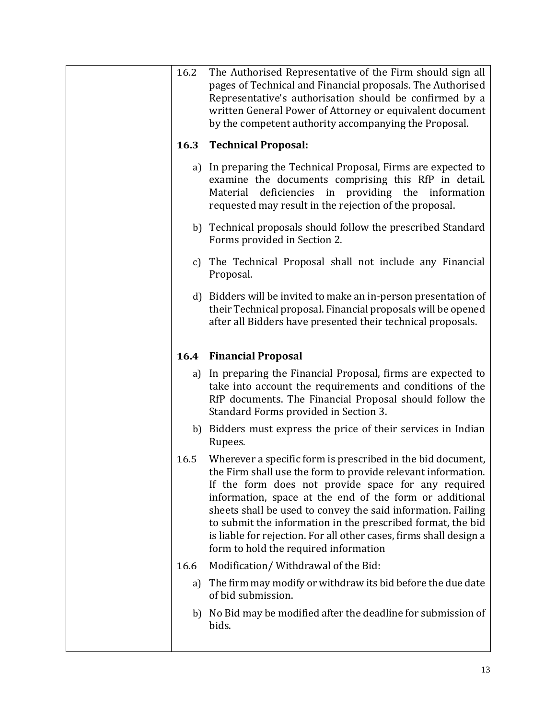| 16.2 | The Authorised Representative of the Firm should sign all<br>pages of Technical and Financial proposals. The Authorised<br>Representative's authorisation should be confirmed by a<br>written General Power of Attorney or equivalent document<br>by the competent authority accompanying the Proposal.                                                                                                                                                                                     |
|------|---------------------------------------------------------------------------------------------------------------------------------------------------------------------------------------------------------------------------------------------------------------------------------------------------------------------------------------------------------------------------------------------------------------------------------------------------------------------------------------------|
| 16.3 | <b>Technical Proposal:</b>                                                                                                                                                                                                                                                                                                                                                                                                                                                                  |
|      | a) In preparing the Technical Proposal, Firms are expected to<br>examine the documents comprising this RfP in detail.<br>deficiencies in providing the information<br>Material<br>requested may result in the rejection of the proposal.                                                                                                                                                                                                                                                    |
|      | b) Technical proposals should follow the prescribed Standard<br>Forms provided in Section 2.                                                                                                                                                                                                                                                                                                                                                                                                |
|      | c) The Technical Proposal shall not include any Financial<br>Proposal.                                                                                                                                                                                                                                                                                                                                                                                                                      |
|      | d) Bidders will be invited to make an in-person presentation of<br>their Technical proposal. Financial proposals will be opened<br>after all Bidders have presented their technical proposals.                                                                                                                                                                                                                                                                                              |
|      | <b>16.4 Financial Proposal</b>                                                                                                                                                                                                                                                                                                                                                                                                                                                              |
|      | a) In preparing the Financial Proposal, firms are expected to<br>take into account the requirements and conditions of the<br>RfP documents. The Financial Proposal should follow the<br>Standard Forms provided in Section 3.                                                                                                                                                                                                                                                               |
|      | b) Bidders must express the price of their services in Indian<br>Rupees.                                                                                                                                                                                                                                                                                                                                                                                                                    |
| 16.5 | Wherever a specific form is prescribed in the bid document,<br>the Firm shall use the form to provide relevant information.<br>If the form does not provide space for any required<br>information, space at the end of the form or additional<br>sheets shall be used to convey the said information. Failing<br>to submit the information in the prescribed format, the bid<br>is liable for rejection. For all other cases, firms shall design a<br>form to hold the required information |
| 16.6 | Modification/Withdrawal of the Bid:                                                                                                                                                                                                                                                                                                                                                                                                                                                         |
| a)   | The firm may modify or withdraw its bid before the due date<br>of bid submission.                                                                                                                                                                                                                                                                                                                                                                                                           |
|      | b) No Bid may be modified after the deadline for submission of<br>bids.                                                                                                                                                                                                                                                                                                                                                                                                                     |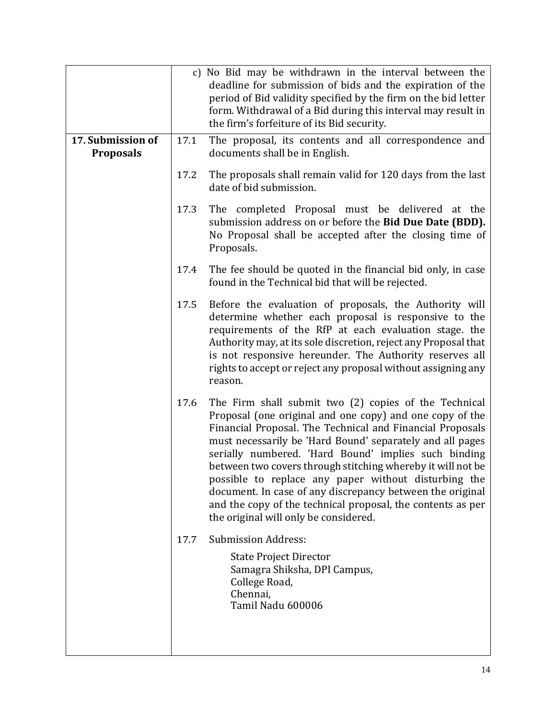|                                       |      | c) No Bid may be withdrawn in the interval between the<br>deadline for submission of bids and the expiration of the<br>period of Bid validity specified by the firm on the bid letter<br>form. Withdrawal of a Bid during this interval may result in<br>the firm's forfeiture of its Bid security.                                                                                                                                                                                                                                                                                             |
|---------------------------------------|------|-------------------------------------------------------------------------------------------------------------------------------------------------------------------------------------------------------------------------------------------------------------------------------------------------------------------------------------------------------------------------------------------------------------------------------------------------------------------------------------------------------------------------------------------------------------------------------------------------|
| 17. Submission of<br><b>Proposals</b> | 17.1 | The proposal, its contents and all correspondence and<br>documents shall be in English.                                                                                                                                                                                                                                                                                                                                                                                                                                                                                                         |
|                                       | 17.2 | The proposals shall remain valid for 120 days from the last<br>date of bid submission.                                                                                                                                                                                                                                                                                                                                                                                                                                                                                                          |
|                                       | 17.3 | The completed Proposal must be delivered at the<br>submission address on or before the Bid Due Date (BDD).<br>No Proposal shall be accepted after the closing time of<br>Proposals.                                                                                                                                                                                                                                                                                                                                                                                                             |
|                                       | 17.4 | The fee should be quoted in the financial bid only, in case<br>found in the Technical bid that will be rejected.                                                                                                                                                                                                                                                                                                                                                                                                                                                                                |
|                                       | 17.5 | Before the evaluation of proposals, the Authority will<br>determine whether each proposal is responsive to the<br>requirements of the RfP at each evaluation stage. the<br>Authority may, at its sole discretion, reject any Proposal that<br>is not responsive hereunder. The Authority reserves all<br>rights to accept or reject any proposal without assigning any<br>reason.                                                                                                                                                                                                               |
|                                       | 17.6 | The Firm shall submit two (2) copies of the Technical<br>Proposal (one original and one copy) and one copy of the<br>Financial Proposal. The Technical and Financial Proposals<br>must necessarily be 'Hard Bound' separately and all pages<br>serially numbered. 'Hard Bound' implies such binding<br>between two covers through stitching whereby it will not be<br>possible to replace any paper without disturbing the<br>document. In case of any discrepancy between the original<br>and the copy of the technical proposal, the contents as per<br>the original will only be considered. |
|                                       | 17.7 | <b>Submission Address:</b>                                                                                                                                                                                                                                                                                                                                                                                                                                                                                                                                                                      |
|                                       |      | <b>State Project Director</b><br>Samagra Shiksha, DPI Campus,<br>College Road,<br>Chennai,<br>Tamil Nadu 600006                                                                                                                                                                                                                                                                                                                                                                                                                                                                                 |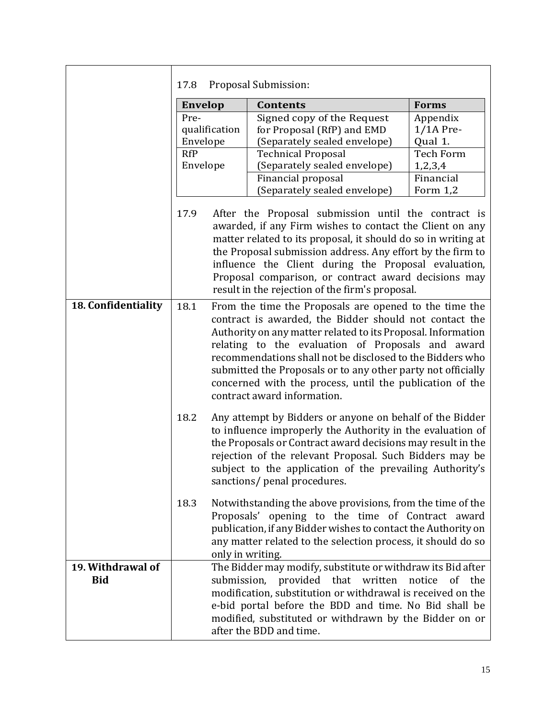|                                 | 17.8           |               | Proposal Submission:                                                                                                                                                                                                                                                                                                                                                                                                                                          |                      |  |
|---------------------------------|----------------|---------------|---------------------------------------------------------------------------------------------------------------------------------------------------------------------------------------------------------------------------------------------------------------------------------------------------------------------------------------------------------------------------------------------------------------------------------------------------------------|----------------------|--|
|                                 | <b>Envelop</b> |               | <b>Contents</b>                                                                                                                                                                                                                                                                                                                                                                                                                                               | <b>Forms</b>         |  |
|                                 | Pre-           |               | Signed copy of the Request                                                                                                                                                                                                                                                                                                                                                                                                                                    | Appendix             |  |
|                                 |                | qualification | for Proposal (RfP) and EMD                                                                                                                                                                                                                                                                                                                                                                                                                                    | $1/1A$ Pre-          |  |
|                                 | Envelope       |               | (Separately sealed envelope)                                                                                                                                                                                                                                                                                                                                                                                                                                  | Qual 1.              |  |
|                                 | <b>RfP</b>     |               | <b>Technical Proposal</b>                                                                                                                                                                                                                                                                                                                                                                                                                                     | <b>Tech Form</b>     |  |
|                                 | Envelope       |               | (Separately sealed envelope)                                                                                                                                                                                                                                                                                                                                                                                                                                  | 1,2,3,4<br>Financial |  |
|                                 |                |               | Financial proposal<br>(Separately sealed envelope)                                                                                                                                                                                                                                                                                                                                                                                                            | Form $1,2$           |  |
|                                 |                |               |                                                                                                                                                                                                                                                                                                                                                                                                                                                               |                      |  |
|                                 | 17.9           |               | After the Proposal submission until the contract is<br>awarded, if any Firm wishes to contact the Client on any<br>matter related to its proposal, it should do so in writing at<br>the Proposal submission address. Any effort by the firm to<br>influence the Client during the Proposal evaluation,<br>Proposal comparison, or contract award decisions may<br>result in the rejection of the firm's proposal.                                             |                      |  |
| 18. Confidentiality             | 18.1           |               | From the time the Proposals are opened to the time the<br>contract is awarded, the Bidder should not contact the<br>Authority on any matter related to its Proposal. Information<br>relating to the evaluation of Proposals and award<br>recommendations shall not be disclosed to the Bidders who<br>submitted the Proposals or to any other party not officially<br>concerned with the process, until the publication of the<br>contract award information. |                      |  |
|                                 | 18.2           |               | Any attempt by Bidders or anyone on behalf of the Bidder<br>to influence improperly the Authority in the evaluation of<br>the Proposals or Contract award decisions may result in the<br>rejection of the relevant Proposal. Such Bidders may be<br>subject to the application of the prevailing Authority's<br>sanctions/ penal procedures.                                                                                                                  |                      |  |
|                                 | 18.3           |               | Notwithstanding the above provisions, from the time of the<br>Proposals' opening to the time of Contract award<br>publication, if any Bidder wishes to contact the Authority on<br>any matter related to the selection process, it should do so<br>only in writing.                                                                                                                                                                                           |                      |  |
| 19. Withdrawal of<br><b>Bid</b> |                |               | The Bidder may modify, substitute or withdraw its Bid after<br>submission, provided that written<br>modification, substitution or withdrawal is received on the<br>e-bid portal before the BDD and time. No Bid shall be<br>modified, substituted or withdrawn by the Bidder on or<br>after the BDD and time.                                                                                                                                                 | notice<br>of the     |  |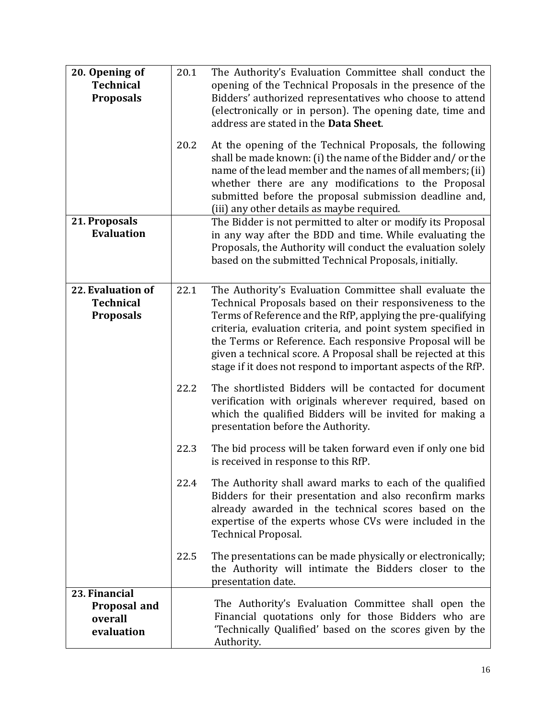| 20. Opening of<br><b>Technical</b><br><b>Proposals</b><br>21. Proposals | 20.1<br>20.2 | The Authority's Evaluation Committee shall conduct the<br>opening of the Technical Proposals in the presence of the<br>Bidders' authorized representatives who choose to attend<br>(electronically or in person). The opening date, time and<br>address are stated in the Data Sheet.<br>At the opening of the Technical Proposals, the following<br>shall be made known: (i) the name of the Bidder and/ or the<br>name of the lead member and the names of all members; (ii)<br>whether there are any modifications to the Proposal<br>submitted before the proposal submission deadline and,<br>(iii) any other details as maybe required.<br>The Bidder is not permitted to alter or modify its Proposal |
|-------------------------------------------------------------------------|--------------|--------------------------------------------------------------------------------------------------------------------------------------------------------------------------------------------------------------------------------------------------------------------------------------------------------------------------------------------------------------------------------------------------------------------------------------------------------------------------------------------------------------------------------------------------------------------------------------------------------------------------------------------------------------------------------------------------------------|
| <b>Evaluation</b>                                                       |              | in any way after the BDD and time. While evaluating the<br>Proposals, the Authority will conduct the evaluation solely<br>based on the submitted Technical Proposals, initially.                                                                                                                                                                                                                                                                                                                                                                                                                                                                                                                             |
| 22. Evaluation of<br><b>Technical</b><br><b>Proposals</b>               | 22.1         | The Authority's Evaluation Committee shall evaluate the<br>Technical Proposals based on their responsiveness to the<br>Terms of Reference and the RfP, applying the pre-qualifying<br>criteria, evaluation criteria, and point system specified in<br>the Terms or Reference. Each responsive Proposal will be<br>given a technical score. A Proposal shall be rejected at this<br>stage if it does not respond to important aspects of the RfP.                                                                                                                                                                                                                                                             |
|                                                                         | 22.2         | The shortlisted Bidders will be contacted for document<br>verification with originals wherever required, based on<br>which the qualified Bidders will be invited for making a<br>presentation before the Authority.                                                                                                                                                                                                                                                                                                                                                                                                                                                                                          |
|                                                                         | 22.3         | The bid process will be taken forward even if only one bid<br>is received in response to this RfP.                                                                                                                                                                                                                                                                                                                                                                                                                                                                                                                                                                                                           |
|                                                                         | 22.4         | The Authority shall award marks to each of the qualified<br>Bidders for their presentation and also reconfirm marks<br>already awarded in the technical scores based on the<br>expertise of the experts whose CVs were included in the<br>Technical Proposal.                                                                                                                                                                                                                                                                                                                                                                                                                                                |
|                                                                         | 22.5         | The presentations can be made physically or electronically;<br>the Authority will intimate the Bidders closer to the<br>presentation date.                                                                                                                                                                                                                                                                                                                                                                                                                                                                                                                                                                   |
| 23. Financial<br>Proposal and<br>overall<br>evaluation                  |              | The Authority's Evaluation Committee shall open the<br>Financial quotations only for those Bidders who are<br>'Technically Qualified' based on the scores given by the<br>Authority.                                                                                                                                                                                                                                                                                                                                                                                                                                                                                                                         |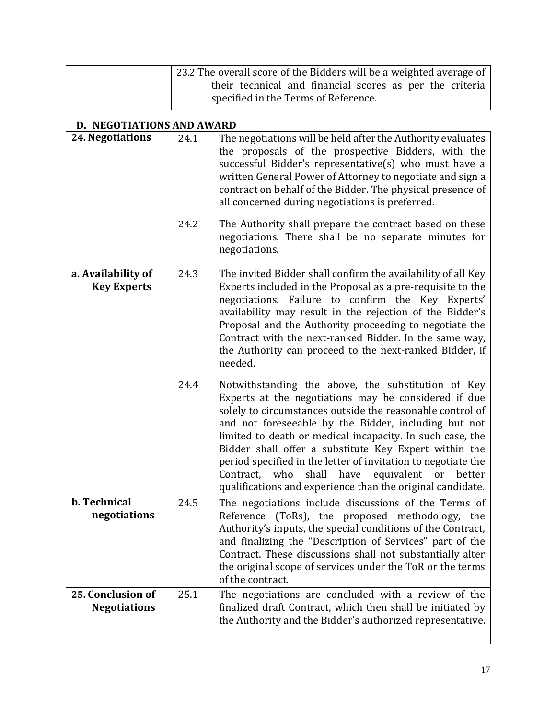| 23.2 The overall score of the Bidders will be a weighted average of $\vert$ |
|-----------------------------------------------------------------------------|
| their technical and financial scores as per the criteria                    |
| specified in the Terms of Reference.                                        |

# **D. NEGOTIATIONS AND AWARD**

| 24. Negotiations                         | 24.1 | The negotiations will be held after the Authority evaluates<br>the proposals of the prospective Bidders, with the<br>successful Bidder's representative(s) who must have a<br>written General Power of Attorney to negotiate and sign a<br>contract on behalf of the Bidder. The physical presence of<br>all concerned during negotiations is preferred.                                                                                                                                                                                             |
|------------------------------------------|------|------------------------------------------------------------------------------------------------------------------------------------------------------------------------------------------------------------------------------------------------------------------------------------------------------------------------------------------------------------------------------------------------------------------------------------------------------------------------------------------------------------------------------------------------------|
|                                          | 24.2 | The Authority shall prepare the contract based on these<br>negotiations. There shall be no separate minutes for<br>negotiations.                                                                                                                                                                                                                                                                                                                                                                                                                     |
| a. Availability of<br><b>Key Experts</b> | 24.3 | The invited Bidder shall confirm the availability of all Key<br>Experts included in the Proposal as a pre-requisite to the<br>negotiations. Failure to confirm the Key Experts'<br>availability may result in the rejection of the Bidder's<br>Proposal and the Authority proceeding to negotiate the<br>Contract with the next-ranked Bidder. In the same way,<br>the Authority can proceed to the next-ranked Bidder, if<br>needed.                                                                                                                |
|                                          | 24.4 | Notwithstanding the above, the substitution of Key<br>Experts at the negotiations may be considered if due<br>solely to circumstances outside the reasonable control of<br>and not foreseeable by the Bidder, including but not<br>limited to death or medical incapacity. In such case, the<br>Bidder shall offer a substitute Key Expert within the<br>period specified in the letter of invitation to negotiate the<br>shall<br>have<br>equivalent or<br>Contract,<br>who<br>better<br>qualifications and experience than the original candidate. |
| <b>b.</b> Technical<br>negotiations      | 24.5 | The negotiations include discussions of the Terms of<br>Reference (ToRs), the proposed methodology, the<br>Authority's inputs, the special conditions of the Contract,<br>and finalizing the "Description of Services" part of the<br>Contract. These discussions shall not substantially alter<br>the original scope of services under the ToR or the terms<br>of the contract.                                                                                                                                                                     |
| 25. Conclusion of<br><b>Negotiations</b> | 25.1 | The negotiations are concluded with a review of the<br>finalized draft Contract, which then shall be initiated by<br>the Authority and the Bidder's authorized representative.                                                                                                                                                                                                                                                                                                                                                                       |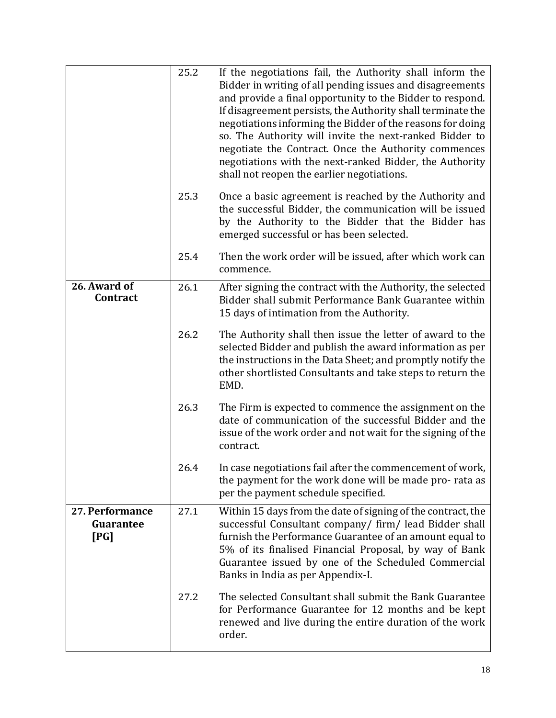|                                      | 25.2 | If the negotiations fail, the Authority shall inform the<br>Bidder in writing of all pending issues and disagreements<br>and provide a final opportunity to the Bidder to respond.<br>If disagreement persists, the Authority shall terminate the<br>negotiations informing the Bidder of the reasons for doing<br>so. The Authority will invite the next-ranked Bidder to<br>negotiate the Contract. Once the Authority commences<br>negotiations with the next-ranked Bidder, the Authority<br>shall not reopen the earlier negotiations. |
|--------------------------------------|------|---------------------------------------------------------------------------------------------------------------------------------------------------------------------------------------------------------------------------------------------------------------------------------------------------------------------------------------------------------------------------------------------------------------------------------------------------------------------------------------------------------------------------------------------|
|                                      | 25.3 | Once a basic agreement is reached by the Authority and<br>the successful Bidder, the communication will be issued<br>by the Authority to the Bidder that the Bidder has<br>emerged successful or has been selected.                                                                                                                                                                                                                                                                                                                         |
|                                      | 25.4 | Then the work order will be issued, after which work can<br>commence.                                                                                                                                                                                                                                                                                                                                                                                                                                                                       |
| 26. Award of<br>Contract             | 26.1 | After signing the contract with the Authority, the selected<br>Bidder shall submit Performance Bank Guarantee within<br>15 days of intimation from the Authority.                                                                                                                                                                                                                                                                                                                                                                           |
|                                      | 26.2 | The Authority shall then issue the letter of award to the<br>selected Bidder and publish the award information as per<br>the instructions in the Data Sheet; and promptly notify the<br>other shortlisted Consultants and take steps to return the<br>EMD.                                                                                                                                                                                                                                                                                  |
|                                      | 26.3 | The Firm is expected to commence the assignment on the<br>date of communication of the successful Bidder and the<br>issue of the work order and not wait for the signing of the<br>contract.                                                                                                                                                                                                                                                                                                                                                |
|                                      | 26.4 | In case negotiations fail after the commencement of work,<br>the payment for the work done will be made pro-rata as<br>per the payment schedule specified.                                                                                                                                                                                                                                                                                                                                                                                  |
| 27. Performance<br>Guarantee<br>[PG] | 27.1 | Within 15 days from the date of signing of the contract, the<br>successful Consultant company/ firm/ lead Bidder shall<br>furnish the Performance Guarantee of an amount equal to<br>5% of its finalised Financial Proposal, by way of Bank<br>Guarantee issued by one of the Scheduled Commercial<br>Banks in India as per Appendix-I.                                                                                                                                                                                                     |
|                                      | 27.2 | The selected Consultant shall submit the Bank Guarantee<br>for Performance Guarantee for 12 months and be kept<br>renewed and live during the entire duration of the work<br>order.                                                                                                                                                                                                                                                                                                                                                         |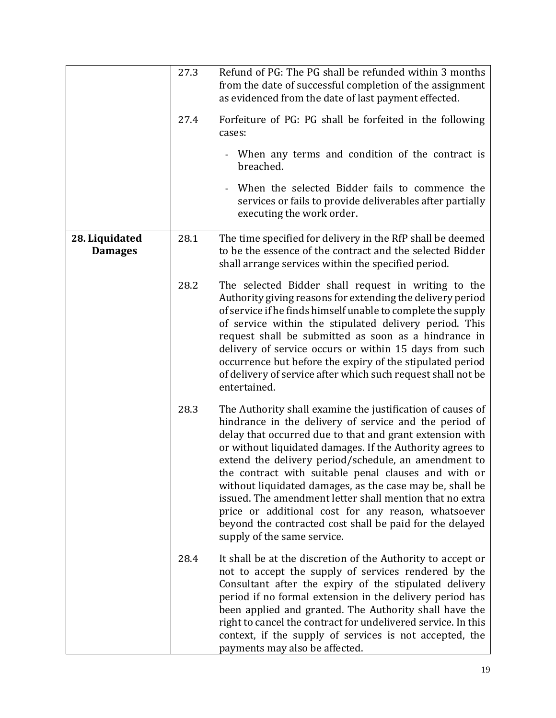|                                  | 27.3 | Refund of PG: The PG shall be refunded within 3 months<br>from the date of successful completion of the assignment<br>as evidenced from the date of last payment effected.                                                                                                                                                                                                                                                                                                                                                                                                                                                              |
|----------------------------------|------|-----------------------------------------------------------------------------------------------------------------------------------------------------------------------------------------------------------------------------------------------------------------------------------------------------------------------------------------------------------------------------------------------------------------------------------------------------------------------------------------------------------------------------------------------------------------------------------------------------------------------------------------|
|                                  | 27.4 | Forfeiture of PG: PG shall be forfeited in the following<br>cases:                                                                                                                                                                                                                                                                                                                                                                                                                                                                                                                                                                      |
|                                  |      | When any terms and condition of the contract is<br>breached.                                                                                                                                                                                                                                                                                                                                                                                                                                                                                                                                                                            |
|                                  |      | When the selected Bidder fails to commence the<br>services or fails to provide deliverables after partially<br>executing the work order.                                                                                                                                                                                                                                                                                                                                                                                                                                                                                                |
| 28. Liquidated<br><b>Damages</b> | 28.1 | The time specified for delivery in the RfP shall be deemed<br>to be the essence of the contract and the selected Bidder<br>shall arrange services within the specified period.                                                                                                                                                                                                                                                                                                                                                                                                                                                          |
|                                  | 28.2 | The selected Bidder shall request in writing to the<br>Authority giving reasons for extending the delivery period<br>of service if he finds himself unable to complete the supply<br>of service within the stipulated delivery period. This<br>request shall be submitted as soon as a hindrance in<br>delivery of service occurs or within 15 days from such<br>occurrence but before the expiry of the stipulated period<br>of delivery of service after which such request shall not be<br>entertained.                                                                                                                              |
|                                  | 28.3 | The Authority shall examine the justification of causes of<br>hindrance in the delivery of service and the period of<br>delay that occurred due to that and grant extension with<br>or without liquidated damages. If the Authority agrees to<br>extend the delivery period/schedule, an amendment to<br>the contract with suitable penal clauses and with or<br>without liquidated damages, as the case may be, shall be<br>issued. The amendment letter shall mention that no extra<br>price or additional cost for any reason, whatsoever<br>beyond the contracted cost shall be paid for the delayed<br>supply of the same service. |
|                                  | 28.4 | It shall be at the discretion of the Authority to accept or<br>not to accept the supply of services rendered by the<br>Consultant after the expiry of the stipulated delivery<br>period if no formal extension in the delivery period has<br>been applied and granted. The Authority shall have the<br>right to cancel the contract for undelivered service. In this<br>context, if the supply of services is not accepted, the<br>payments may also be affected.                                                                                                                                                                       |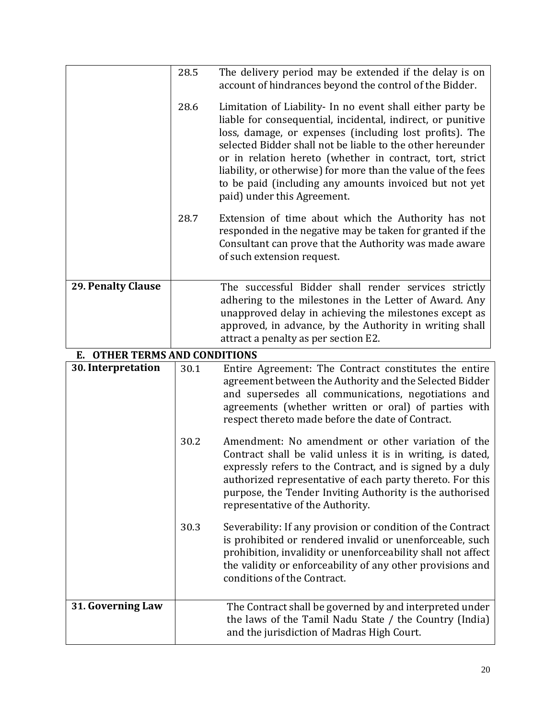|                               | 28.5 | The delivery period may be extended if the delay is on<br>account of hindrances beyond the control of the Bidder.                                                                                                                                                                                                                                                                                                                                                       |
|-------------------------------|------|-------------------------------------------------------------------------------------------------------------------------------------------------------------------------------------------------------------------------------------------------------------------------------------------------------------------------------------------------------------------------------------------------------------------------------------------------------------------------|
|                               | 28.6 | Limitation of Liability- In no event shall either party be<br>liable for consequential, incidental, indirect, or punitive<br>loss, damage, or expenses (including lost profits). The<br>selected Bidder shall not be liable to the other hereunder<br>or in relation hereto (whether in contract, tort, strict<br>liability, or otherwise) for more than the value of the fees<br>to be paid (including any amounts invoiced but not yet<br>paid) under this Agreement. |
|                               | 28.7 | Extension of time about which the Authority has not<br>responded in the negative may be taken for granted if the<br>Consultant can prove that the Authority was made aware<br>of such extension request.                                                                                                                                                                                                                                                                |
| <b>29. Penalty Clause</b>     |      | The successful Bidder shall render services strictly<br>adhering to the milestones in the Letter of Award. Any<br>unapproved delay in achieving the milestones except as<br>approved, in advance, by the Authority in writing shall<br>attract a penalty as per section E2.                                                                                                                                                                                             |
| E. OTHER TERMS AND CONDITIONS |      |                                                                                                                                                                                                                                                                                                                                                                                                                                                                         |
| 30. Interpretation            | 30.1 | Entire Agreement: The Contract constitutes the entire<br>agreement between the Authority and the Selected Bidder<br>and supersedes all communications, negotiations and<br>agreements (whether written or oral) of parties with<br>respect thereto made before the date of Contract.                                                                                                                                                                                    |
|                               | 30.2 | Amendment: No amendment or other variation of the<br>Contract shall be valid unless it is in writing, is dated,<br>expressly refers to the Contract, and is signed by a duly<br>authorized representative of each party thereto. For this<br>purpose, the Tender Inviting Authority is the authorised<br>representative of the Authority.                                                                                                                               |
|                               | 30.3 | Severability: If any provision or condition of the Contract<br>is prohibited or rendered invalid or unenforceable, such<br>prohibition, invalidity or unenforceability shall not affect<br>the validity or enforceability of any other provisions and<br>conditions of the Contract.                                                                                                                                                                                    |
| 31. Governing Law             |      | The Contract shall be governed by and interpreted under<br>the laws of the Tamil Nadu State / the Country (India)<br>and the jurisdiction of Madras High Court.                                                                                                                                                                                                                                                                                                         |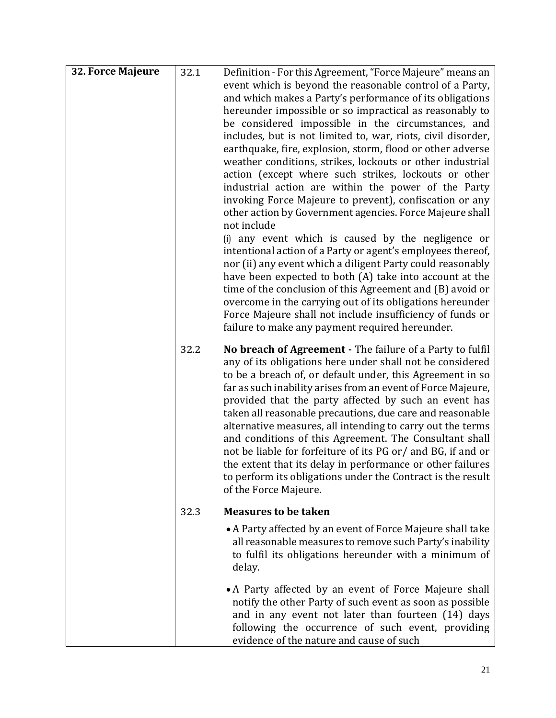| 32. Force Majeure | 32.1 | Definition - For this Agreement, "Force Majeure" means an<br>event which is beyond the reasonable control of a Party,<br>and which makes a Party's performance of its obligations<br>hereunder impossible or so impractical as reasonably to<br>be considered impossible in the circumstances, and<br>includes, but is not limited to, war, riots, civil disorder,<br>earthquake, fire, explosion, storm, flood or other adverse<br>weather conditions, strikes, lockouts or other industrial<br>action (except where such strikes, lockouts or other<br>industrial action are within the power of the Party<br>invoking Force Majeure to prevent), confiscation or any<br>other action by Government agencies. Force Majeure shall<br>not include<br>(i) any event which is caused by the negligence or<br>intentional action of a Party or agent's employees thereof,<br>nor (ii) any event which a diligent Party could reasonably<br>have been expected to both (A) take into account at the<br>time of the conclusion of this Agreement and (B) avoid or<br>overcome in the carrying out of its obligations hereunder<br>Force Majeure shall not include insufficiency of funds or<br>failure to make any payment required hereunder. |
|-------------------|------|--------------------------------------------------------------------------------------------------------------------------------------------------------------------------------------------------------------------------------------------------------------------------------------------------------------------------------------------------------------------------------------------------------------------------------------------------------------------------------------------------------------------------------------------------------------------------------------------------------------------------------------------------------------------------------------------------------------------------------------------------------------------------------------------------------------------------------------------------------------------------------------------------------------------------------------------------------------------------------------------------------------------------------------------------------------------------------------------------------------------------------------------------------------------------------------------------------------------------------------------|
|                   | 32.2 | No breach of Agreement - The failure of a Party to fulfil<br>any of its obligations here under shall not be considered<br>to be a breach of, or default under, this Agreement in so<br>far as such inability arises from an event of Force Majeure,<br>provided that the party affected by such an event has<br>taken all reasonable precautions, due care and reasonable<br>alternative measures, all intending to carry out the terms<br>and conditions of this Agreement. The Consultant shall<br>not be liable for forfeiture of its PG or/ and BG, if and or<br>the extent that its delay in performance or other failures<br>to perform its obligations under the Contract is the result<br>of the Force Majeure.                                                                                                                                                                                                                                                                                                                                                                                                                                                                                                                    |
|                   | 32.3 | <b>Measures to be taken</b>                                                                                                                                                                                                                                                                                                                                                                                                                                                                                                                                                                                                                                                                                                                                                                                                                                                                                                                                                                                                                                                                                                                                                                                                                |
|                   |      | • A Party affected by an event of Force Majeure shall take<br>all reasonable measures to remove such Party's inability<br>to fulfil its obligations hereunder with a minimum of<br>delay.                                                                                                                                                                                                                                                                                                                                                                                                                                                                                                                                                                                                                                                                                                                                                                                                                                                                                                                                                                                                                                                  |
|                   |      | • A Party affected by an event of Force Majeure shall<br>notify the other Party of such event as soon as possible<br>and in any event not later than fourteen (14) days<br>following the occurrence of such event, providing<br>evidence of the nature and cause of such                                                                                                                                                                                                                                                                                                                                                                                                                                                                                                                                                                                                                                                                                                                                                                                                                                                                                                                                                                   |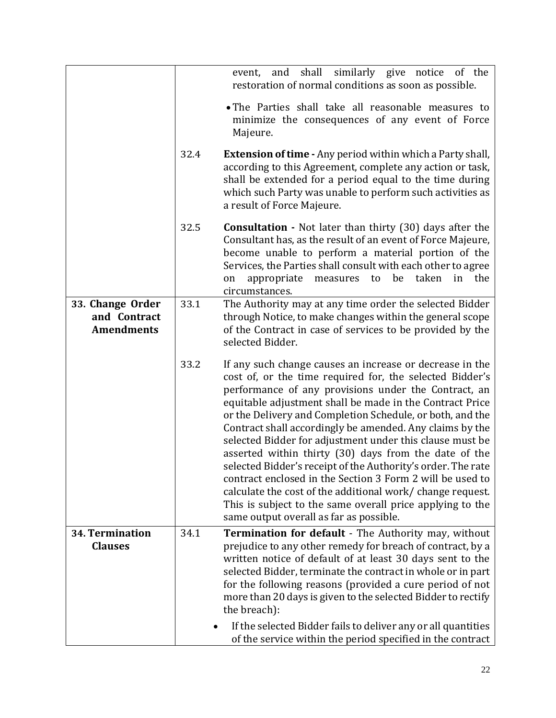|                                                       |      | shall<br>similarly give notice<br>and<br>of the<br>event,<br>restoration of normal conditions as soon as possible.                                                                                                                                                                                                                                                                                                                                                                                                                                                                                                                                                                                                                                                                        |
|-------------------------------------------------------|------|-------------------------------------------------------------------------------------------------------------------------------------------------------------------------------------------------------------------------------------------------------------------------------------------------------------------------------------------------------------------------------------------------------------------------------------------------------------------------------------------------------------------------------------------------------------------------------------------------------------------------------------------------------------------------------------------------------------------------------------------------------------------------------------------|
|                                                       |      | • The Parties shall take all reasonable measures to<br>minimize the consequences of any event of Force<br>Majeure.                                                                                                                                                                                                                                                                                                                                                                                                                                                                                                                                                                                                                                                                        |
|                                                       | 32.4 | <b>Extension of time - Any period within which a Party shall,</b><br>according to this Agreement, complete any action or task,<br>shall be extended for a period equal to the time during<br>which such Party was unable to perform such activities as<br>a result of Force Majeure.                                                                                                                                                                                                                                                                                                                                                                                                                                                                                                      |
|                                                       | 32.5 | <b>Consultation</b> - Not later than thirty (30) days after the<br>Consultant has, as the result of an event of Force Majeure,<br>become unable to perform a material portion of the<br>Services, the Parties shall consult with each other to agree<br>appropriate measures to be taken<br>in the<br>on<br>circumstances.                                                                                                                                                                                                                                                                                                                                                                                                                                                                |
| 33. Change Order<br>and Contract<br><b>Amendments</b> | 33.1 | The Authority may at any time order the selected Bidder<br>through Notice, to make changes within the general scope<br>of the Contract in case of services to be provided by the<br>selected Bidder.                                                                                                                                                                                                                                                                                                                                                                                                                                                                                                                                                                                      |
|                                                       | 33.2 | If any such change causes an increase or decrease in the<br>cost of, or the time required for, the selected Bidder's<br>performance of any provisions under the Contract, an<br>equitable adjustment shall be made in the Contract Price<br>or the Delivery and Completion Schedule, or both, and the<br>Contract shall accordingly be amended. Any claims by the<br>selected Bidder for adjustment under this clause must be<br>asserted within thirty (30) days from the date of the<br>selected Bidder's receipt of the Authority's order. The rate<br>contract enclosed in the Section 3 Form 2 will be used to<br>calculate the cost of the additional work/ change request.<br>This is subject to the same overall price applying to the<br>same output overall as far as possible. |
| 34. Termination                                       | 34.1 | Termination for default - The Authority may, without                                                                                                                                                                                                                                                                                                                                                                                                                                                                                                                                                                                                                                                                                                                                      |
| <b>Clauses</b>                                        |      | prejudice to any other remedy for breach of contract, by a                                                                                                                                                                                                                                                                                                                                                                                                                                                                                                                                                                                                                                                                                                                                |
|                                                       |      | written notice of default of at least 30 days sent to the<br>selected Bidder, terminate the contract in whole or in part                                                                                                                                                                                                                                                                                                                                                                                                                                                                                                                                                                                                                                                                  |
|                                                       |      | for the following reasons (provided a cure period of not                                                                                                                                                                                                                                                                                                                                                                                                                                                                                                                                                                                                                                                                                                                                  |
|                                                       |      | more than 20 days is given to the selected Bidder to rectify<br>the breach):                                                                                                                                                                                                                                                                                                                                                                                                                                                                                                                                                                                                                                                                                                              |
|                                                       |      | If the selected Bidder fails to deliver any or all quantities<br>of the service within the period specified in the contract                                                                                                                                                                                                                                                                                                                                                                                                                                                                                                                                                                                                                                                               |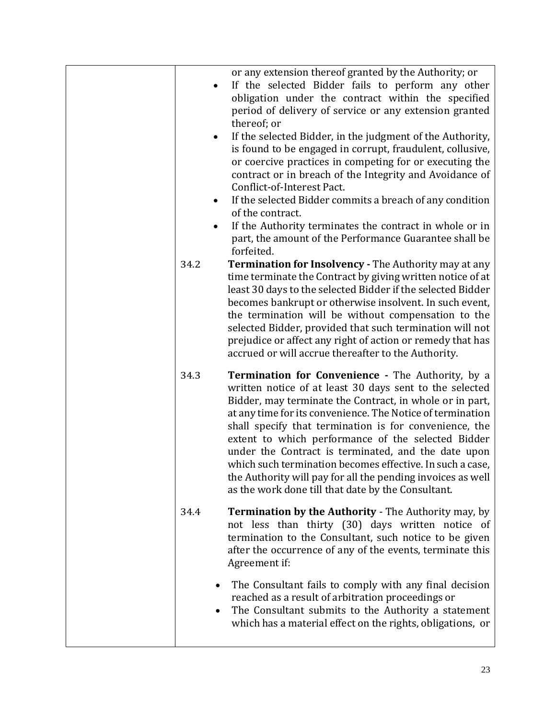| ٠         | or any extension thereof granted by the Authority; or<br>If the selected Bidder fails to perform any other<br>obligation under the contract within the specified<br>period of delivery of service or any extension granted<br>thereof; or<br>If the selected Bidder, in the judgment of the Authority,<br>is found to be engaged in corrupt, fraudulent, collusive,<br>or coercive practices in competing for or executing the                                                                                                                                                                         |
|-----------|--------------------------------------------------------------------------------------------------------------------------------------------------------------------------------------------------------------------------------------------------------------------------------------------------------------------------------------------------------------------------------------------------------------------------------------------------------------------------------------------------------------------------------------------------------------------------------------------------------|
| $\bullet$ | contract or in breach of the Integrity and Avoidance of<br>Conflict-of-Interest Pact.<br>If the selected Bidder commits a breach of any condition<br>of the contract.<br>If the Authority terminates the contract in whole or in<br>part, the amount of the Performance Guarantee shall be                                                                                                                                                                                                                                                                                                             |
| 34.2      | forfeited.<br><b>Termination for Insolvency - The Authority may at any</b><br>time terminate the Contract by giving written notice of at<br>least 30 days to the selected Bidder if the selected Bidder<br>becomes bankrupt or otherwise insolvent. In such event,<br>the termination will be without compensation to the<br>selected Bidder, provided that such termination will not<br>prejudice or affect any right of action or remedy that has<br>accrued or will accrue thereafter to the Authority.                                                                                             |
| 34.3      | <b>Termination for Convenience - The Authority, by a</b><br>written notice of at least 30 days sent to the selected<br>Bidder, may terminate the Contract, in whole or in part,<br>at any time for its convenience. The Notice of termination<br>shall specify that termination is for convenience, the<br>extent to which performance of the selected Bidder<br>under the Contract is terminated, and the date upon<br>which such termination becomes effective. In such a case,<br>the Authority will pay for all the pending invoices as well<br>as the work done till that date by the Consultant. |
| 34.4      | <b>Termination by the Authority - The Authority may, by</b><br>not less than thirty (30) days written notice of<br>termination to the Consultant, such notice to be given<br>after the occurrence of any of the events, terminate this<br>Agreement if:                                                                                                                                                                                                                                                                                                                                                |
|           | The Consultant fails to comply with any final decision<br>reached as a result of arbitration proceedings or<br>The Consultant submits to the Authority a statement<br>which has a material effect on the rights, obligations, or                                                                                                                                                                                                                                                                                                                                                                       |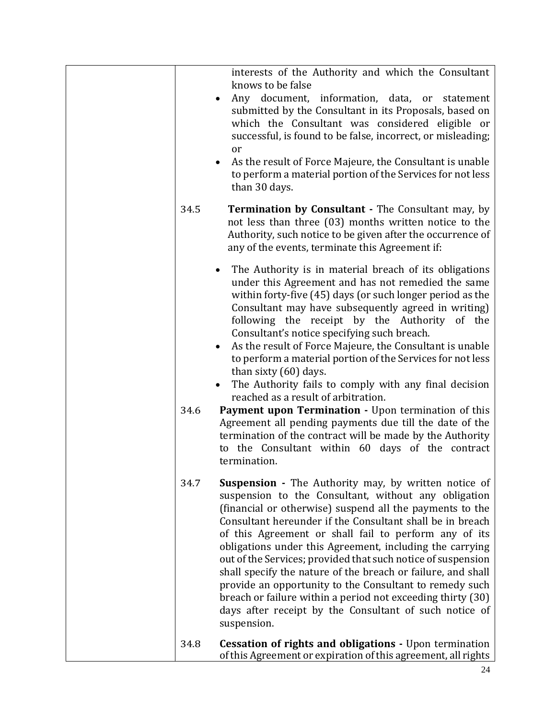|      | interests of the Authority and which the Consultant<br>knows to be false<br>Any document, information, data, or<br>statement<br>submitted by the Consultant in its Proposals, based on<br>which the Consultant was considered eligible or<br>successful, is found to be false, incorrect, or misleading;<br><sub>or</sub><br>As the result of Force Majeure, the Consultant is unable<br>to perform a material portion of the Services for not less<br>than 30 days.                                                                                                                                                                                                                                                                                                                                                                   |
|------|----------------------------------------------------------------------------------------------------------------------------------------------------------------------------------------------------------------------------------------------------------------------------------------------------------------------------------------------------------------------------------------------------------------------------------------------------------------------------------------------------------------------------------------------------------------------------------------------------------------------------------------------------------------------------------------------------------------------------------------------------------------------------------------------------------------------------------------|
| 34.5 | <b>Termination by Consultant - The Consultant may, by</b><br>not less than three (03) months written notice to the<br>Authority, such notice to be given after the occurrence of<br>any of the events, terminate this Agreement if:                                                                                                                                                                                                                                                                                                                                                                                                                                                                                                                                                                                                    |
| 34.6 | The Authority is in material breach of its obligations<br>under this Agreement and has not remedied the same<br>within forty-five (45) days (or such longer period as the<br>Consultant may have subsequently agreed in writing)<br>following the receipt by the Authority of the<br>Consultant's notice specifying such breach.<br>As the result of Force Majeure, the Consultant is unable<br>to perform a material portion of the Services for not less<br>than sixty (60) days.<br>The Authority fails to comply with any final decision<br>reached as a result of arbitration.<br>Payment upon Termination - Upon termination of this<br>Agreement all pending payments due till the date of the<br>termination of the contract will be made by the Authority<br>to the Consultant within 60 days of the contract<br>termination. |
| 34.7 | <b>Suspension</b> - The Authority may, by written notice of<br>suspension to the Consultant, without any obligation<br>(financial or otherwise) suspend all the payments to the<br>Consultant hereunder if the Consultant shall be in breach<br>of this Agreement or shall fail to perform any of its<br>obligations under this Agreement, including the carrying<br>out of the Services; provided that such notice of suspension<br>shall specify the nature of the breach or failure, and shall<br>provide an opportunity to the Consultant to remedy such<br>breach or failure within a period not exceeding thirty (30)<br>days after receipt by the Consultant of such notice of<br>suspension.                                                                                                                                   |
| 34.8 | <b>Cessation of rights and obligations - Upon termination</b><br>of this Agreement or expiration of this agreement, all rights                                                                                                                                                                                                                                                                                                                                                                                                                                                                                                                                                                                                                                                                                                         |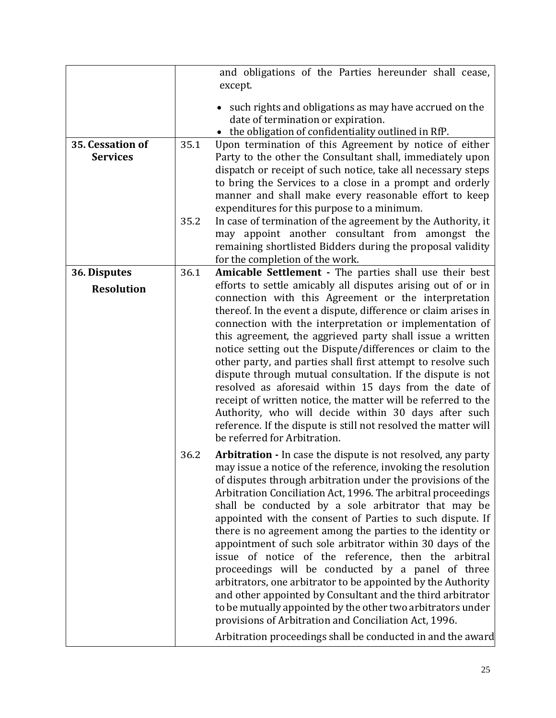| 35. Cessation of<br><b>Services</b> | 35.1<br>35.2 | and obligations of the Parties hereunder shall cease,<br>except.<br>• such rights and obligations as may have accrued on the<br>date of termination or expiration.<br>• the obligation of confidentiality outlined in RfP.<br>Upon termination of this Agreement by notice of either<br>Party to the other the Consultant shall, immediately upon<br>dispatch or receipt of such notice, take all necessary steps<br>to bring the Services to a close in a prompt and orderly<br>manner and shall make every reasonable effort to keep<br>expenditures for this purpose to a minimum.<br>In case of termination of the agreement by the Authority, it<br>may appoint another consultant from amongst the<br>remaining shortlisted Bidders during the proposal validity<br>for the completion of the work.                                                                                                                                   |
|-------------------------------------|--------------|---------------------------------------------------------------------------------------------------------------------------------------------------------------------------------------------------------------------------------------------------------------------------------------------------------------------------------------------------------------------------------------------------------------------------------------------------------------------------------------------------------------------------------------------------------------------------------------------------------------------------------------------------------------------------------------------------------------------------------------------------------------------------------------------------------------------------------------------------------------------------------------------------------------------------------------------|
| 36. Disputes                        | 36.1         | Amicable Settlement - The parties shall use their best                                                                                                                                                                                                                                                                                                                                                                                                                                                                                                                                                                                                                                                                                                                                                                                                                                                                                      |
| <b>Resolution</b>                   |              | efforts to settle amicably all disputes arising out of or in<br>connection with this Agreement or the interpretation<br>thereof. In the event a dispute, difference or claim arises in<br>connection with the interpretation or implementation of<br>this agreement, the aggrieved party shall issue a written<br>notice setting out the Dispute/differences or claim to the<br>other party, and parties shall first attempt to resolve such<br>dispute through mutual consultation. If the dispute is not<br>resolved as aforesaid within 15 days from the date of<br>receipt of written notice, the matter will be referred to the<br>Authority, who will decide within 30 days after such<br>reference. If the dispute is still not resolved the matter will<br>be referred for Arbitration.                                                                                                                                             |
|                                     | 36.2         | Arbitration - In case the dispute is not resolved, any party<br>may issue a notice of the reference, invoking the resolution<br>of disputes through arbitration under the provisions of the<br>Arbitration Conciliation Act, 1996. The arbitral proceedings<br>shall be conducted by a sole arbitrator that may be<br>appointed with the consent of Parties to such dispute. If<br>there is no agreement among the parties to the identity or<br>appointment of such sole arbitrator within 30 days of the<br>issue of notice of the reference, then the arbitral<br>proceedings will be conducted by a panel of three<br>arbitrators, one arbitrator to be appointed by the Authority<br>and other appointed by Consultant and the third arbitrator<br>to be mutually appointed by the other two arbitrators under<br>provisions of Arbitration and Conciliation Act, 1996.<br>Arbitration proceedings shall be conducted in and the award |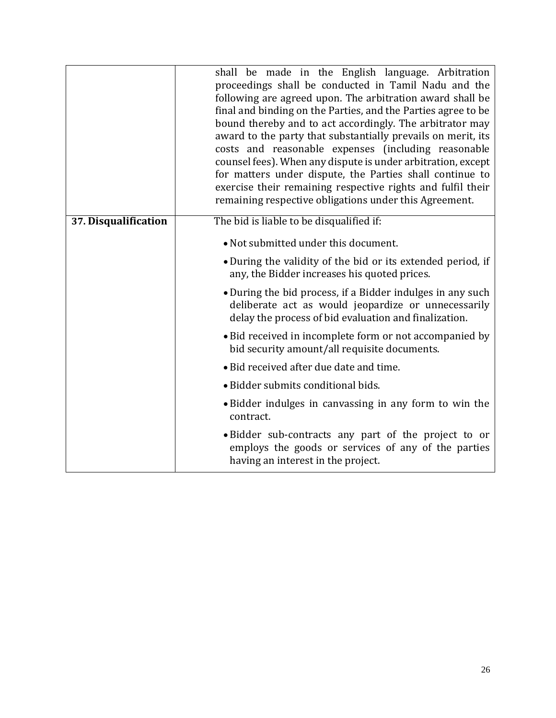|                      | shall be made in the English language. Arbitration<br>proceedings shall be conducted in Tamil Nadu and the<br>following are agreed upon. The arbitration award shall be<br>final and binding on the Parties, and the Parties agree to be<br>bound thereby and to act accordingly. The arbitrator may<br>award to the party that substantially prevails on merit, its<br>costs and reasonable expenses (including reasonable<br>counsel fees). When any dispute is under arbitration, except<br>for matters under dispute, the Parties shall continue to<br>exercise their remaining respective rights and fulfil their<br>remaining respective obligations under this Agreement. |  |  |  |
|----------------------|----------------------------------------------------------------------------------------------------------------------------------------------------------------------------------------------------------------------------------------------------------------------------------------------------------------------------------------------------------------------------------------------------------------------------------------------------------------------------------------------------------------------------------------------------------------------------------------------------------------------------------------------------------------------------------|--|--|--|
| 37. Disqualification | The bid is liable to be disqualified if:                                                                                                                                                                                                                                                                                                                                                                                                                                                                                                                                                                                                                                         |  |  |  |
|                      | • Not submitted under this document.                                                                                                                                                                                                                                                                                                                                                                                                                                                                                                                                                                                                                                             |  |  |  |
|                      | • During the validity of the bid or its extended period, if<br>any, the Bidder increases his quoted prices.                                                                                                                                                                                                                                                                                                                                                                                                                                                                                                                                                                      |  |  |  |
|                      | • During the bid process, if a Bidder indulges in any such<br>deliberate act as would jeopardize or unnecessarily<br>delay the process of bid evaluation and finalization.                                                                                                                                                                                                                                                                                                                                                                                                                                                                                                       |  |  |  |
|                      | • Bid received in incomplete form or not accompanied by<br>bid security amount/all requisite documents.                                                                                                                                                                                                                                                                                                                                                                                                                                                                                                                                                                          |  |  |  |
|                      | • Bid received after due date and time.                                                                                                                                                                                                                                                                                                                                                                                                                                                                                                                                                                                                                                          |  |  |  |
|                      | • Bidder submits conditional bids.                                                                                                                                                                                                                                                                                                                                                                                                                                                                                                                                                                                                                                               |  |  |  |
|                      | • Bidder indulges in canvassing in any form to win the<br>contract.                                                                                                                                                                                                                                                                                                                                                                                                                                                                                                                                                                                                              |  |  |  |
|                      | • Bidder sub-contracts any part of the project to or<br>employs the goods or services of any of the parties<br>having an interest in the project.                                                                                                                                                                                                                                                                                                                                                                                                                                                                                                                                |  |  |  |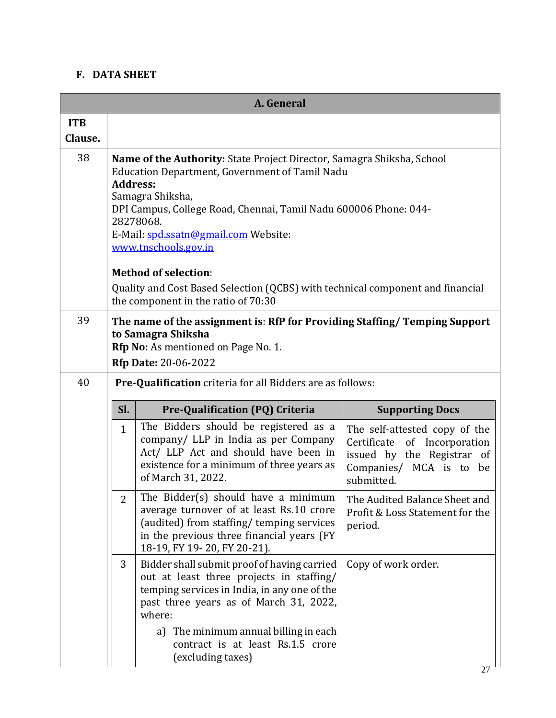# **F. DATA SHEET**

|            | A. General                                                                                                                                                                                                                                                                                                              |                                                                                                                                                                                                                                                                                                |                                                                                                                                      |  |  |  |  |
|------------|-------------------------------------------------------------------------------------------------------------------------------------------------------------------------------------------------------------------------------------------------------------------------------------------------------------------------|------------------------------------------------------------------------------------------------------------------------------------------------------------------------------------------------------------------------------------------------------------------------------------------------|--------------------------------------------------------------------------------------------------------------------------------------|--|--|--|--|
| <b>ITB</b> |                                                                                                                                                                                                                                                                                                                         |                                                                                                                                                                                                                                                                                                |                                                                                                                                      |  |  |  |  |
| Clause.    |                                                                                                                                                                                                                                                                                                                         |                                                                                                                                                                                                                                                                                                |                                                                                                                                      |  |  |  |  |
| 38         | Name of the Authority: State Project Director, Samagra Shiksha, School<br><b>Education Department, Government of Tamil Nadu</b><br><b>Address:</b><br>Samagra Shiksha,<br>DPI Campus, College Road, Chennai, Tamil Nadu 600006 Phone: 044-<br>28278068.<br>E-Mail: spd.ssatn@gmail.com Website:<br>www.tnschools.gov.in |                                                                                                                                                                                                                                                                                                |                                                                                                                                      |  |  |  |  |
|            |                                                                                                                                                                                                                                                                                                                         | <b>Method of selection:</b><br>Quality and Cost Based Selection (QCBS) with technical component and financial                                                                                                                                                                                  |                                                                                                                                      |  |  |  |  |
|            |                                                                                                                                                                                                                                                                                                                         | the component in the ratio of 70:30                                                                                                                                                                                                                                                            |                                                                                                                                      |  |  |  |  |
| 39         | The name of the assignment is: RfP for Providing Staffing/ Temping Support<br>to Samagra Shiksha<br><b>Rfp No:</b> As mentioned on Page No. 1.<br><b>Rfp Date: 20-06-2022</b>                                                                                                                                           |                                                                                                                                                                                                                                                                                                |                                                                                                                                      |  |  |  |  |
| 40         |                                                                                                                                                                                                                                                                                                                         | <b>Pre-Qualification</b> criteria for all Bidders are as follows:                                                                                                                                                                                                                              |                                                                                                                                      |  |  |  |  |
|            | Sl.<br>Pre-Qualification (PQ) Criteria<br><b>Supporting Docs</b>                                                                                                                                                                                                                                                        |                                                                                                                                                                                                                                                                                                |                                                                                                                                      |  |  |  |  |
|            | $\mathbf{1}$                                                                                                                                                                                                                                                                                                            | The Bidders should be registered as a<br>company/ LLP in India as per Company<br>Act/ LLP Act and should have been in<br>existence for a minimum of three years as<br>of March 31, 2022.                                                                                                       | The self-attested copy of the<br>Certificate of Incorporation<br>issued by the Registrar of<br>Companies/ MCA is to be<br>submitted. |  |  |  |  |
|            | The Bidder(s) should have a minimum<br>average turnover of at least Rs.10 crore<br>(audited) from staffing/ temping services<br>in the previous three financial years (FY<br>18-19, FY 19-20, FY 20-21).                                                                                                                |                                                                                                                                                                                                                                                                                                | The Audited Balance Sheet and<br>Profit & Loss Statement for the<br>period.                                                          |  |  |  |  |
|            | 3                                                                                                                                                                                                                                                                                                                       | Bidder shall submit proof of having carried<br>out at least three projects in staffing/<br>temping services in India, in any one of the<br>past three years as of March 31, 2022,<br>where:<br>a) The minimum annual billing in each<br>contract is at least Rs.1.5 crore<br>(excluding taxes) | Copy of work order.                                                                                                                  |  |  |  |  |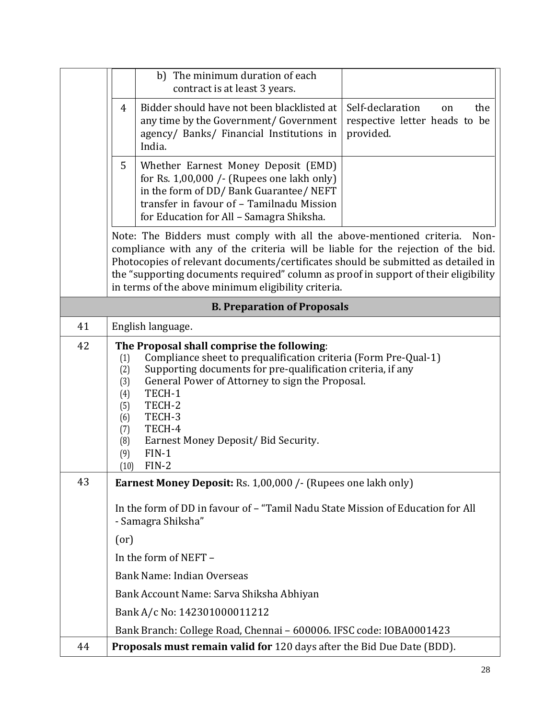|    |                                                                                                                                                                                                                                                                                                                                                                                                     | b) The minimum duration of each<br>contract is at least 3 years.                                                                                                                                                                                                                                                                      |                                                                             |  |  |  |  |
|----|-----------------------------------------------------------------------------------------------------------------------------------------------------------------------------------------------------------------------------------------------------------------------------------------------------------------------------------------------------------------------------------------------------|---------------------------------------------------------------------------------------------------------------------------------------------------------------------------------------------------------------------------------------------------------------------------------------------------------------------------------------|-----------------------------------------------------------------------------|--|--|--|--|
|    | 4                                                                                                                                                                                                                                                                                                                                                                                                   | Bidder should have not been blacklisted at<br>any time by the Government/ Government<br>agency/ Banks/ Financial Institutions in<br>India.                                                                                                                                                                                            | Self-declaration<br>the<br>on<br>respective letter heads to be<br>provided. |  |  |  |  |
|    | 5                                                                                                                                                                                                                                                                                                                                                                                                   | Whether Earnest Money Deposit (EMD)<br>for Rs. 1,00,000 /- (Rupees one lakh only)<br>in the form of DD/ Bank Guarantee/ NEFT<br>transfer in favour of - Tamilnadu Mission<br>for Education for All - Samagra Shiksha.                                                                                                                 |                                                                             |  |  |  |  |
|    | Note: The Bidders must comply with all the above-mentioned criteria.<br>Non-<br>compliance with any of the criteria will be liable for the rejection of the bid.<br>Photocopies of relevant documents/certificates should be submitted as detailed in<br>the "supporting documents required" column as proof in support of their eligibility<br>in terms of the above minimum eligibility criteria. |                                                                                                                                                                                                                                                                                                                                       |                                                                             |  |  |  |  |
|    |                                                                                                                                                                                                                                                                                                                                                                                                     | <b>B. Preparation of Proposals</b>                                                                                                                                                                                                                                                                                                    |                                                                             |  |  |  |  |
| 41 |                                                                                                                                                                                                                                                                                                                                                                                                     | English language.                                                                                                                                                                                                                                                                                                                     |                                                                             |  |  |  |  |
| 42 | (1)<br>(2)<br>(3)<br>(4)<br>(5)<br>(6)<br>(7)<br>(8)<br>(9)<br>(10)                                                                                                                                                                                                                                                                                                                                 | The Proposal shall comprise the following:<br>Compliance sheet to prequalification criteria (Form Pre-Qual-1)<br>Supporting documents for pre-qualification criteria, if any<br>General Power of Attorney to sign the Proposal.<br>TECH-1<br>TECH-2<br>TECH-3<br>TECH-4<br>Earnest Money Deposit/ Bid Security.<br>$FIN-1$<br>$FIN-2$ |                                                                             |  |  |  |  |
| 43 |                                                                                                                                                                                                                                                                                                                                                                                                     | <b>Earnest Money Deposit:</b> Rs. 1,00,000 /- (Rupees one lakh only)                                                                                                                                                                                                                                                                  |                                                                             |  |  |  |  |
|    | In the form of DD in favour of - "Tamil Nadu State Mission of Education for All<br>- Samagra Shiksha"                                                                                                                                                                                                                                                                                               |                                                                                                                                                                                                                                                                                                                                       |                                                                             |  |  |  |  |
|    | (0r)                                                                                                                                                                                                                                                                                                                                                                                                |                                                                                                                                                                                                                                                                                                                                       |                                                                             |  |  |  |  |
|    | In the form of NEFT -                                                                                                                                                                                                                                                                                                                                                                               |                                                                                                                                                                                                                                                                                                                                       |                                                                             |  |  |  |  |
|    | Bank Name: Indian Overseas                                                                                                                                                                                                                                                                                                                                                                          |                                                                                                                                                                                                                                                                                                                                       |                                                                             |  |  |  |  |
|    |                                                                                                                                                                                                                                                                                                                                                                                                     | Bank Account Name: Sarva Shiksha Abhiyan                                                                                                                                                                                                                                                                                              |                                                                             |  |  |  |  |
|    |                                                                                                                                                                                                                                                                                                                                                                                                     | Bank A/c No: 142301000011212                                                                                                                                                                                                                                                                                                          |                                                                             |  |  |  |  |
|    |                                                                                                                                                                                                                                                                                                                                                                                                     | Bank Branch: College Road, Chennai - 600006. IFSC code: IOBA0001423                                                                                                                                                                                                                                                                   |                                                                             |  |  |  |  |
| 44 |                                                                                                                                                                                                                                                                                                                                                                                                     | <b>Proposals must remain valid for</b> 120 days after the Bid Due Date (BDD).                                                                                                                                                                                                                                                         |                                                                             |  |  |  |  |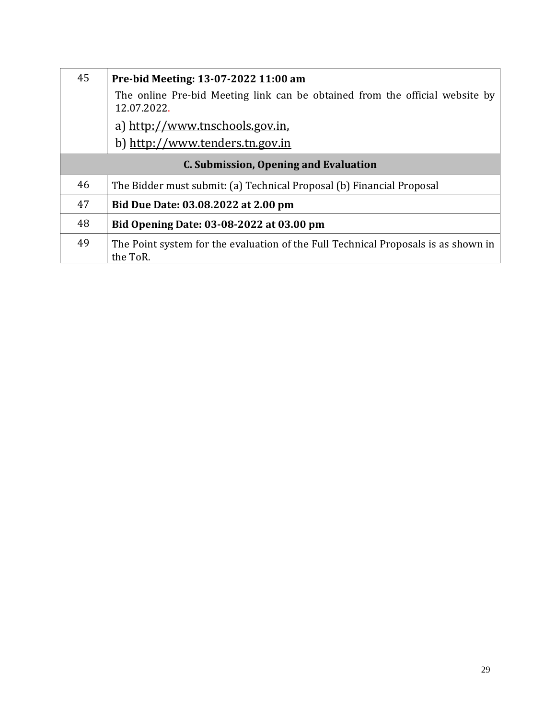| 45                                    | Pre-bid Meeting: 13-07-2022 11:00 am<br>The online Pre-bid Meeting link can be obtained from the official website by<br>12.07.2022.<br>a) http://www.tnschools.gov.in.<br>b) http://www.tenders.tn.gov.in |  |  |
|---------------------------------------|-----------------------------------------------------------------------------------------------------------------------------------------------------------------------------------------------------------|--|--|
| C. Submission, Opening and Evaluation |                                                                                                                                                                                                           |  |  |
| 46                                    | The Bidder must submit: (a) Technical Proposal (b) Financial Proposal                                                                                                                                     |  |  |
| 47                                    | Bid Due Date: 03.08.2022 at 2.00 pm                                                                                                                                                                       |  |  |
| 48                                    | Bid Opening Date: 03-08-2022 at 03.00 pm                                                                                                                                                                  |  |  |
| 49                                    | The Point system for the evaluation of the Full Technical Proposals is as shown in<br>the ToR.                                                                                                            |  |  |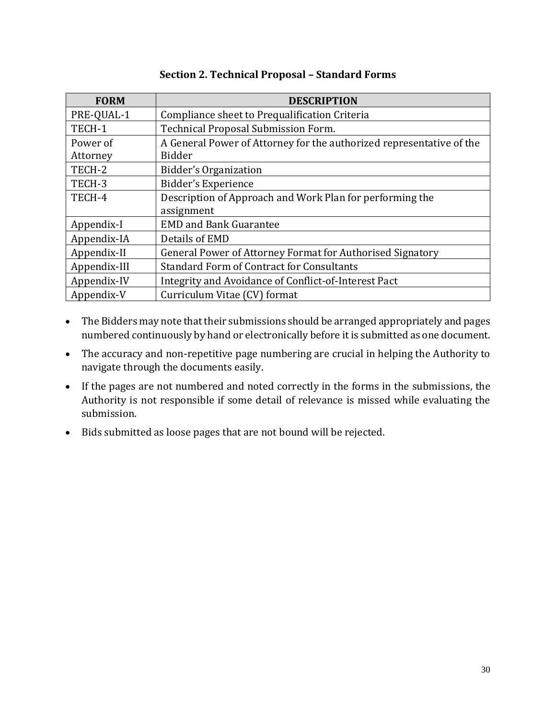<span id="page-29-0"></span>

| <b>FORM</b>  | <b>DESCRIPTION</b>                                                   |  |  |
|--------------|----------------------------------------------------------------------|--|--|
| PRE-QUAL-1   | Compliance sheet to Prequalification Criteria                        |  |  |
| TECH-1       | Technical Proposal Submission Form.                                  |  |  |
| Power of     | A General Power of Attorney for the authorized representative of the |  |  |
| Attorney     | <b>Bidder</b>                                                        |  |  |
| TECH-2       | Bidder's Organization                                                |  |  |
| TECH-3       | Bidder's Experience                                                  |  |  |
| TECH-4       | Description of Approach and Work Plan for performing the             |  |  |
|              | assignment                                                           |  |  |
| Appendix-I   | <b>EMD and Bank Guarantee</b>                                        |  |  |
| Appendix-IA  | Details of EMD                                                       |  |  |
| Appendix-II  | General Power of Attorney Format for Authorised Signatory            |  |  |
| Appendix-III | <b>Standard Form of Contract for Consultants</b>                     |  |  |
| Appendix-IV  | Integrity and Avoidance of Conflict-of-Interest Pact                 |  |  |
| Appendix-V   | Curriculum Vitae (CV) format                                         |  |  |

## **Section 2. Technical Proposal – Standard Forms**

- The Bidders may note that their submissions should be arranged appropriately and pages numbered continuously by hand or electronically before it is submitted as one document.
- The accuracy and non-repetitive page numbering are crucial in helping the Authority to navigate through the documents easily.
- If the pages are not numbered and noted correctly in the forms in the submissions, the Authority is not responsible if some detail of relevance is missed while evaluating the submission.
- Bids submitted as loose pages that are not bound will be rejected.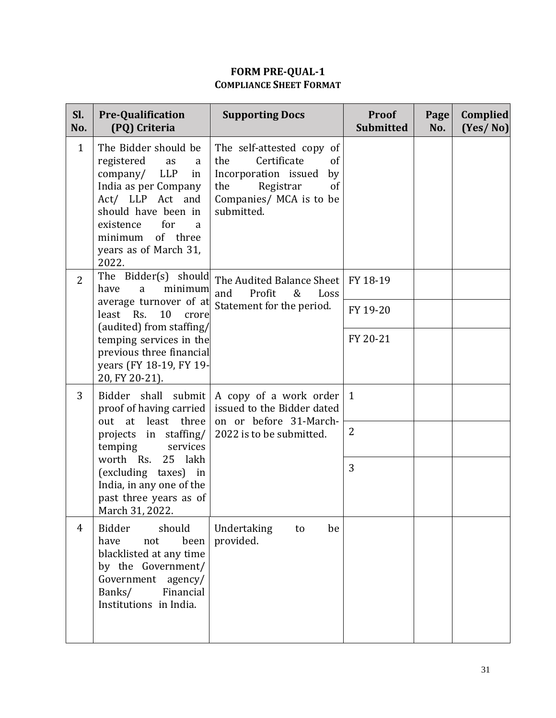# **FORM PRE-QUAL-1 COMPLIANCE SHEET FORMAT**

| Sl.<br>No.     | <b>Pre-Qualification</b><br>(PQ) Criteria                                                                                                                                                                                          | <b>Supporting Docs</b>                                                                                                                                 | <b>Proof</b><br><b>Submitted</b> | Page<br>No. | <b>Complied</b><br>(Yes/No) |
|----------------|------------------------------------------------------------------------------------------------------------------------------------------------------------------------------------------------------------------------------------|--------------------------------------------------------------------------------------------------------------------------------------------------------|----------------------------------|-------------|-----------------------------|
| $\mathbf{1}$   | The Bidder should be<br>registered<br>as<br>a<br>company/<br><b>LLP</b><br>in<br>India as per Company<br>Act/ LLP Act and<br>should have been in<br>existence<br>for<br>a<br>of three<br>minimum<br>years as of March 31,<br>2022. | The self-attested copy of<br>Certificate<br>of<br>the<br>Incorporation issued<br>by<br>the<br>Registrar<br>of<br>Companies/ MCA is to be<br>submitted. |                                  |             |                             |
| $\overline{2}$ | The Bidder(s) should<br>have<br>minimum<br>a<br>average turnover of at                                                                                                                                                             | The Audited Balance Sheet<br>and<br>Profit<br>Loss<br>&<br>Statement for the period.                                                                   | FY 18-19                         |             |                             |
|                | least Rs.<br>10<br>crore                                                                                                                                                                                                           |                                                                                                                                                        | FY 19-20                         |             |                             |
|                | (audited) from staffing/<br>temping services in the<br>previous three financial<br>years (FY 18-19, FY 19-<br>20, FY 20-21).                                                                                                       |                                                                                                                                                        | FY 20-21                         |             |                             |
| 3              | Bidder shall<br>submit<br>proof of having carried                                                                                                                                                                                  | A copy of a work order<br>issued to the Bidder dated                                                                                                   | 1                                |             |                             |
|                | out at least three<br>projects in staffing/<br>temping<br>services                                                                                                                                                                 | on or before 31-March-<br>2022 is to be submitted.                                                                                                     | 2                                |             |                             |
|                | worth Rs.<br>25 lakh<br>(excluding taxes) in<br>India, in any one of the<br>past three years as of<br>March 31, 2022.                                                                                                              |                                                                                                                                                        | 3                                |             |                             |
| 4              | <b>Bidder</b><br>should<br>been<br>have<br>not<br>blacklisted at any time<br>by the Government/<br>Government agency/<br>Banks/<br>Financial<br>Institutions in India.                                                             | Undertaking<br>be<br>to<br>provided.                                                                                                                   |                                  |             |                             |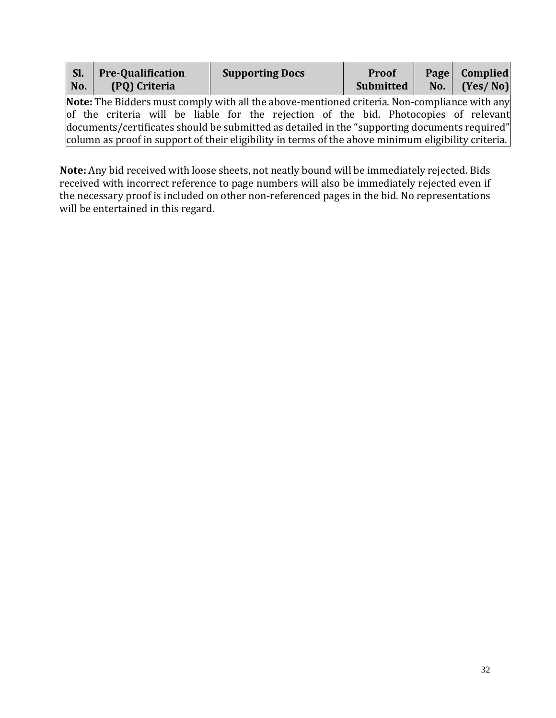| Sl.<br>No. | <b>Pre-Qualification</b><br>(PQ) Criteria                                                     |  | <b>Supporting Docs</b> |  | <b>Proof</b><br>Submitted |  | Page   Complied<br>No. $Yes/No$ |
|------------|-----------------------------------------------------------------------------------------------|--|------------------------|--|---------------------------|--|---------------------------------|
|            | Note: The Bidders must comply with all the above-mentioned criteria. Non-compliance with any  |  |                        |  |                           |  |                                 |
|            | of the criteria will be liable for the rejection of the bid. Photocopies of relevant          |  |                        |  |                           |  |                                 |
|            | documents/certificates should be submitted as detailed in the "supporting documents required" |  |                        |  |                           |  |                                 |

column as proof in support of their eligibility in terms of the above minimum eligibility criteria.

**Note:** Any bid received with loose sheets, not neatly bound will be immediately rejected. Bids received with incorrect reference to page numbers will also be immediately rejected even if the necessary proof is included on other non-referenced pages in the bid. No representations will be entertained in this regard.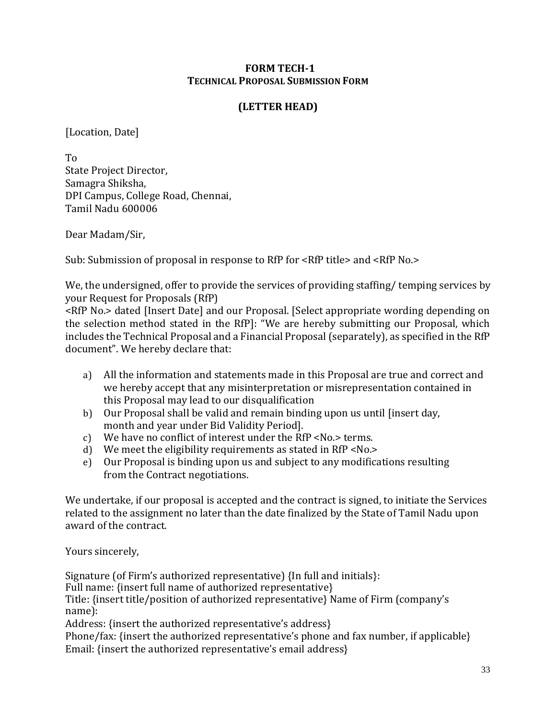### **FORM TECH-1 TECHNICAL PROPOSAL SUBMISSION FORM**

# **(LETTER HEAD)**

[Location, Date]

To State Project Director, Samagra Shiksha, DPI Campus, College Road, Chennai, Tamil Nadu 600006

Dear Madam/Sir,

Sub: Submission of proposal in response to RfP for <RfP title> and <RfP No.>

We, the undersigned, offer to provide the services of providing staffing/ temping services by your Request for Proposals (RfP)

<RfP No.> dated [Insert Date] and our Proposal. [Select appropriate wording depending on the selection method stated in the RfP]: "We are hereby submitting our Proposal, which includes the Technical Proposal and a Financial Proposal (separately), as specified in the RfP document". We hereby declare that:

- a) All the information and statements made in this Proposal are true and correct and we hereby accept that any misinterpretation or misrepresentation contained in this Proposal may lead to our disqualification
- b) Our Proposal shall be valid and remain binding upon us until [insert day, month and year under Bid Validity Period].
- c) We have no conflict of interest under the RfP <No.> terms.
- d) We meet the eligibility requirements as stated in RfP <No.>
- e) Our Proposal is binding upon us and subject to any modifications resulting from the Contract negotiations.

We undertake, if our proposal is accepted and the contract is signed, to initiate the Services related to the assignment no later than the date finalized by the State of Tamil Nadu upon award of the contract.

Yours sincerely,

Signature (of Firm's authorized representative) {In full and initials}: Full name: {insert full name of authorized representative} Title: {insert title/position of authorized representative} Name of Firm (company's name): Address: {insert the authorized representative's address}

Phone/fax: {insert the authorized representative's phone and fax number, if applicable} Email: {insert the authorized representative's email address}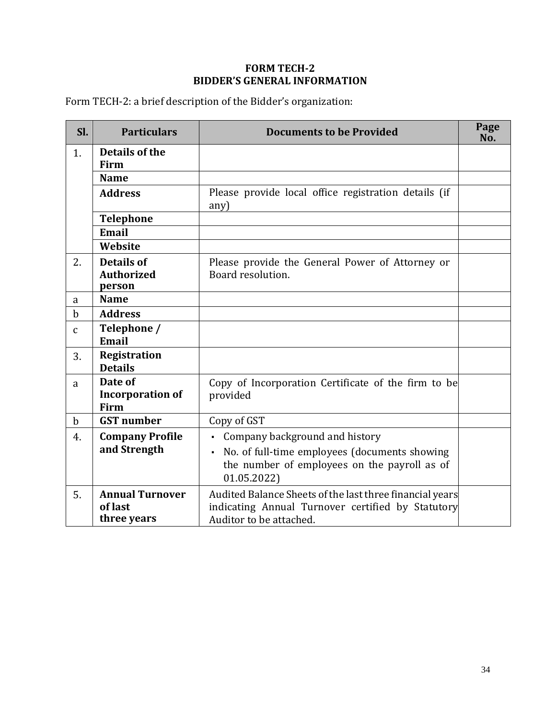# **FORM TECH-2 BIDDER'S GENERAL INFORMATION**

Form TECH-2: a brief description of the Bidder's organization:

| SI.          | <b>Particulars</b>                               | <b>Documents to be Provided</b>                                                                                                                                 | Page<br>No. |
|--------------|--------------------------------------------------|-----------------------------------------------------------------------------------------------------------------------------------------------------------------|-------------|
| 1.           | <b>Details of the</b><br>Firm                    |                                                                                                                                                                 |             |
|              | <b>Name</b>                                      |                                                                                                                                                                 |             |
|              | <b>Address</b>                                   | Please provide local office registration details (if<br>any)                                                                                                    |             |
|              | <b>Telephone</b>                                 |                                                                                                                                                                 |             |
|              | Email                                            |                                                                                                                                                                 |             |
|              | Website                                          |                                                                                                                                                                 |             |
| 2.           | <b>Details of</b><br><b>Authorized</b><br>person | Please provide the General Power of Attorney or<br>Board resolution.                                                                                            |             |
| a            | <b>Name</b>                                      |                                                                                                                                                                 |             |
| $\mathbf b$  | <b>Address</b>                                   |                                                                                                                                                                 |             |
| $\mathsf{C}$ | Telephone /<br><b>Email</b>                      |                                                                                                                                                                 |             |
| 3.           | <b>Registration</b><br><b>Details</b>            |                                                                                                                                                                 |             |
| a            | Date of<br><b>Incorporation of</b><br>Firm       | Copy of Incorporation Certificate of the firm to be<br>provided                                                                                                 |             |
| $\mathbf b$  | <b>GST</b> number                                | Copy of GST                                                                                                                                                     |             |
| 4.           | <b>Company Profile</b><br>and Strength           | Company background and history<br>$\blacksquare$<br>No. of full-time employees (documents showing<br>the number of employees on the payroll as of<br>01.05.2022 |             |
| 5.           | <b>Annual Turnover</b><br>of last<br>three years | Audited Balance Sheets of the last three financial years<br>indicating Annual Turnover certified by Statutory<br>Auditor to be attached.                        |             |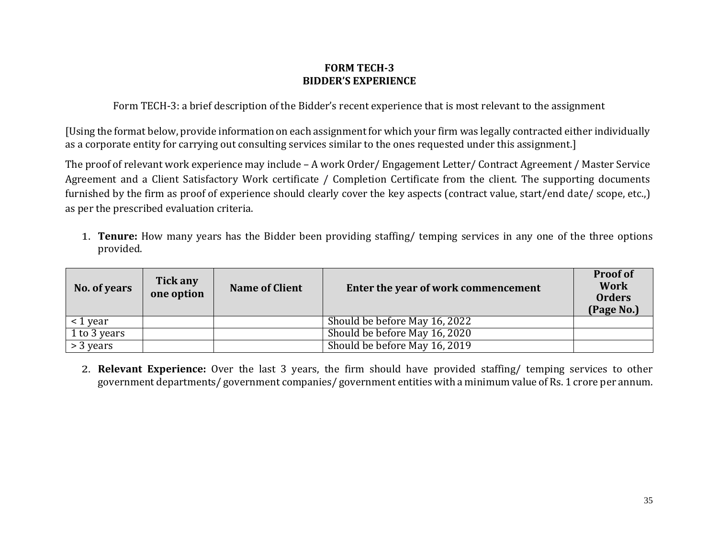### **FORM TECH-3 BIDDER'S EXPERIENCE**

Form TECH-3: a brief description of the Bidder's recent experience that is most relevant to the assignment

[Using the format below, provide information on each assignment for which your firm was legally contracted either individually as a corporate entity for carrying out consulting services similar to the ones requested under this assignment.]

The proof of relevant work experience may include – A work Order/ Engagement Letter/ Contract Agreement / Master Service Agreement and a Client Satisfactory Work certificate / Completion Certificate from the client. The supporting documents furnished by the firm as proof of experience should clearly cover the key aspects (contract value, start/end date/ scope, etc.,) as per the prescribed evaluation criteria.

1. **Tenure:** How many years has the Bidder been providing staffing/ temping services in any one of the three options provided.

| No. of years     | Tick any<br>one option | <b>Name of Client</b> | Enter the year of work commencement | <b>Proof of</b><br><b>Work</b><br><b>Orders</b><br>(Page No.) |
|------------------|------------------------|-----------------------|-------------------------------------|---------------------------------------------------------------|
| $\vert$ < 1 year |                        |                       | Should be before May 16, 2022       |                                                               |
| 1 to 3 years     |                        |                       | Should be before May 16, 2020       |                                                               |
| $\geq$ 3 years   |                        |                       | Should be before May 16, 2019       |                                                               |

2. **Relevant Experience:** Over the last 3 years, the firm should have provided staffing/ temping services to other government departments/ government companies/ government entities with a minimum value of Rs. 1 crore per annum.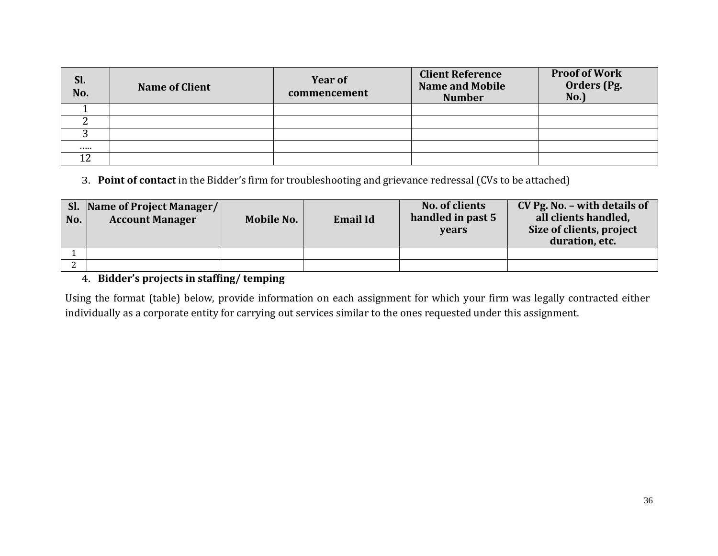| Sl.<br>No. | <b>Name of Client</b> | <b>Year of</b><br>commencement | <b>Client Reference</b><br><b>Name and Mobile</b><br><b>Number</b> | <b>Proof of Work</b><br>Orders (Pg.<br>No. |
|------------|-----------------------|--------------------------------|--------------------------------------------------------------------|--------------------------------------------|
|            |                       |                                |                                                                    |                                            |
|            |                       |                                |                                                                    |                                            |
|            |                       |                                |                                                                    |                                            |
|            |                       |                                |                                                                    |                                            |
| 1 ຕ<br>┸᠘  |                       |                                |                                                                    |                                            |

3. **Point of contact** in the Bidder's firm for troubleshooting and grievance redressal (CVs to be attached)

| No. | <b>Sl.</b> Name of Project Manager/<br><b>Account Manager</b> | <b>Mobile No.</b> | <b>Email Id</b> | No. of clients<br>handled in past 5<br>vears | CV Pg. No. - with details of<br>all clients handled,<br>Size of clients, project<br>duration, etc. |
|-----|---------------------------------------------------------------|-------------------|-----------------|----------------------------------------------|----------------------------------------------------------------------------------------------------|
|     |                                                               |                   |                 |                                              |                                                                                                    |
|     |                                                               |                   |                 |                                              |                                                                                                    |

# 4. **Bidder's projects in staffing/ temping**

Using the format (table) below, provide information on each assignment for which your firm was legally contracted either individually as a corporate entity for carrying out services similar to the ones requested under this assignment.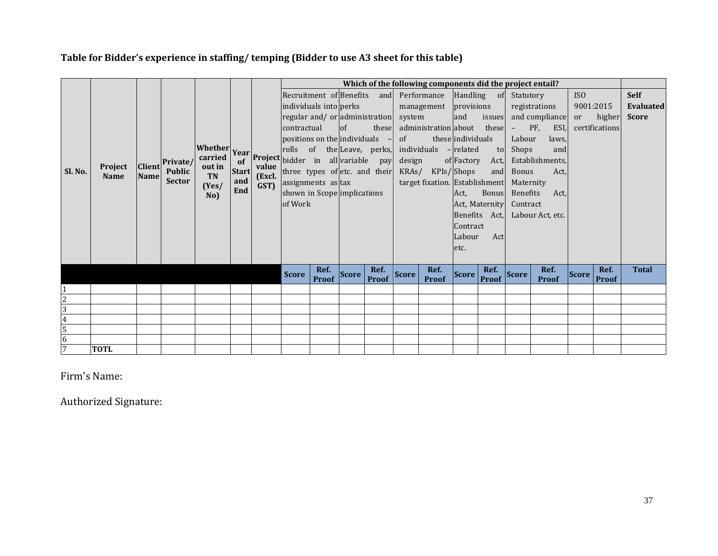# **Table for Bidder's experience in staffing/ temping (Bidder to use A3 sheet for this table)**

|                |             |               |                                         |                                                              |              |                | Which of the following components did the project entail? |                      |              |                      |        |                                         |                   |               |              |                  |              |                |              |
|----------------|-------------|---------------|-----------------------------------------|--------------------------------------------------------------|--------------|----------------|-----------------------------------------------------------|----------------------|--------------|----------------------|--------|-----------------------------------------|-------------------|---------------|--------------|------------------|--------------|----------------|--------------|
|                |             |               |                                         |                                                              |              |                |                                                           |                      |              |                      |        | Recruitment of Benefits and Performance |                   | Handling of   | Statutory    |                  | ISO          |                | <b>Self</b>  |
|                |             |               |                                         |                                                              |              |                | individuals into perks                                    |                      |              |                      |        | management provisions                   |                   |               |              | registrations    | 9001:2015    |                | Evaluated    |
|                |             |               |                                         |                                                              |              |                | regular and/or administration                             |                      |              |                      | system |                                         | and               | issues        |              | and compliance   | or           | higher         | <b>Score</b> |
|                |             |               |                                         |                                                              |              |                | contractual                                               |                      | $\circ$ f    | these                |        | administration about these              |                   |               | $\sim$       | PF,<br>ESI, I    |              | certifications |              |
|                |             |               |                                         |                                                              |              |                | positions on the individuals $-$                          |                      |              |                      | of     |                                         | these individuals |               | Labour       | laws,            |              |                |              |
|                |             |               |                                         |                                                              |              |                |                                                           |                      |              |                      |        | individuals - related                   |                   | to            | Shops        | and              |              |                |              |
| Sl. No.        |             |               | Private/                                | Whether Year Project bidder in all variable pay<br><b>TN</b> |              | (Excl.<br>GST) |                                                           |                      |              |                      | design |                                         | of Factory        | Act,          |              | Establishments,  |              |                |              |
|                | Project     | <b>Client</b> | <b>Public</b><br><b>Sector</b><br>(Yes) |                                                              | <b>Start</b> |                | three types of etc. and their                             |                      |              |                      |        | KRAs/ KPIs/Shops                        |                   | and           | Bonus        | Act,             |              |                |              |
|                | <b>Name</b> | <b>Name</b>   |                                         |                                                              | and          |                | assignments as tax                                        |                      |              |                      |        | target fixation. Establishment          |                   |               | Maternity    |                  |              |                |              |
|                |             |               |                                         |                                                              | End          |                | shown in Scope implications                               |                      |              |                      |        |                                         | Act,              | <b>Bonus</b>  | Benefits     | Act,             |              |                |              |
|                |             |               |                                         | No)                                                          |              |                | of Work                                                   |                      |              |                      |        |                                         |                   |               |              |                  |              |                |              |
|                |             |               |                                         |                                                              |              |                |                                                           |                      |              |                      |        |                                         | Act, Maternity    | Contract      |              |                  |              |                |              |
|                |             |               |                                         |                                                              |              |                |                                                           |                      |              |                      |        |                                         |                   | Benefits Act, |              | Labour Act, etc. |              |                |              |
|                |             |               |                                         |                                                              |              |                |                                                           |                      |              |                      |        |                                         | <b>Contract</b>   |               |              |                  |              |                |              |
|                |             |               |                                         |                                                              |              |                |                                                           |                      |              |                      |        |                                         | Labour            | Act           |              |                  |              |                |              |
|                |             |               |                                         |                                                              |              |                |                                                           |                      |              |                      |        |                                         | etc.              |               |              |                  |              |                |              |
|                |             |               |                                         |                                                              |              |                |                                                           |                      |              |                      |        |                                         |                   |               |              |                  |              |                |              |
|                |             |               |                                         |                                                              |              |                | <b>Score</b>                                              | Ref.<br><b>Proof</b> | <b>Score</b> | Ref.<br><b>Proof</b> | Score  | Ref.                                    | Score             | Ref.          | <b>Score</b> | Ref.             | <b>Score</b> | Ref.           | <b>Total</b> |
|                |             |               |                                         |                                                              |              |                |                                                           |                      |              |                      |        | Proof                                   |                   | <b>Proof</b>  |              | <b>Proof</b>     |              | Proof          |              |
| $\overline{c}$ |             |               |                                         |                                                              |              |                |                                                           |                      |              |                      |        |                                         |                   |               |              |                  |              |                |              |
| $\overline{3}$ |             |               |                                         |                                                              |              |                |                                                           |                      |              |                      |        |                                         |                   |               |              |                  |              |                |              |
|                |             |               |                                         |                                                              |              |                |                                                           |                      |              |                      |        |                                         |                   |               |              |                  |              |                |              |
| $\frac{4}{5}$  |             |               |                                         |                                                              |              |                |                                                           |                      |              |                      |        |                                         |                   |               |              |                  |              |                |              |
|                |             |               |                                         |                                                              |              |                |                                                           |                      |              |                      |        |                                         |                   |               |              |                  |              |                |              |
| $\overline{7}$ | <b>TOTL</b> |               |                                         |                                                              |              |                |                                                           |                      |              |                      |        |                                         |                   |               |              |                  |              |                |              |

# Firm's Name:

Authorized Signature: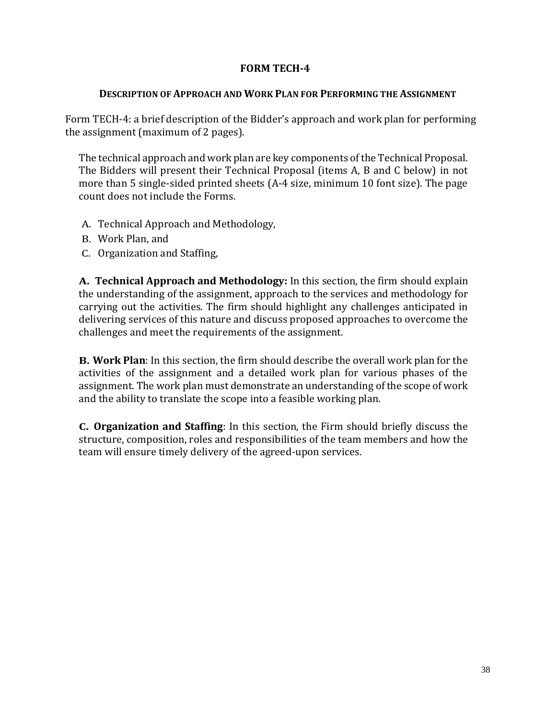### **FORM TECH-4**

#### **DESCRIPTION OF APPROACH AND WORK PLAN FOR PERFORMING THE ASSIGNMENT**

Form TECH-4: a brief description of the Bidder's approach and work plan for performing the assignment (maximum of 2 pages).

The technical approach and work plan are key components of the Technical Proposal. The Bidders will present their Technical Proposal (items A, B and C below) in not more than 5 single-sided printed sheets (A-4 size, minimum 10 font size). The page count does not include the Forms.

- A. Technical Approach and Methodology,
- B. Work Plan, and
- C. Organization and Staffing,

**A. Technical Approach and Methodology:** In this section, the firm should explain the understanding of the assignment, approach to the services and methodology for carrying out the activities. The firm should highlight any challenges anticipated in delivering services of this nature and discuss proposed approaches to overcome the challenges and meet the requirements of the assignment.

**B. Work Plan**: In this section, the firm should describe the overall work plan for the activities of the assignment and a detailed work plan for various phases of the assignment. The work plan must demonstrate an understanding of the scope of work and the ability to translate the scope into a feasible working plan.

**C. Organization and Staffing**: In this section, the Firm should briefly discuss the structure, composition, roles and responsibilities of the team members and how the team will ensure timely delivery of the agreed-upon services.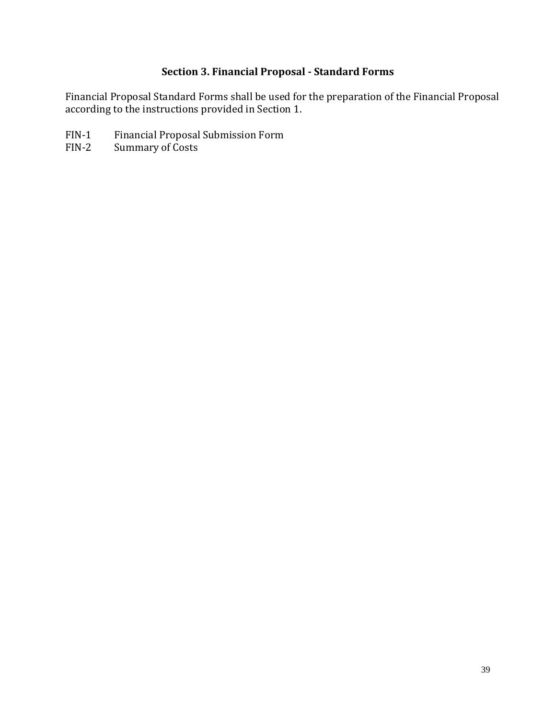# **Section 3. Financial Proposal - Standard Forms**

<span id="page-38-0"></span>Financial Proposal Standard Forms shall be used for the preparation of the Financial Proposal according to the instructions provided in Section 1.

- FIN-1 Financial Proposal Submission Form
- FIN-2 Summary of Costs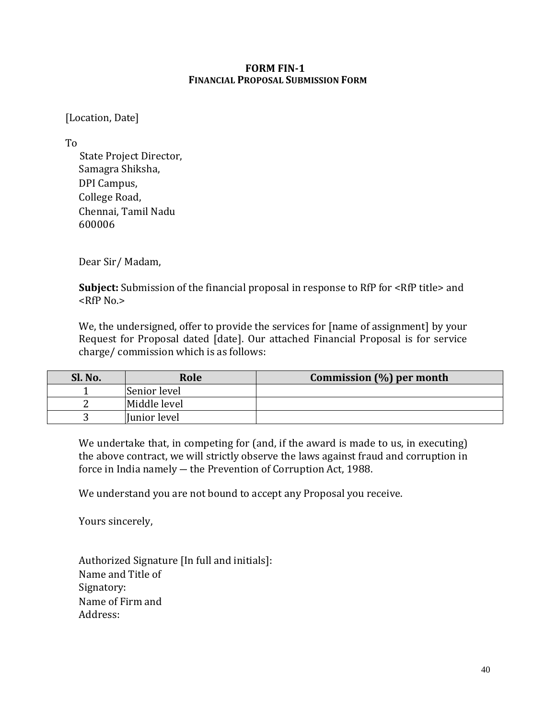#### **FORM FIN-1 FINANCIAL PROPOSAL SUBMISSION FORM**

### [Location, Date]

To

 State Project Director, Samagra Shiksha, DPI Campus, College Road, Chennai, Tamil Nadu 600006

Dear Sir/ Madam,

**Subject:** Submission of the financial proposal in response to RfP for <RfP title> and <RfP No.>

We, the undersigned, offer to provide the services for [name of assignment] by your Request for Proposal dated [date]. Our attached Financial Proposal is for service charge/ commission which is as follows:

| Sl. No. | Role         | Commission $(\%)$ per month |
|---------|--------------|-----------------------------|
|         | Senior level |                             |
|         | Middle level |                             |
|         | Junior level |                             |

We undertake that, in competing for (and, if the award is made to us, in executing) the above contract, we will strictly observe the laws against fraud and corruption in force in India namely ― the Prevention of Corruption Act, 1988.

We understand you are not bound to accept any Proposal you receive.

Yours sincerely,

Authorized Signature [In full and initials]: Name and Title of Signatory: Name of Firm and Address: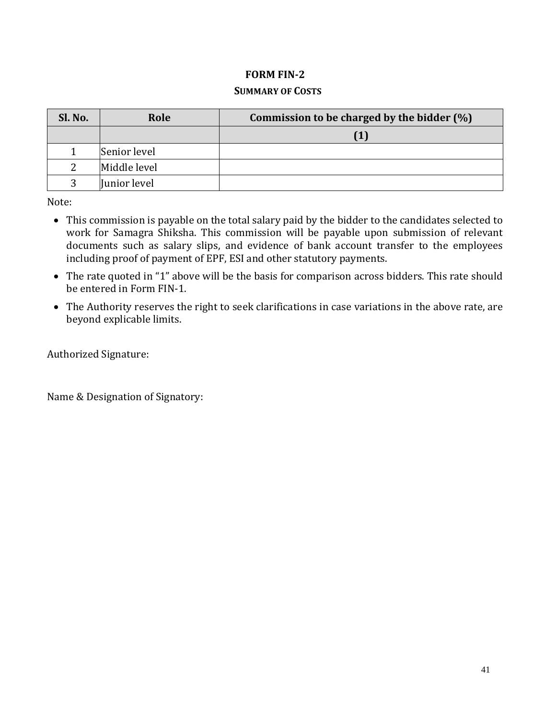### **FORM FIN-2**

#### **SUMMARY OF COSTS**

| Sl. No. | Role         | Commission to be charged by the bidder $(\%)$ |  |  |  |  |  |
|---------|--------------|-----------------------------------------------|--|--|--|--|--|
|         |              |                                               |  |  |  |  |  |
|         | Senior level |                                               |  |  |  |  |  |
| ∍       | Middle level |                                               |  |  |  |  |  |
| २       | Junior level |                                               |  |  |  |  |  |

Note:

- This commission is payable on the total salary paid by the bidder to the candidates selected to work for Samagra Shiksha. This commission will be payable upon submission of relevant documents such as salary slips, and evidence of bank account transfer to the employees including proof of payment of EPF, ESI and other statutory payments.
- The rate quoted in "1" above will be the basis for comparison across bidders. This rate should be entered in Form FIN-1.
- The Authority reserves the right to seek clarifications in case variations in the above rate, are beyond explicable limits.

Authorized Signature:

Name & Designation of Signatory: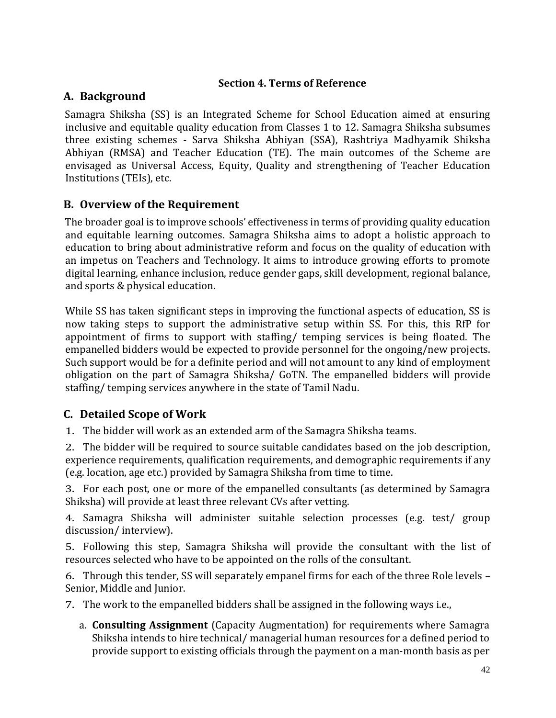### **Section 4. Terms of Reference**

# <span id="page-41-0"></span>**A. Background**

Samagra Shiksha (SS) is an Integrated Scheme for School Education aimed at ensuring inclusive and equitable quality education from Classes 1 to 12. Samagra Shiksha subsumes three existing schemes - Sarva Shiksha Abhiyan (SSA), Rashtriya Madhyamik Shiksha Abhiyan (RMSA) and Teacher Education (TE). The main outcomes of the Scheme are envisaged as Universal Access, Equity, Quality and strengthening of Teacher Education Institutions (TEIs), etc.

# **B. Overview of the Requirement**

The broader goal is to improve schools' effectiveness in terms of providing quality education and equitable learning outcomes. Samagra Shiksha aims to adopt a holistic approach to education to bring about administrative reform and focus on the quality of education with an impetus on Teachers and Technology. It aims to introduce growing efforts to promote digital learning, enhance inclusion, reduce gender gaps, skill development, regional balance, and sports & physical education.

While SS has taken significant steps in improving the functional aspects of education, SS is now taking steps to support the administrative setup within SS. For this, this RfP for appointment of firms to support with staffing/ temping services is being floated. The empanelled bidders would be expected to provide personnel for the ongoing/new projects. Such support would be for a definite period and will not amount to any kind of employment obligation on the part of Samagra Shiksha/ GoTN. The empanelled bidders will provide staffing/ temping services anywhere in the state of Tamil Nadu.

# **C. Detailed Scope of Work**

1. The bidder will work as an extended arm of the Samagra Shiksha teams.

2. The bidder will be required to source suitable candidates based on the job description, experience requirements, qualification requirements, and demographic requirements if any (e.g. location, age etc.) provided by Samagra Shiksha from time to time.

3. For each post, one or more of the empanelled consultants (as determined by Samagra Shiksha) will provide at least three relevant CVs after vetting.

4. Samagra Shiksha will administer suitable selection processes (e.g. test/ group discussion/ interview).

5. Following this step, Samagra Shiksha will provide the consultant with the list of resources selected who have to be appointed on the rolls of the consultant.

6. Through this tender, SS will separately empanel firms for each of the three Role levels – Senior, Middle and Junior.

7. The work to the empanelled bidders shall be assigned in the following ways i.e.,

a. **Consulting Assignment** (Capacity Augmentation) for requirements where Samagra Shiksha intends to hire technical/ managerial human resources for a defined period to provide support to existing officials through the payment on a man-month basis as per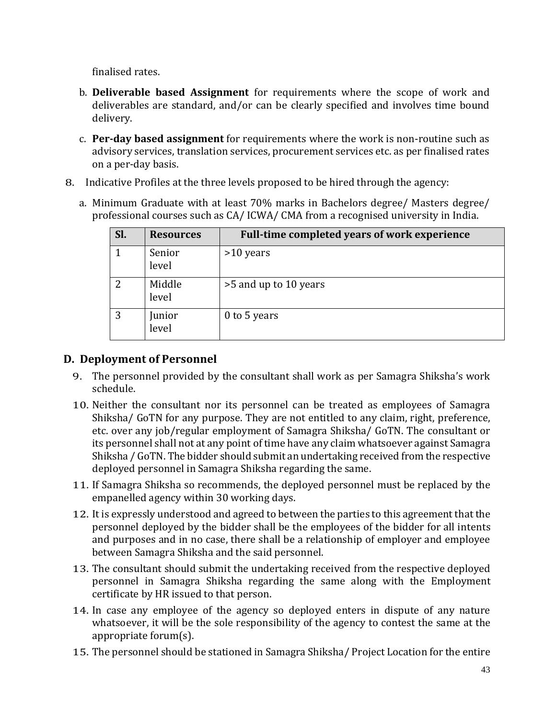finalised rates.

- b. **Deliverable based Assignment** for requirements where the scope of work and deliverables are standard, and/or can be clearly specified and involves time bound delivery.
- c. **Per-day based assignment** for requirements where the work is non-routine such as advisory services, translation services, procurement services etc. as per finalised rates on a per-day basis.
- 8. Indicative Profiles at the three levels proposed to be hired through the agency:
	- a. Minimum Graduate with at least 70% marks in Bachelors degree/ Masters degree/ professional courses such as CA/ ICWA/ CMA from a recognised university in India.

| Sl. | <b>Resources</b> | Full-time completed years of work experience |
|-----|------------------|----------------------------------------------|
|     | Senior<br>level  | $>10$ years                                  |
| 2   | Middle<br>level  | >5 and up to 10 years                        |
| 3   | Junior<br>level  | 0 to 5 years                                 |

# **D. Deployment of Personnel**

- 9. The personnel provided by the consultant shall work as per Samagra Shiksha's work schedule.
- 10. Neither the consultant nor its personnel can be treated as employees of Samagra Shiksha/ GoTN for any purpose. They are not entitled to any claim, right, preference, etc. over any job/regular employment of Samagra Shiksha/ GoTN. The consultant or its personnel shall not at any point of time have any claim whatsoever against Samagra Shiksha / GoTN. The bidder should submit an undertaking received from the respective deployed personnel in Samagra Shiksha regarding the same.
- 11. If Samagra Shiksha so recommends, the deployed personnel must be replaced by the empanelled agency within 30 working days.
- 12. It is expressly understood and agreed to between the parties to this agreement that the personnel deployed by the bidder shall be the employees of the bidder for all intents and purposes and in no case, there shall be a relationship of employer and employee between Samagra Shiksha and the said personnel.
- 13. The consultant should submit the undertaking received from the respective deployed personnel in Samagra Shiksha regarding the same along with the Employment certificate by HR issued to that person.
- 14. In case any employee of the agency so deployed enters in dispute of any nature whatsoever, it will be the sole responsibility of the agency to contest the same at the appropriate forum(s).
- 15. The personnel should be stationed in Samagra Shiksha/ Project Location for the entire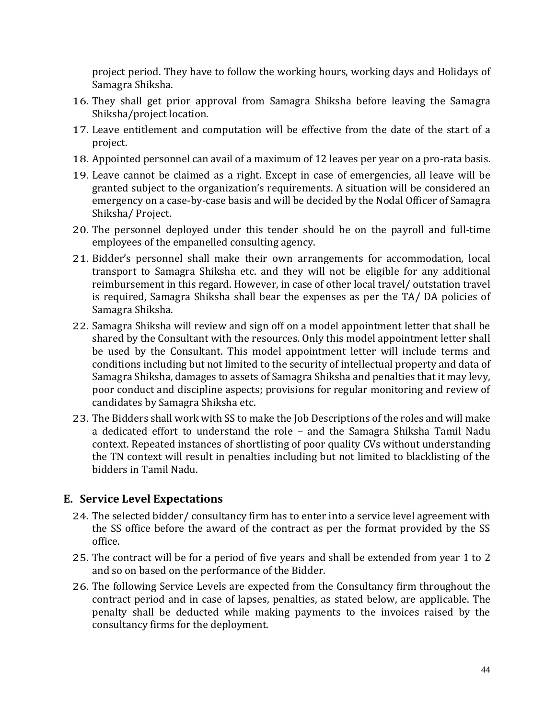project period. They have to follow the working hours, working days and Holidays of Samagra Shiksha.

- 16. They shall get prior approval from Samagra Shiksha before leaving the Samagra Shiksha/project location.
- 17. Leave entitlement and computation will be effective from the date of the start of a project.
- 18. Appointed personnel can avail of a maximum of 12 leaves per year on a pro-rata basis.
- 19. Leave cannot be claimed as a right. Except in case of emergencies, all leave will be granted subject to the organization's requirements. A situation will be considered an emergency on a case‐by‐case basis and will be decided by the Nodal Officer of Samagra Shiksha/ Project.
- 20. The personnel deployed under this tender should be on the payroll and full-time employees of the empanelled consulting agency.
- 21. Bidder's personnel shall make their own arrangements for accommodation, local transport to Samagra Shiksha etc. and they will not be eligible for any additional reimbursement in this regard. However, in case of other local travel/ outstation travel is required, Samagra Shiksha shall bear the expenses as per the TA/ DA policies of Samagra Shiksha.
- 22. Samagra Shiksha will review and sign off on a model appointment letter that shall be shared by the Consultant with the resources. Only this model appointment letter shall be used by the Consultant. This model appointment letter will include terms and conditions including but not limited to the security of intellectual property and data of Samagra Shiksha, damages to assets of Samagra Shiksha and penalties that it may levy, poor conduct and discipline aspects; provisions for regular monitoring and review of candidates by Samagra Shiksha etc.
- 23. The Bidders shall work with SS to make the Job Descriptions of the roles and will make a dedicated effort to understand the role – and the Samagra Shiksha Tamil Nadu context. Repeated instances of shortlisting of poor quality CVs without understanding the TN context will result in penalties including but not limited to blacklisting of the bidders in Tamil Nadu.

# **E. Service Level Expectations**

- 24. The selected bidder/ consultancy firm has to enter into a service level agreement with the SS office before the award of the contract as per the format provided by the SS office.
- 25. The contract will be for a period of five years and shall be extended from year 1 to 2 and so on based on the performance of the Bidder.
- 26. The following Service Levels are expected from the Consultancy firm throughout the contract period and in case of lapses, penalties, as stated below, are applicable. The penalty shall be deducted while making payments to the invoices raised by the consultancy firms for the deployment.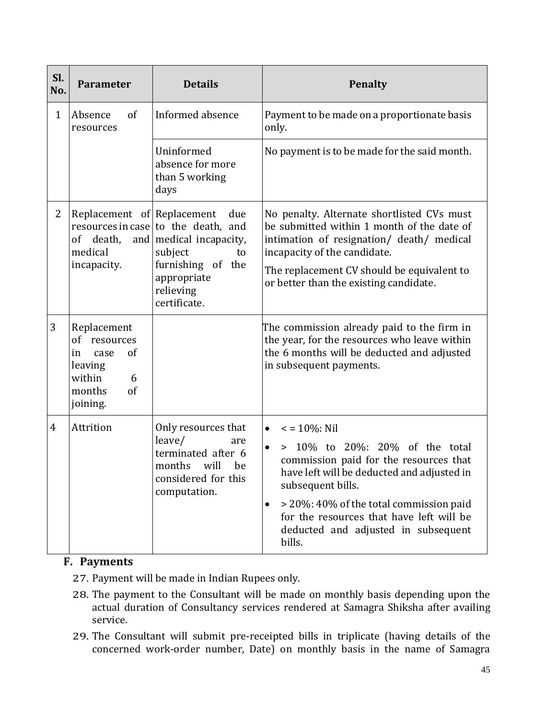| Sl.<br>No.     | <b>Parameter</b>                                                                                                 | <b>Details</b>                                                                                                                                            | <b>Penalty</b>                                                                                                                                                                                                                                                                                                                                      |  |  |  |  |
|----------------|------------------------------------------------------------------------------------------------------------------|-----------------------------------------------------------------------------------------------------------------------------------------------------------|-----------------------------------------------------------------------------------------------------------------------------------------------------------------------------------------------------------------------------------------------------------------------------------------------------------------------------------------------------|--|--|--|--|
| $\mathbf{1}$   | Absence<br>of<br>resources                                                                                       | Informed absence                                                                                                                                          | Payment to be made on a proportionate basis<br>only.                                                                                                                                                                                                                                                                                                |  |  |  |  |
|                |                                                                                                                  | Uninformed<br>absence for more<br>than 5 working<br>days                                                                                                  | No payment is to be made for the said month.                                                                                                                                                                                                                                                                                                        |  |  |  |  |
| 2              | Replacement of Replacement<br>death,<br>0f<br>medical<br>incapacity.                                             | due<br>resources in case to the death, and<br>and   medical incapacity,<br>subject<br>to<br>furnishing of the<br>appropriate<br>relieving<br>certificate. | No penalty. Alternate shortlisted CVs must<br>be submitted within 1 month of the date of<br>intimation of resignation/ death/ medical<br>incapacity of the candidate.<br>The replacement CV should be equivalent to<br>or better than the existing candidate.                                                                                       |  |  |  |  |
| 3              | Replacement<br>of resources<br><sub>of</sub><br>case<br>in<br>leaving<br>within<br>6<br>of<br>months<br>joining. |                                                                                                                                                           | The commission already paid to the firm in<br>the year, for the resources who leave within<br>the 6 months will be deducted and adjusted<br>in subsequent payments.                                                                                                                                                                                 |  |  |  |  |
| $\overline{4}$ | Attrition                                                                                                        | Only resources that<br>leave/<br>are<br>terminated after 6<br>will<br>months<br>be<br>considered for this<br>computation.                                 | $\epsilon$ = 10%: Nil<br>$\bullet$<br>> 10% to 20%: 20% of the total<br>$\bullet$<br>commission paid for the resources that<br>have left will be deducted and adjusted in<br>subsequent bills.<br>> 20%: 40% of the total commission paid<br>$\bullet$<br>for the resources that have left will be<br>deducted and adjusted in subsequent<br>bills. |  |  |  |  |

# **F. Payments**

- 27. Payment will be made in Indian Rupees only.
- 28. The payment to the Consultant will be made on monthly basis depending upon the actual duration of Consultancy services rendered at Samagra Shiksha after availing service.
- 29. The Consultant will submit pre-receipted bills in triplicate (having details of the concerned work-order number, Date) on monthly basis in the name of Samagra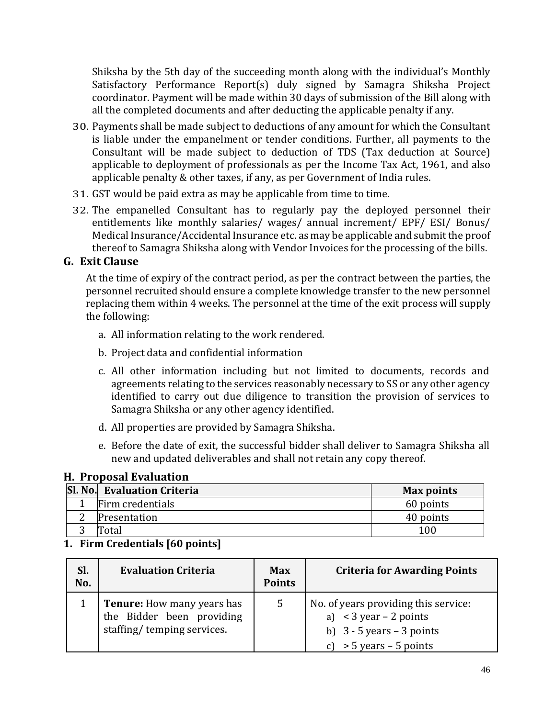Shiksha by the 5th day of the succeeding month along with the individual's Monthly Satisfactory Performance Report(s) duly signed by Samagra Shiksha Project coordinator. Payment will be made within 30 days of submission of the Bill along with all the completed documents and after deducting the applicable penalty if any.

- 30. Payments shall be made subject to deductions of any amount for which the Consultant is liable under the empanelment or tender conditions. Further, all payments to the Consultant will be made subject to deduction of TDS (Tax deduction at Source) applicable to deployment of professionals as per the Income Tax Act, 1961, and also applicable penalty & other taxes, if any, as per Government of India rules.
- 31. GST would be paid extra as may be applicable from time to time.
- 32. The empanelled Consultant has to regularly pay the deployed personnel their entitlements like monthly salaries/ wages/ annual increment/ EPF/ ESI/ Bonus/ Medical Insurance/Accidental Insurance etc. as may be applicable and submit the proof thereof to Samagra Shiksha along with Vendor Invoices for the processing of the bills.

# **G. Exit Clause**

At the time of expiry of the contract period, as per the contract between the parties, the personnel recruited should ensure a complete knowledge transfer to the new personnel replacing them within 4 weeks. The personnel at the time of the exit process will supply the following:

- a. All information relating to the work rendered.
- b. Project data and confidential information
- c. All other information including but not limited to documents, records and agreements relating to the services reasonably necessary to SS or any other agency identified to carry out due diligence to transition the provision of services to Samagra Shiksha or any other agency identified.
- d. All properties are provided by Samagra Shiksha.
- e. Before the date of exit, the successful bidder shall deliver to Samagra Shiksha all new and updated deliverables and shall not retain any copy thereof.

# **H. Proposal Evaluation**

| <b>Sl. No. Evaluation Criteria</b> | <b>Max points</b> |
|------------------------------------|-------------------|
| Firm credentials                   | 60 points         |
| Presentation                       | 40 points         |
| 'otal                              | 100               |

# **1. Firm Credentials [60 points]**

| Sl.<br>No. | <b>Evaluation Criteria</b>                                                                   | <b>Max</b><br><b>Points</b> | <b>Criteria for Awarding Points</b>                                                                                         |
|------------|----------------------------------------------------------------------------------------------|-----------------------------|-----------------------------------------------------------------------------------------------------------------------------|
|            | <b>Tenure:</b> How many years has<br>the Bidder been providing<br>staffing/temping services. | 5                           | No. of years providing this service:<br>a) $<$ 3 year – 2 points<br>b) $3 - 5$ years $- 3$ points<br>$>$ 5 years – 5 points |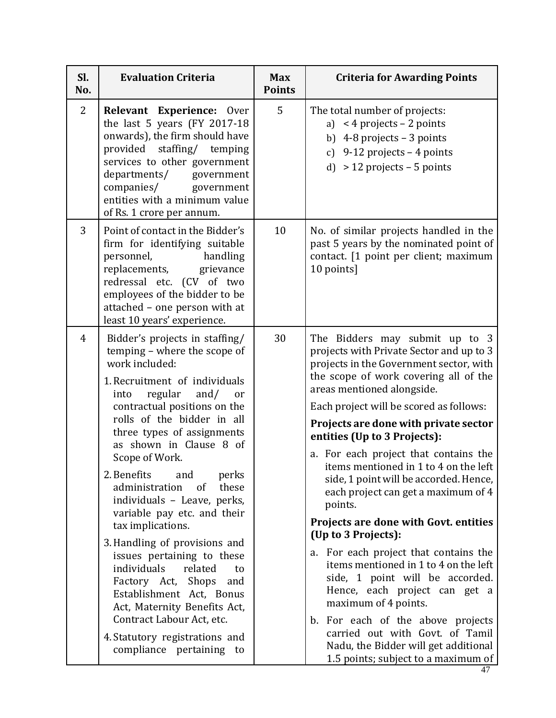| SI.<br>No.     | <b>Evaluation Criteria</b>                                                                                                                                                                                                                                                                                                                                                                                                                                                                                                                                                                                                                                                                                                     | <b>Max</b><br><b>Points</b> | <b>Criteria for Awarding Points</b>                                                                                                                                                                                                                                                                                                                                                                                                                                                                                                                                                                                                                                                                                                                                                                                                                                                                 |
|----------------|--------------------------------------------------------------------------------------------------------------------------------------------------------------------------------------------------------------------------------------------------------------------------------------------------------------------------------------------------------------------------------------------------------------------------------------------------------------------------------------------------------------------------------------------------------------------------------------------------------------------------------------------------------------------------------------------------------------------------------|-----------------------------|-----------------------------------------------------------------------------------------------------------------------------------------------------------------------------------------------------------------------------------------------------------------------------------------------------------------------------------------------------------------------------------------------------------------------------------------------------------------------------------------------------------------------------------------------------------------------------------------------------------------------------------------------------------------------------------------------------------------------------------------------------------------------------------------------------------------------------------------------------------------------------------------------------|
| $\overline{2}$ | Relevant Experience: Over<br>the last 5 years (FY 2017-18<br>onwards), the firm should have<br>provided staffing/ temping<br>services to other government<br>departments/<br>government<br>companies/ government<br>entities with a minimum value<br>of Rs. 1 crore per annum.                                                                                                                                                                                                                                                                                                                                                                                                                                                 | 5                           | The total number of projects:<br>a) $<$ 4 projects – 2 points<br>b) $4-8$ projects $-3$ points<br>c) 9-12 projects $-4$ points<br>d) $> 12$ projects – 5 points                                                                                                                                                                                                                                                                                                                                                                                                                                                                                                                                                                                                                                                                                                                                     |
| 3              | Point of contact in the Bidder's<br>firm for identifying suitable<br>personnel,<br>handling<br>replacements, grievance<br>redressal etc. (CV of two<br>employees of the bidder to be<br>attached - one person with at<br>least 10 years' experience.                                                                                                                                                                                                                                                                                                                                                                                                                                                                           | 10                          | No. of similar projects handled in the<br>past 5 years by the nominated point of<br>contact. [1 point per client; maximum<br>10 points]                                                                                                                                                                                                                                                                                                                                                                                                                                                                                                                                                                                                                                                                                                                                                             |
| 4              | Bidder's projects in staffing/<br>temping - where the scope of<br>work included:<br>1. Recruitment of individuals<br>regular and/<br>into<br>or<br>contractual positions on the<br>rolls of the bidder in all<br>three types of assignments<br>as shown in Clause 8 of<br>Scope of Work.<br>2. Benefits<br>perks<br>and<br>administration<br>these<br>of<br>individuals - Leave, perks,<br>variable pay etc. and their<br>tax implications.<br>3. Handling of provisions and<br>issues pertaining to these<br>individuals<br>related<br>to<br>Factory Act, Shops<br>and<br>Establishment Act, Bonus<br>Act, Maternity Benefits Act,<br>Contract Labour Act, etc.<br>4. Statutory registrations and<br>compliance pertaining to | 30                          | The Bidders may submit up to 3<br>projects with Private Sector and up to 3<br>projects in the Government sector, with<br>the scope of work covering all of the<br>areas mentioned alongside.<br>Each project will be scored as follows:<br>Projects are done with private sector<br>entities (Up to 3 Projects):<br>a. For each project that contains the<br>items mentioned in 1 to 4 on the left<br>side, 1 point will be accorded. Hence,<br>each project can get a maximum of 4<br>points.<br>Projects are done with Govt. entities<br>(Up to 3 Projects):<br>a. For each project that contains the<br>items mentioned in 1 to 4 on the left<br>side, 1 point will be accorded.<br>Hence, each project can get a<br>maximum of 4 points.<br>b. For each of the above projects<br>carried out with Govt. of Tamil<br>Nadu, the Bidder will get additional<br>1.5 points; subject to a maximum of |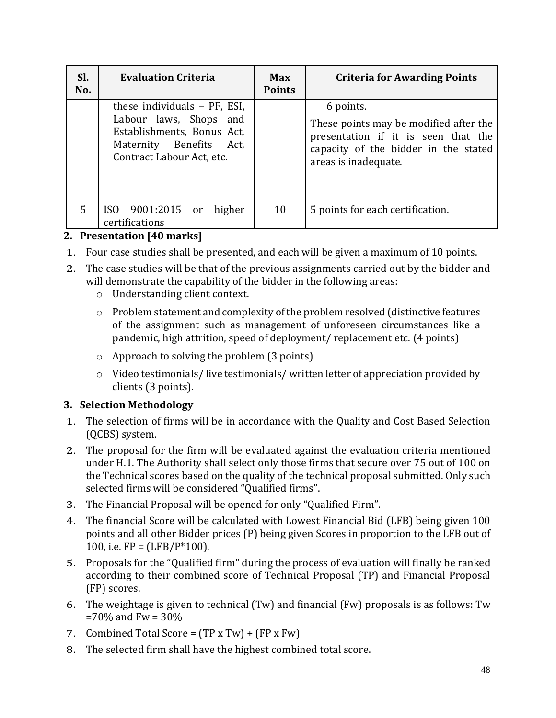| SI.<br>No. | <b>Evaluation Criteria</b>                                                                                                                   | Max<br><b>Points</b> | <b>Criteria for Awarding Points</b>                                                                                                                        |
|------------|----------------------------------------------------------------------------------------------------------------------------------------------|----------------------|------------------------------------------------------------------------------------------------------------------------------------------------------------|
|            | these individuals – PF, ESI,<br>Labour laws, Shops and<br>Establishments, Bonus Act,<br>Maternity Benefits Act,<br>Contract Labour Act, etc. |                      | 6 points.<br>These points may be modified after the<br>presentation if it is seen that the<br>capacity of the bidder in the stated<br>areas is inadequate. |
| 5          | ISO 9001:2015 or<br>higher<br>certifications                                                                                                 | 10                   | 5 points for each certification.                                                                                                                           |

# **2. Presentation [40 marks]**

- 1. Four case studies shall be presented, and each will be given a maximum of 10 points.
- 2. The case studies will be that of the previous assignments carried out by the bidder and will demonstrate the capability of the bidder in the following areas:
	- o Understanding client context.
	- o Problem statement and complexity of the problem resolved (distinctive features of the assignment such as management of unforeseen circumstances like a pandemic, high attrition, speed of deployment/ replacement etc. (4 points)
	- o Approach to solving the problem (3 points)
	- o Video testimonials/ live testimonials/ written letter of appreciation provided by clients (3 points).

# **3. Selection Methodology**

- 1. The selection of firms will be in accordance with the Quality and Cost Based Selection (QCBS) system.
- 2. The proposal for the firm will be evaluated against the evaluation criteria mentioned under H.1. The Authority shall select only those firms that secure over 75 out of 100 on the Technical scores based on the quality of the technical proposal submitted. Only such selected firms will be considered "Qualified firms".
- 3. The Financial Proposal will be opened for only "Qualified Firm".
- 4. The financial Score will be calculated with Lowest Financial Bid (LFB) being given 100 points and all other Bidder prices (P) being given Scores in proportion to the LFB out of 100, i.e.  $FP = (LFB/P*100)$ .
- 5. Proposals for the "Qualified firm" during the process of evaluation will finally be ranked according to their combined score of Technical Proposal (TP) and Financial Proposal (FP) scores.
- 6. The weightage is given to technical (Tw) and financial (Fw) proposals is as follows: Tw  $=70\%$  and Fw = 30%
- 7. Combined Total Score =  $(TP \times Tw) + (FP \times Fw)$
- 8. The selected firm shall have the highest combined total score.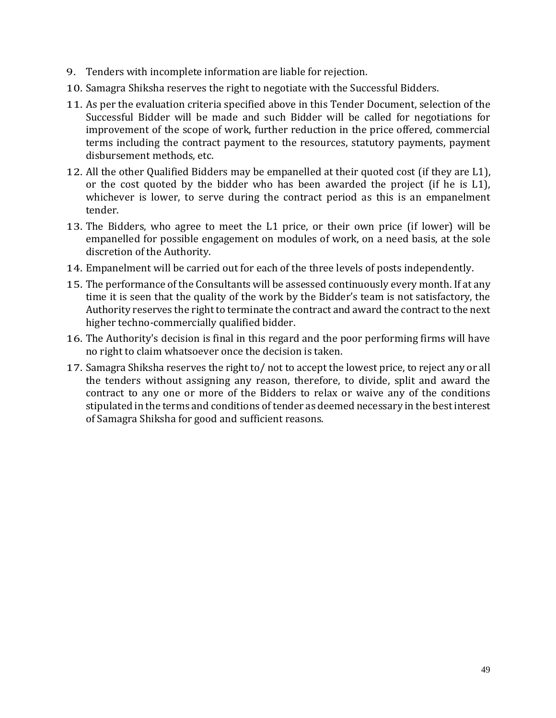- 9. Tenders with incomplete information are liable for rejection.
- 10. Samagra Shiksha reserves the right to negotiate with the Successful Bidders.
- 11. As per the evaluation criteria specified above in this Tender Document, selection of the Successful Bidder will be made and such Bidder will be called for negotiations for improvement of the scope of work, further reduction in the price offered, commercial terms including the contract payment to the resources, statutory payments, payment disbursement methods, etc.
- 12. All the other Qualified Bidders may be empanelled at their quoted cost (if they are L1), or the cost quoted by the bidder who has been awarded the project (if he is L1), whichever is lower, to serve during the contract period as this is an empanelment tender.
- 13. The Bidders, who agree to meet the L1 price, or their own price (if lower) will be empanelled for possible engagement on modules of work, on a need basis, at the sole discretion of the Authority.
- 14. Empanelment will be carried out for each of the three levels of posts independently.
- 15. The performance of the Consultants will be assessed continuously every month. If at any time it is seen that the quality of the work by the Bidder's team is not satisfactory, the Authority reserves the right to terminate the contract and award the contract to the next higher techno-commercially qualified bidder.
- 16. The Authority's decision is final in this regard and the poor performing firms will have no right to claim whatsoever once the decision is taken.
- 17. Samagra Shiksha reserves the right to/ not to accept the lowest price, to reject any or all the tenders without assigning any reason, therefore, to divide, split and award the contract to any one or more of the Bidders to relax or waive any of the conditions stipulated in the terms and conditions of tender as deemed necessary in the best interest of Samagra Shiksha for good and sufficient reasons.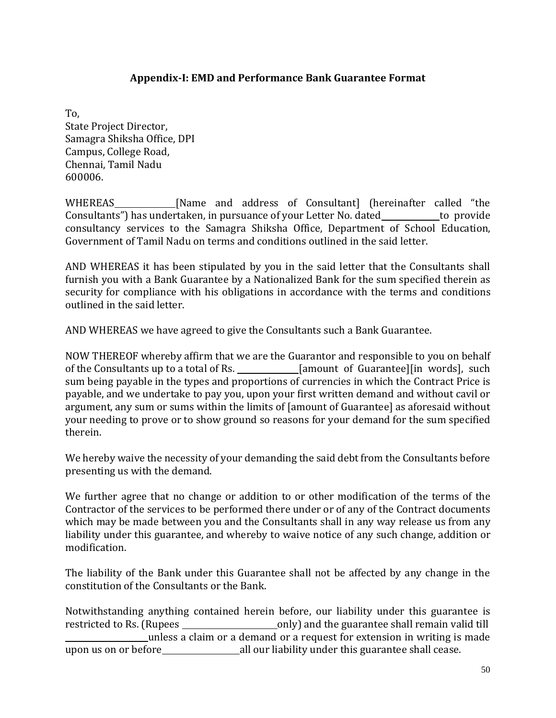### **Appendix-I: EMD and Performance Bank Guarantee Format**

<span id="page-49-0"></span>To, State Project Director, Samagra Shiksha Office, DPI Campus, College Road, Chennai, Tamil Nadu 600006.

WHEREAS [Name and address of Consultant] (hereinafter called "the Consultants") has undertaken, in pursuance of your Letter No. dated to provide consultancy services to the Samagra Shiksha Office, Department of School Education, Government of Tamil Nadu on terms and conditions outlined in the said letter.

AND WHEREAS it has been stipulated by you in the said letter that the Consultants shall furnish you with a Bank Guarantee by a Nationalized Bank for the sum specified therein as security for compliance with his obligations in accordance with the terms and conditions outlined in the said letter.

AND WHEREAS we have agreed to give the Consultants such a Bank Guarantee.

NOW THEREOF whereby affirm that we are the Guarantor and responsible to you on behalf of the Consultants up to a total of Rs. \_\_\_\_\_\_\_\_\_\_\_\_\_\_[amount of Guarantee][in words], such sum being payable in the types and proportions of currencies in which the Contract Price is payable, and we undertake to pay you, upon your first written demand and without cavil or argument, any sum or sums within the limits of [amount of Guarantee] as aforesaid without your needing to prove or to show ground so reasons for your demand for the sum specified therein.

We hereby waive the necessity of your demanding the said debt from the Consultants before presenting us with the demand.

We further agree that no change or addition to or other modification of the terms of the Contractor of the services to be performed there under or of any of the Contract documents which may be made between you and the Consultants shall in any way release us from any liability under this guarantee, and whereby to waive notice of any such change, addition or modification.

The liability of the Bank under this Guarantee shall not be affected by any change in the constitution of the Consultants or the Bank.

Notwithstanding anything contained herein before, our liability under this guarantee is restricted to Rs. (Rupees only) and the guarantee shall remain valid till unless a claim or a demand or a request for extension in writing is made upon us on or before all our liability under this guarantee shall cease.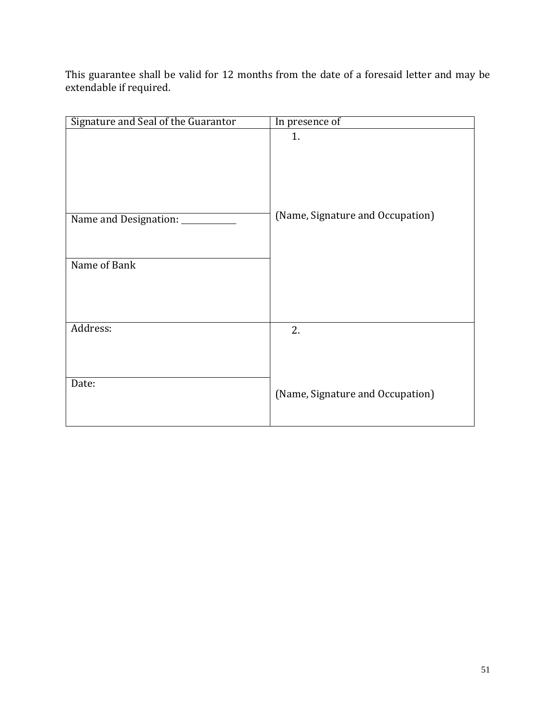This guarantee shall be valid for 12 months from the date of a foresaid letter and may be extendable if required.

| Signature and Seal of the Guarantor | In presence of                   |
|-------------------------------------|----------------------------------|
|                                     | 1.                               |
| Name and Designation:               | (Name, Signature and Occupation) |
| Name of Bank                        |                                  |
| Address:                            | 2.                               |
| Date:                               | (Name, Signature and Occupation) |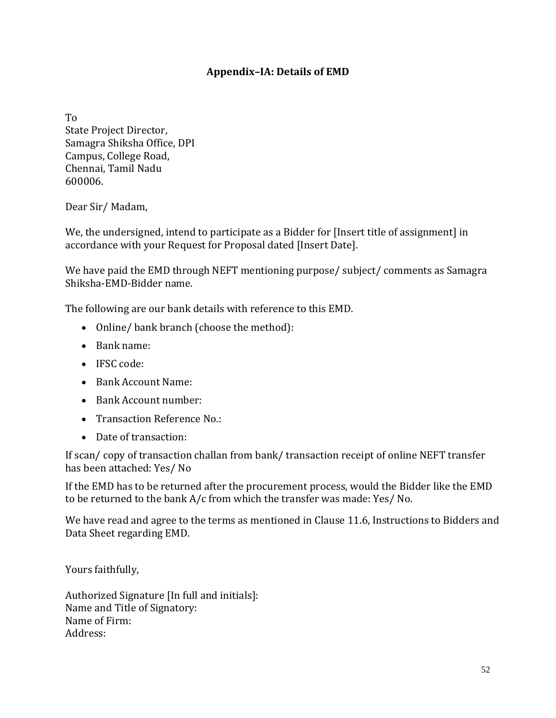# **Appendix–IA: Details of EMD**

<span id="page-51-0"></span>To

State Project Director, Samagra Shiksha Office, DPI Campus, College Road, Chennai, Tamil Nadu 600006.

Dear Sir/ Madam,

We, the undersigned, intend to participate as a Bidder for [Insert title of assignment] in accordance with your Request for Proposal dated [Insert Date].

We have paid the EMD through NEFT mentioning purpose/ subject/ comments as Samagra Shiksha-EMD-Bidder name.

The following are our bank details with reference to this EMD.

- Online/ bank branch (choose the method):
- Bank name:
- IFSC code:
- Bank Account Name:
- Bank Account number:
- Transaction Reference No.:
- Date of transaction:

If scan/ copy of transaction challan from bank/ transaction receipt of online NEFT transfer has been attached: Yes/ No

If the EMD has to be returned after the procurement process, would the Bidder like the EMD to be returned to the bank A/c from which the transfer was made: Yes/ No.

We have read and agree to the terms as mentioned in Clause 11.6, Instructions to Bidders and Data Sheet regarding EMD.

Yours faithfully,

Authorized Signature [In full and initials]: Name and Title of Signatory: Name of Firm: Address: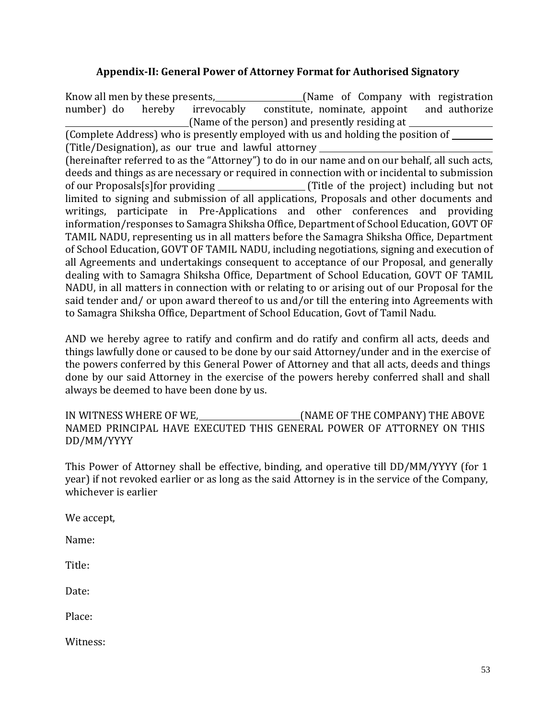## **Appendix-II: General Power of Attorney Format for Authorised Signatory**

<span id="page-52-0"></span>Know all men by these presents, (Name of Company with registration number) do hereby irrevocably constitute, nominate, appoint and authorize (Name of the person) and presently residing at (Complete Address) who is presently employed with us and holding the position of (Title/Designation), as our true and lawful attorney (hereinafter referred to as the "Attorney") to do in our name and on our behalf, all such acts, deeds and things as are necessary or required in connection with or incidental to submission of our Proposals[s]for providing (Title of the project) including but not limited to signing and submission of all applications, Proposals and other documents and writings, participate in Pre-Applications and other conferences and providing information/responses to Samagra Shiksha Office, Department of School Education, GOVT OF TAMIL NADU, representing us in all matters before the Samagra Shiksha Office, Department of School Education, GOVT OF TAMIL NADU, including negotiations, signing and execution of all Agreements and undertakings consequent to acceptance of our Proposal, and generally dealing with to Samagra Shiksha Office, Department of School Education, GOVT OF TAMIL NADU, in all matters in connection with or relating to or arising out of our Proposal for the said tender and/ or upon award thereof to us and/or till the entering into Agreements with to Samagra Shiksha Office, Department of School Education, Govt of Tamil Nadu.

AND we hereby agree to ratify and confirm and do ratify and confirm all acts, deeds and things lawfully done or caused to be done by our said Attorney/under and in the exercise of the powers conferred by this General Power of Attorney and that all acts, deeds and things done by our said Attorney in the exercise of the powers hereby conferred shall and shall always be deemed to have been done by us.

IN WITNESS WHERE OF WE, (NAME OF THE COMPANY) THE ABOVE NAMED PRINCIPAL HAVE EXECUTED THIS GENERAL POWER OF ATTORNEY ON THIS DD/MM/YYYY

This Power of Attorney shall be effective, binding, and operative till DD/MM/YYYY (for 1 year) if not revoked earlier or as long as the said Attorney is in the service of the Company, whichever is earlier

We accept,

Name:

Title:

Date:

Place:

Witness: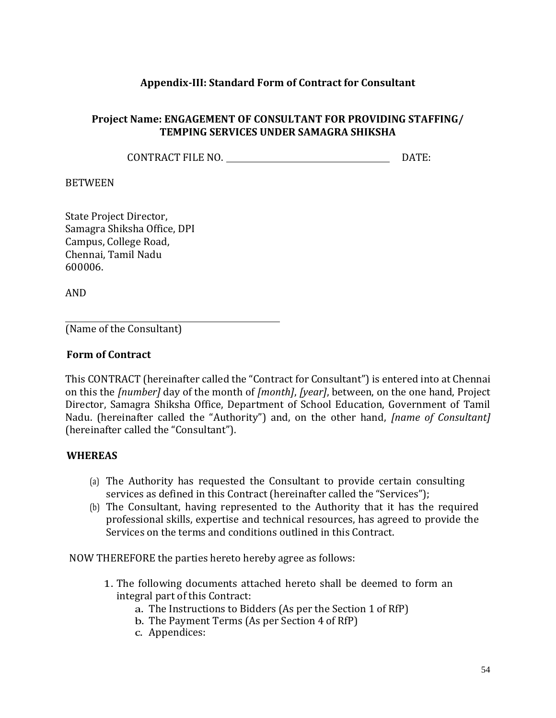### **Appendix-III: Standard Form of Contract for Consultant**

### <span id="page-53-0"></span>**Project Name: ENGAGEMENT OF CONSULTANT FOR PROVIDING STAFFING/ TEMPING SERVICES UNDER SAMAGRA SHIKSHA**

CONTRACT FILE NO. DATE:

#### BETWEEN

State Project Director, Samagra Shiksha Office, DPI Campus, College Road, Chennai, Tamil Nadu 600006.

AND

(Name of the Consultant)

#### **Form of Contract**

This CONTRACT (hereinafter called the "Contract for Consultant") is entered into at Chennai on this the *[number]* day of the month of *[month]*, *[year]*, between, on the one hand, Project Director, Samagra Shiksha Office, Department of School Education, Government of Tamil Nadu. (hereinafter called the "Authority") and, on the other hand, *[name of Consultant]*  (hereinafter called the "Consultant").

#### **WHEREAS**

- (a) The Authority has requested the Consultant to provide certain consulting services as defined in this Contract (hereinafter called the "Services");
- (b) The Consultant, having represented to the Authority that it has the required professional skills, expertise and technical resources, has agreed to provide the Services on the terms and conditions outlined in this Contract.

NOW THEREFORE the parties hereto hereby agree as follows:

- 1. The following documents attached hereto shall be deemed to form an integral part of this Contract:
	- a. The Instructions to Bidders (As per the Section 1 of RfP)
	- b. The Payment Terms (As per Section 4 of RfP)
	- c. Appendices: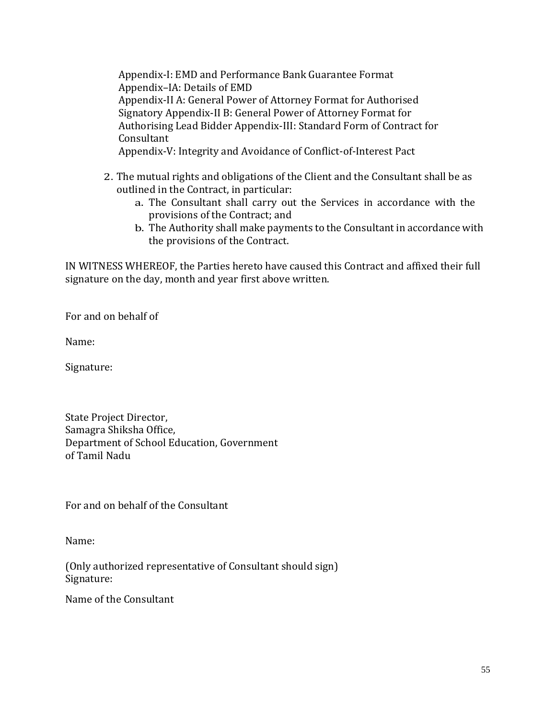Appendix-I: EMD and Performance Bank Guarantee Format Appendix–IA: Details of EMD Appendix-II A: General Power of Attorney Format for Authorised Signatory Appendix-II B: General Power of Attorney Format for Authorising Lead Bidder Appendix-III: Standard Form of Contract for Consultant

Appendix-V: Integrity and Avoidance of Conflict-of-Interest Pact

- 2. The mutual rights and obligations of the Client and the Consultant shall be as outlined in the Contract, in particular:
	- a. The Consultant shall carry out the Services in accordance with the provisions of the Contract; and
	- b. The Authority shall make payments to the Consultant in accordance with the provisions of the Contract.

IN WITNESS WHEREOF, the Parties hereto have caused this Contract and affixed their full signature on the day, month and year first above written.

For and on behalf of

Name:

Signature:

State Project Director, Samagra Shiksha Office, Department of School Education, Government of Tamil Nadu

For and on behalf of the Consultant

Name:

(Only authorized representative of Consultant should sign) Signature:

Name of the Consultant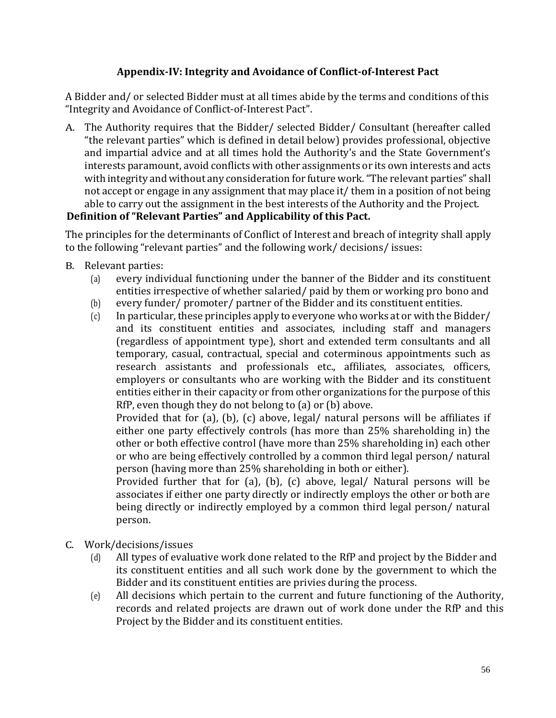# **Appendix-IV: Integrity and Avoidance of Conflict-of-Interest Pact**

<span id="page-55-0"></span>A Bidder and/ or selected Bidder must at all times abide by the terms and conditions of this "Integrity and Avoidance of Conflict-of-Interest Pact".

A. The Authority requires that the Bidder/ selected Bidder/ Consultant (hereafter called "the relevant parties" which is defined in detail below) provides professional, objective and impartial advice and at all times hold the Authority's and the State Government's interests paramount, avoid conflicts with other assignments or its own interests and acts with integrity and without any consideration for future work. "The relevant parties" shall not accept or engage in any assignment that may place it/ them in a position of not being able to carry out the assignment in the best interests of the Authority and the Project.

# **Definition of "Relevant Parties" and Applicability of this Pact.**

The principles for the determinants of Conflict of Interest and breach of integrity shall apply to the following "relevant parties" and the following work/ decisions/ issues:

- B. Relevant parties:
	- (a) every individual functioning under the banner of the Bidder and its constituent entities irrespective of whether salaried/ paid by them or working pro bono and
	- (b) every funder/ promoter/ partner of the Bidder and its constituent entities.
	- (c) In particular, these principles apply to everyone who works at or with the Bidder/ and its constituent entities and associates, including staff and managers (regardless of appointment type), short and extended term consultants and all temporary, casual, contractual, special and coterminous appointments such as research assistants and professionals etc., affiliates, associates, officers, employers or consultants who are working with the Bidder and its constituent entities either in their capacity or from other organizations for the purpose of this RfP, even though they do not belong to (a) or (b) above.

Provided that for (a), (b), (c) above, legal/ natural persons will be affiliates if either one party effectively controls (has more than 25% shareholding in) the other or both effective control (have more than 25% shareholding in) each other or who are being effectively controlled by a common third legal person/ natural person (having more than 25% shareholding in both or either).

Provided further that for (a), (b), (c) above, legal/ Natural persons will be associates if either one party directly or indirectly employs the other or both are being directly or indirectly employed by a common third legal person/ natural person.

- C. Work/decisions/issues
	- (d) All types of evaluative work done related to the RfP and project by the Bidder and its constituent entities and all such work done by the government to which the Bidder and its constituent entities are privies during the process.
	- (e) All decisions which pertain to the current and future functioning of the Authority, records and related projects are drawn out of work done under the RfP and this Project by the Bidder and its constituent entities.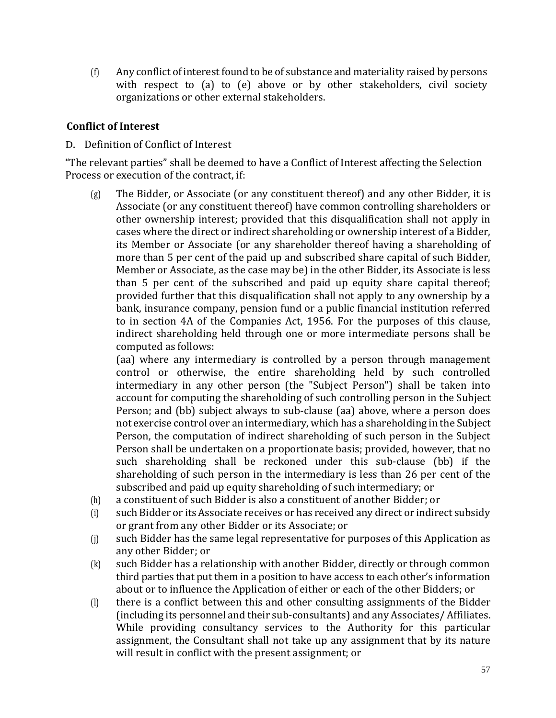(f) Any conflict of interest found to be of substance and materiality raised by persons with respect to (a) to (e) above or by other stakeholders, civil society organizations or other external stakeholders.

### **Conflict of Interest**

### D. Definition of Conflict of Interest

"The relevant parties" shall be deemed to have a Conflict of Interest affecting the Selection Process or execution of the contract, if:

(g) The Bidder, or Associate (or any constituent thereof) and any other Bidder, it is Associate (or any constituent thereof) have common controlling shareholders or other ownership interest; provided that this disqualification shall not apply in cases where the direct or indirect shareholding or ownership interest of a Bidder, its Member or Associate (or any shareholder thereof having a shareholding of more than 5 per cent of the paid up and subscribed share capital of such Bidder, Member or Associate, as the case may be) in the other Bidder, its Associate is less than 5 per cent of the subscribed and paid up equity share capital thereof; provided further that this disqualification shall not apply to any ownership by a bank, insurance company, pension fund or a public financial institution referred to in section 4A of the Companies Act, 1956. For the purposes of this clause, indirect shareholding held through one or more intermediate persons shall be computed as follows:

(aa) where any intermediary is controlled by a person through management control or otherwise, the entire shareholding held by such controlled intermediary in any other person (the "Subject Person") shall be taken into account for computing the shareholding of such controlling person in the Subject Person; and (bb) subject always to sub-clause (aa) above, where a person does not exercise control over an intermediary, which has a shareholding in the Subject Person, the computation of indirect shareholding of such person in the Subject Person shall be undertaken on a proportionate basis; provided, however, that no such shareholding shall be reckoned under this sub-clause (bb) if the shareholding of such person in the intermediary is less than 26 per cent of the subscribed and paid up equity shareholding of such intermediary; or

- (h) a constituent of such Bidder is also a constituent of another Bidder; or
- (i) such Bidder or its Associate receives or has received any direct or indirect subsidy or grant from any other Bidder or its Associate; or
- (j) such Bidder has the same legal representative for purposes of this Application as any other Bidder; or
- (k) such Bidder has a relationship with another Bidder, directly or through common third parties that put them in a position to have access to each other's information about or to influence the Application of either or each of the other Bidders; or
- (l) there is a conflict between this and other consulting assignments of the Bidder (including its personnel and their sub-consultants) and any Associates/ Affiliates. While providing consultancy services to the Authority for this particular assignment, the Consultant shall not take up any assignment that by its nature will result in conflict with the present assignment; or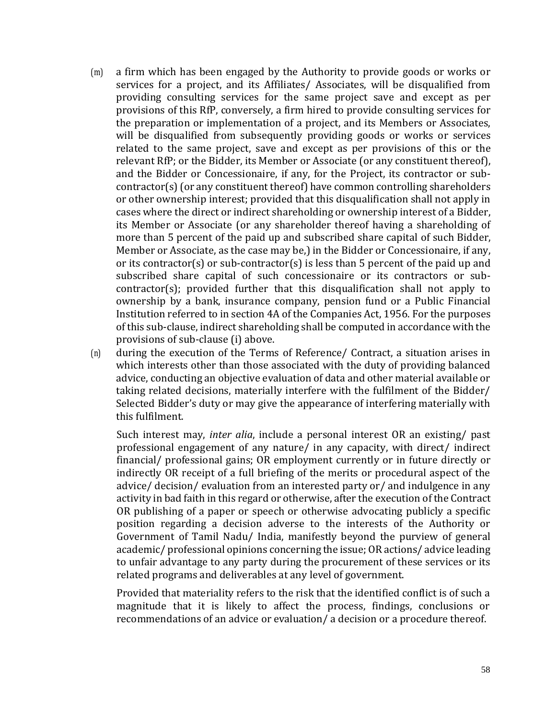- (m) a firm which has been engaged by the Authority to provide goods or works or services for a project, and its Affiliates/ Associates, will be disqualified from providing consulting services for the same project save and except as per provisions of this RfP, conversely, a firm hired to provide consulting services for the preparation or implementation of a project, and its Members or Associates, will be disqualified from subsequently providing goods or works or services related to the same project, save and except as per provisions of this or the relevant RfP; or the Bidder, its Member or Associate (or any constituent thereof), and the Bidder or Concessionaire, if any, for the Project, its contractor or subcontractor(s) (or any constituent thereof) have common controlling shareholders or other ownership interest; provided that this disqualification shall not apply in cases where the direct or indirect shareholding or ownership interest of a Bidder, its Member or Associate (or any shareholder thereof having a shareholding of more than 5 percent of the paid up and subscribed share capital of such Bidder, Member or Associate, as the case may be,) in the Bidder or Concessionaire, if any, or its contractor(s) or sub-contractor(s) is less than 5 percent of the paid up and subscribed share capital of such concessionaire or its contractors or subcontractor(s); provided further that this disqualification shall not apply to ownership by a bank, insurance company, pension fund or a Public Financial Institution referred to in section 4A of the Companies Act, 1956. For the purposes of this sub-clause, indirect shareholding shall be computed in accordance with the provisions of sub-clause (i) above.
- (n) during the execution of the Terms of Reference/ Contract, a situation arises in which interests other than those associated with the duty of providing balanced advice, conducting an objective evaluation of data and other material available or taking related decisions, materially interfere with the fulfilment of the Bidder/ Selected Bidder's duty or may give the appearance of interfering materially with this fulfilment.

Such interest may, *inter alia*, include a personal interest OR an existing/ past professional engagement of any nature/ in any capacity, with direct/ indirect financial/ professional gains; OR employment currently or in future directly or indirectly OR receipt of a full briefing of the merits or procedural aspect of the advice/ decision/ evaluation from an interested party or/ and indulgence in any activity in bad faith in this regard or otherwise, after the execution of the Contract OR publishing of a paper or speech or otherwise advocating publicly a specific position regarding a decision adverse to the interests of the Authority or Government of Tamil Nadu/ India, manifestly beyond the purview of general academic/ professional opinions concerning the issue; OR actions/ advice leading to unfair advantage to any party during the procurement of these services or its related programs and deliverables at any level of government.

Provided that materiality refers to the risk that the identified conflict is of such a magnitude that it is likely to affect the process, findings, conclusions or recommendations of an advice or evaluation/ a decision or a procedure thereof.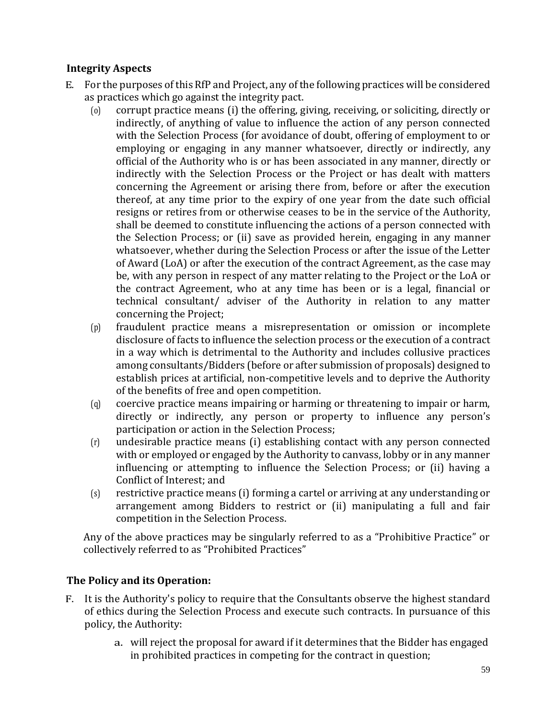# **Integrity Aspects**

- E. For the purposes of this RfP and Project, any of the following practices will be considered as practices which go against the integrity pact.
	- (o) corrupt practice means (i) the offering, giving, receiving, or soliciting, directly or indirectly, of anything of value to influence the action of any person connected with the Selection Process (for avoidance of doubt, offering of employment to or employing or engaging in any manner whatsoever, directly or indirectly, any official of the Authority who is or has been associated in any manner, directly or indirectly with the Selection Process or the Project or has dealt with matters concerning the Agreement or arising there from, before or after the execution thereof, at any time prior to the expiry of one year from the date such official resigns or retires from or otherwise ceases to be in the service of the Authority, shall be deemed to constitute influencing the actions of a person connected with the Selection Process; or (ii) save as provided herein, engaging in any manner whatsoever, whether during the Selection Process or after the issue of the Letter of Award (LoA) or after the execution of the contract Agreement, as the case may be, with any person in respect of any matter relating to the Project or the LoA or the contract Agreement, who at any time has been or is a legal, financial or technical consultant/ adviser of the Authority in relation to any matter concerning the Project;
	- (p) fraudulent practice means a misrepresentation or omission or incomplete disclosure of facts to influence the selection process or the execution of a contract in a way which is detrimental to the Authority and includes collusive practices among consultants/Bidders (before or after submission of proposals) designed to establish prices at artificial, non-competitive levels and to deprive the Authority of the benefits of free and open competition.
	- (q) coercive practice means impairing or harming or threatening to impair or harm, directly or indirectly, any person or property to influence any person's participation or action in the Selection Process;
	- (r) undesirable practice means (i) establishing contact with any person connected with or employed or engaged by the Authority to canvass, lobby or in any manner influencing or attempting to influence the Selection Process; or (ii) having a Conflict of Interest; and
	- (s) restrictive practice means (i) forming a cartel or arriving at any understanding or arrangement among Bidders to restrict or (ii) manipulating a full and fair competition in the Selection Process.

Any of the above practices may be singularly referred to as a "Prohibitive Practice" or collectively referred to as "Prohibited Practices"

# **The Policy and its Operation:**

- F. It is the Authority's policy to require that the Consultants observe the highest standard of ethics during the Selection Process and execute such contracts. In pursuance of this policy, the Authority:
	- a. will reject the proposal for award if it determines that the Bidder has engaged in prohibited practices in competing for the contract in question;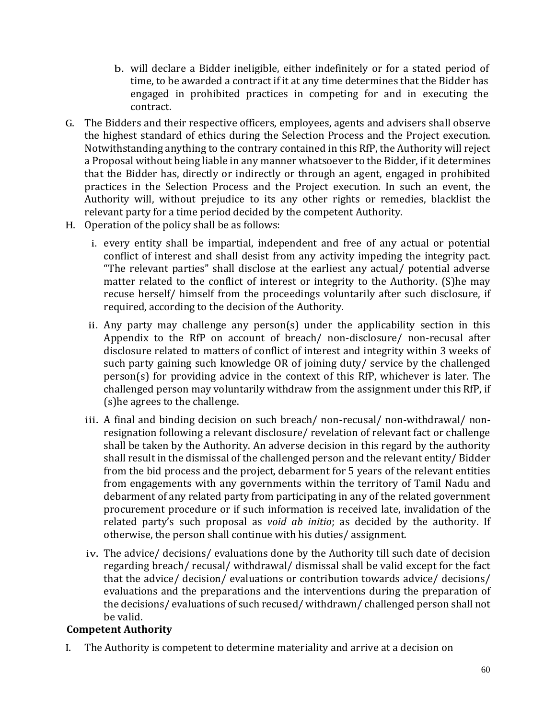- b. will declare a Bidder ineligible, either indefinitely or for a stated period of time, to be awarded a contract if it at any time determines that the Bidder has engaged in prohibited practices in competing for and in executing the contract.
- G. The Bidders and their respective officers, employees, agents and advisers shall observe the highest standard of ethics during the Selection Process and the Project execution. Notwithstanding anything to the contrary contained in this RfP, the Authority will reject a Proposal without being liable in any manner whatsoever to the Bidder, if it determines that the Bidder has, directly or indirectly or through an agent, engaged in prohibited practices in the Selection Process and the Project execution. In such an event, the Authority will, without prejudice to its any other rights or remedies, blacklist the relevant party for a time period decided by the competent Authority.
- H. Operation of the policy shall be as follows:
	- i. every entity shall be impartial, independent and free of any actual or potential conflict of interest and shall desist from any activity impeding the integrity pact. "The relevant parties" shall disclose at the earliest any actual/ potential adverse matter related to the conflict of interest or integrity to the Authority. (S)he may recuse herself/ himself from the proceedings voluntarily after such disclosure, if required, according to the decision of the Authority.
	- ii. Any party may challenge any person(s) under the applicability section in this Appendix to the RfP on account of breach/ non-disclosure/ non-recusal after disclosure related to matters of conflict of interest and integrity within 3 weeks of such party gaining such knowledge OR of joining duty/ service by the challenged person(s) for providing advice in the context of this RfP, whichever is later. The challenged person may voluntarily withdraw from the assignment under this RfP, if (s)he agrees to the challenge.
	- iii. A final and binding decision on such breach/ non-recusal/ non-withdrawal/ nonresignation following a relevant disclosure/ revelation of relevant fact or challenge shall be taken by the Authority. An adverse decision in this regard by the authority shall result in the dismissal of the challenged person and the relevant entity/ Bidder from the bid process and the project, debarment for 5 years of the relevant entities from engagements with any governments within the territory of Tamil Nadu and debarment of any related party from participating in any of the related government procurement procedure or if such information is received late, invalidation of the related party's such proposal as *void ab initio*; as decided by the authority. If otherwise, the person shall continue with his duties/ assignment.
	- iv. The advice/ decisions/ evaluations done by the Authority till such date of decision regarding breach/ recusal/ withdrawal/ dismissal shall be valid except for the fact that the advice/ decision/ evaluations or contribution towards advice/ decisions/ evaluations and the preparations and the interventions during the preparation of the decisions/ evaluations of such recused/ withdrawn/ challenged person shall not be valid.

### **Competent Authority**

I. The Authority is competent to determine materiality and arrive at a decision on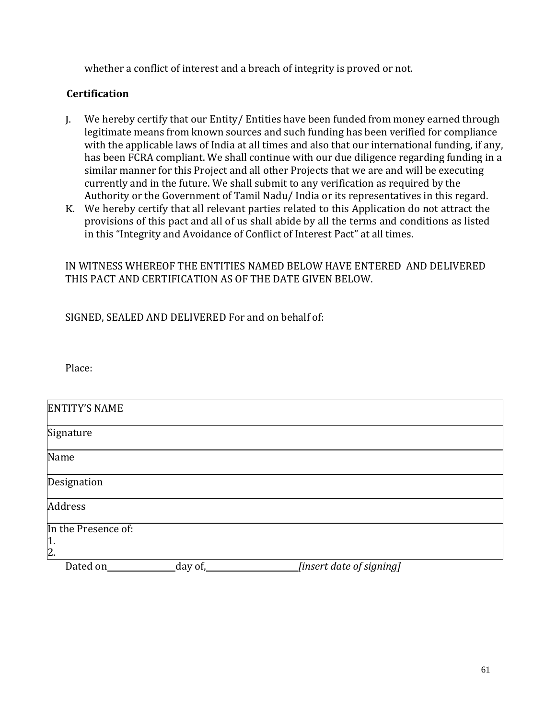whether a conflict of interest and a breach of integrity is proved or not.

### **Certification**

- J. We hereby certify that our Entity/ Entities have been funded from money earned through legitimate means from known sources and such funding has been verified for compliance with the applicable laws of India at all times and also that our international funding, if any, has been FCRA compliant. We shall continue with our due diligence regarding funding in a similar manner for this Project and all other Projects that we are and will be executing currently and in the future. We shall submit to any verification as required by the Authority or the Government of Tamil Nadu/ India or its representatives in this regard.
- K. We hereby certify that all relevant parties related to this Application do not attract the provisions of this pact and all of us shall abide by all the terms and conditions as listed in this "Integrity and Avoidance of Conflict of Interest Pact" at all times.

### IN WITNESS WHEREOF THE ENTITIES NAMED BELOW HAVE ENTERED AND DELIVERED THIS PACT AND CERTIFICATION AS OF THE DATE GIVEN BELOW.

SIGNED, SEALED AND DELIVERED For and on behalf of:

Place:

| <b>ENTITY'S NAME</b> |         |                          |  |
|----------------------|---------|--------------------------|--|
| Signature            |         |                          |  |
| Name                 |         |                          |  |
| Designation          |         |                          |  |
| Address              |         |                          |  |
| In the Presence of:  |         |                          |  |
| $\frac{1}{2}$ .      |         |                          |  |
| Dated on             | day of, | [insert date of signing] |  |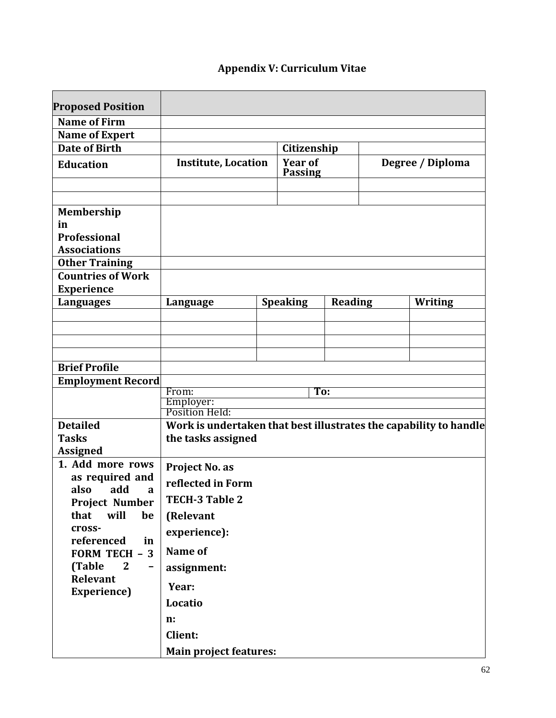# **Appendix V: Curriculum Vitae**

<span id="page-61-0"></span>

| <b>Proposed Position</b>                       |                                                                   |  |                 |                |                  |         |  |  |  |
|------------------------------------------------|-------------------------------------------------------------------|--|-----------------|----------------|------------------|---------|--|--|--|
| <b>Name of Firm</b>                            |                                                                   |  |                 |                |                  |         |  |  |  |
| <b>Name of Expert</b>                          |                                                                   |  |                 |                |                  |         |  |  |  |
| <b>Date of Birth</b>                           | Citizenship                                                       |  |                 |                |                  |         |  |  |  |
|                                                | <b>Institute, Location</b>                                        |  | <b>Year of</b>  |                |                  |         |  |  |  |
| <b>Education</b>                               |                                                                   |  | <b>Passing</b>  |                | Degree / Diploma |         |  |  |  |
|                                                |                                                                   |  |                 |                |                  |         |  |  |  |
|                                                |                                                                   |  |                 |                |                  |         |  |  |  |
| Membership                                     |                                                                   |  |                 |                |                  |         |  |  |  |
| in                                             |                                                                   |  |                 |                |                  |         |  |  |  |
| <b>Professional</b>                            |                                                                   |  |                 |                |                  |         |  |  |  |
| <b>Associations</b>                            |                                                                   |  |                 |                |                  |         |  |  |  |
| <b>Other Training</b>                          |                                                                   |  |                 |                |                  |         |  |  |  |
| <b>Countries of Work</b>                       |                                                                   |  |                 |                |                  |         |  |  |  |
| <b>Experience</b>                              |                                                                   |  |                 |                |                  |         |  |  |  |
| <b>Languages</b>                               | Language                                                          |  | <b>Speaking</b> | <b>Reading</b> |                  | Writing |  |  |  |
|                                                |                                                                   |  |                 |                |                  |         |  |  |  |
|                                                |                                                                   |  |                 |                |                  |         |  |  |  |
|                                                |                                                                   |  |                 |                |                  |         |  |  |  |
| <b>Brief Profile</b>                           |                                                                   |  |                 |                |                  |         |  |  |  |
| <b>Employment Record</b>                       |                                                                   |  |                 |                |                  |         |  |  |  |
|                                                | From:<br>To:                                                      |  |                 |                |                  |         |  |  |  |
|                                                | Employer:                                                         |  |                 |                |                  |         |  |  |  |
|                                                | Position Held:                                                    |  |                 |                |                  |         |  |  |  |
| <b>Detailed</b>                                | Work is undertaken that best illustrates the capability to handle |  |                 |                |                  |         |  |  |  |
| <b>Tasks</b>                                   | the tasks assigned                                                |  |                 |                |                  |         |  |  |  |
| <b>Assigned</b>                                |                                                                   |  |                 |                |                  |         |  |  |  |
| 1. Add more rows                               | Project No. as                                                    |  |                 |                |                  |         |  |  |  |
| as required and                                | reflected in Form                                                 |  |                 |                |                  |         |  |  |  |
| also<br>add<br>a<br><b>Project Number</b>      | <b>TECH-3 Table 2</b>                                             |  |                 |                |                  |         |  |  |  |
| that<br>will<br>be                             | (Relevant                                                         |  |                 |                |                  |         |  |  |  |
| cross-                                         | experience):                                                      |  |                 |                |                  |         |  |  |  |
| referenced<br>in                               | Name of                                                           |  |                 |                |                  |         |  |  |  |
| <b>FORM TECH - 3</b><br>(Table<br>$\mathbf{2}$ |                                                                   |  |                 |                |                  |         |  |  |  |
| Relevant                                       | assignment:                                                       |  |                 |                |                  |         |  |  |  |
| Experience)                                    | Year:                                                             |  |                 |                |                  |         |  |  |  |
|                                                | Locatio                                                           |  |                 |                |                  |         |  |  |  |
|                                                | n:                                                                |  |                 |                |                  |         |  |  |  |
|                                                | <b>Client:</b>                                                    |  |                 |                |                  |         |  |  |  |
|                                                | <b>Main project features:</b>                                     |  |                 |                |                  |         |  |  |  |